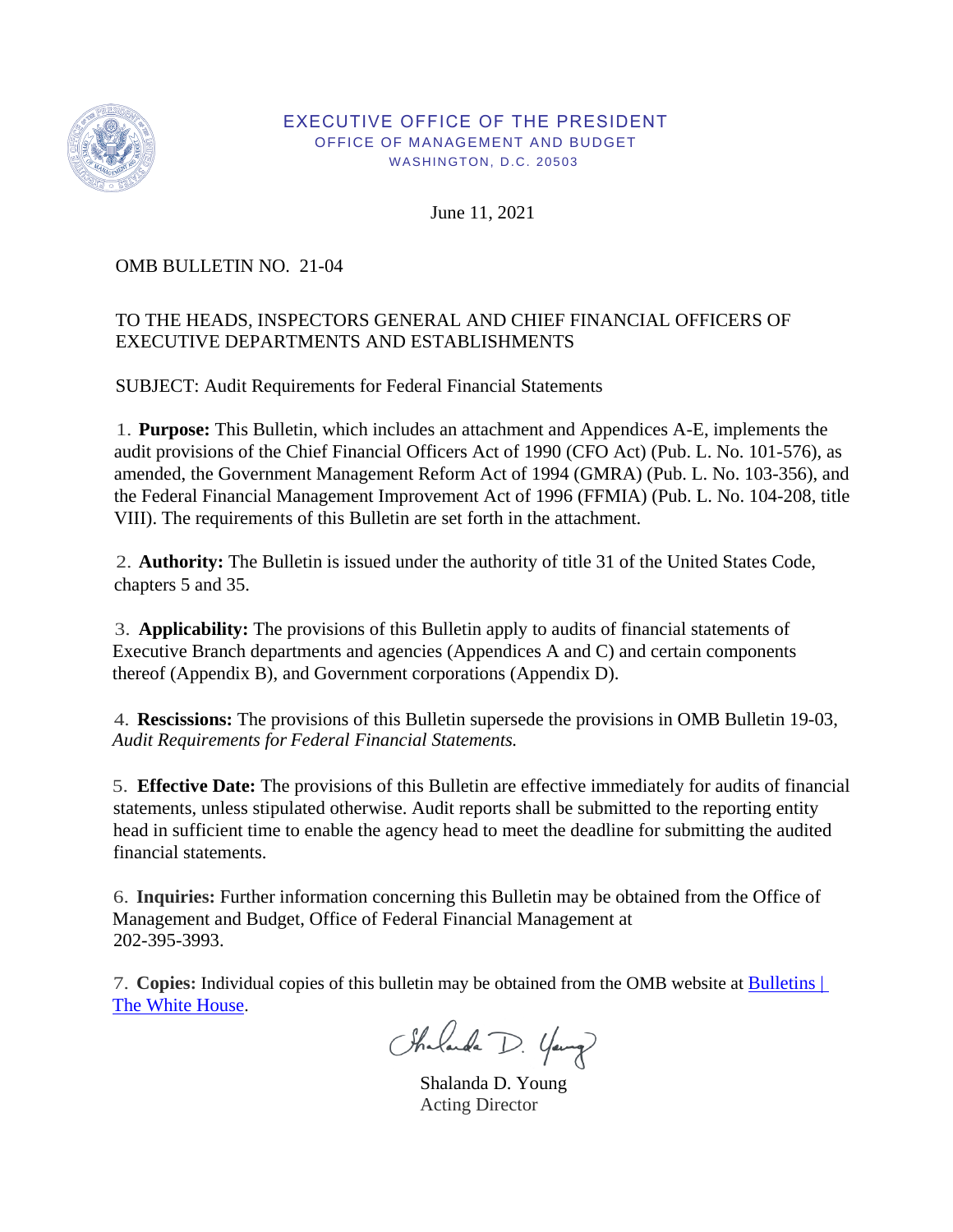

#### EXECUTIVE OFFICE OF THE PRESIDENT OFFICE OF MANAGEMENT AND BUDGET WASHINGTON, D.C. 20503

June 11, 2021

### OMB BULLETIN NO. 21-04

### TO THE HEADS, INSPECTORS GENERAL AND CHIEF FINANCIAL OFFICERS OF EXECUTIVE DEPARTMENTS AND ESTABLISHMENTS

SUBJECT: Audit Requirements for Federal Financial Statements

1. **Purpose:** This Bulletin, which includes an attachment and Appendices A-E, implements the audit provisions of the Chief Financial Officers Act of 1990 (CFO Act) (Pub. L. No. 101-576), as amended, the Government Management Reform Act of 1994 (GMRA) (Pub. L. No. 103-356), and the Federal Financial Management Improvement Act of 1996 (FFMIA) (Pub. L. No. 104-208, title VIII). The requirements of this Bulletin are set forth in the attachment.

2. **Authority:** The Bulletin is issued under the authority of title 31 of the United States Code, chapters 5 and 35.

3. **Applicability:** The provisions of this Bulletin apply to audits of financial statements of Executive Branch departments and agencies (Appendices A and C) and certain components thereof (Appendix B), and Government corporations (Appendix D).

4. **Rescissions:** The provisions of this Bulletin supersede the provisions in OMB Bulletin 19-03, *Audit Requirements for Federal Financial Statements.* 

5. **Effective Date:** The provisions of this Bulletin are effective immediately for audits of financial statements, unless stipulated otherwise. Audit reports shall be submitted to the reporting entity head in sufficient time to enable the agency head to meet the deadline for submitting the audited financial statements.

6. **Inquiries:** Further information concerning this Bulletin may be obtained from the Office of Management and Budget, Office of Federal Financial Management at 202-395-3993.

7. **Copies:** Individual copies of this bulletin may be obtained from the OMB website at [Bulletins |](https://www.whitehouse.gov/omb/information-for-agencies/bulletins/)  [The White House.](https://www.whitehouse.gov/omb/information-for-agencies/bulletins/)

Shalanda D. Yeng

Shalanda D. Young Acting Director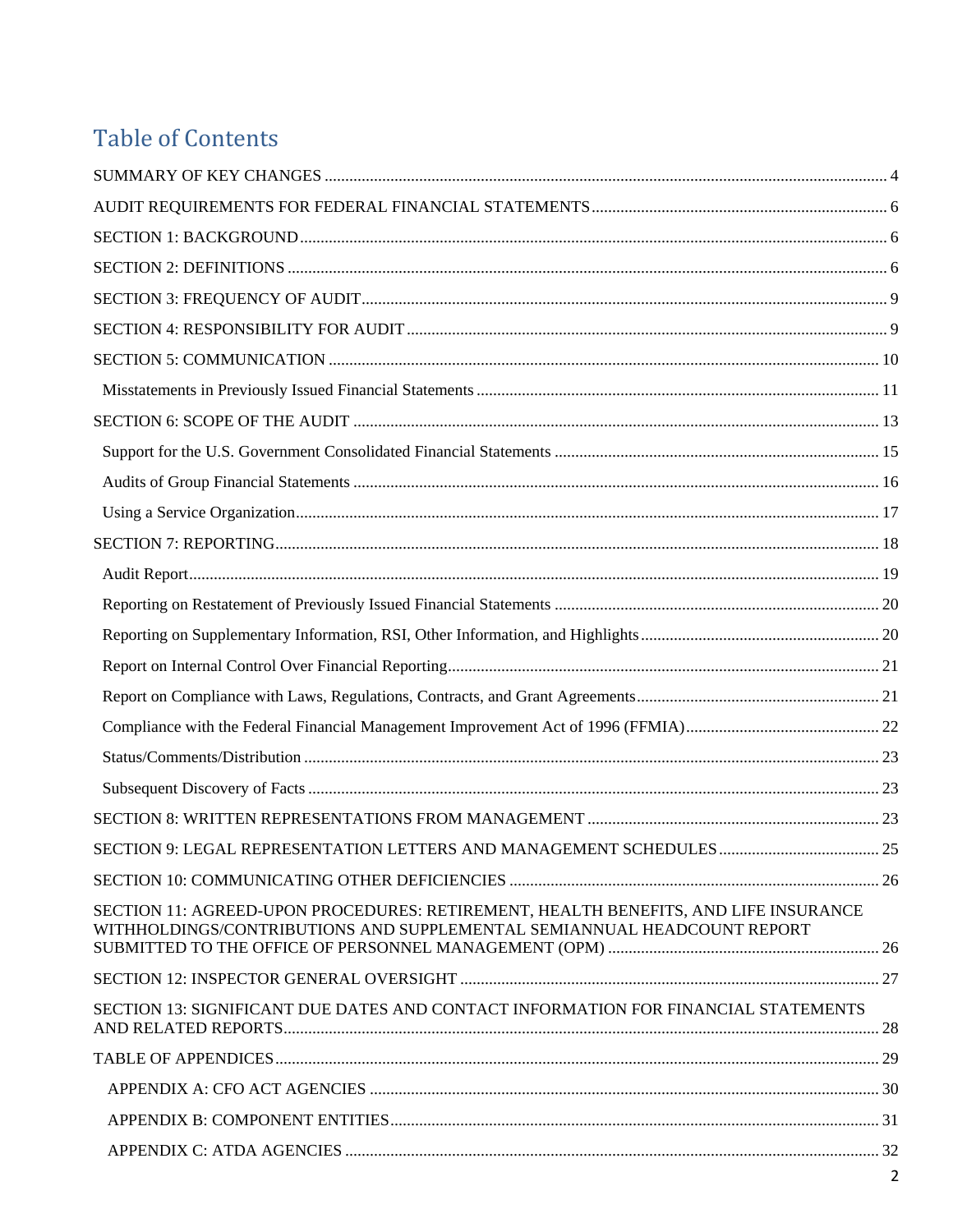# **Table of Contents**

| SECTION 11: AGREED-UPON PROCEDURES: RETIREMENT, HEALTH BENEFITS, AND LIFE INSURANCE<br>WITHHOLDINGS/CONTRIBUTIONS AND SUPPLEMENTAL SEMIANNUAL HEADCOUNT REPORT |  |
|----------------------------------------------------------------------------------------------------------------------------------------------------------------|--|
|                                                                                                                                                                |  |
| SECTION 13: SIGNIFICANT DUE DATES AND CONTACT INFORMATION FOR FINANCIAL STATEMENTS                                                                             |  |
|                                                                                                                                                                |  |
|                                                                                                                                                                |  |
|                                                                                                                                                                |  |
|                                                                                                                                                                |  |
|                                                                                                                                                                |  |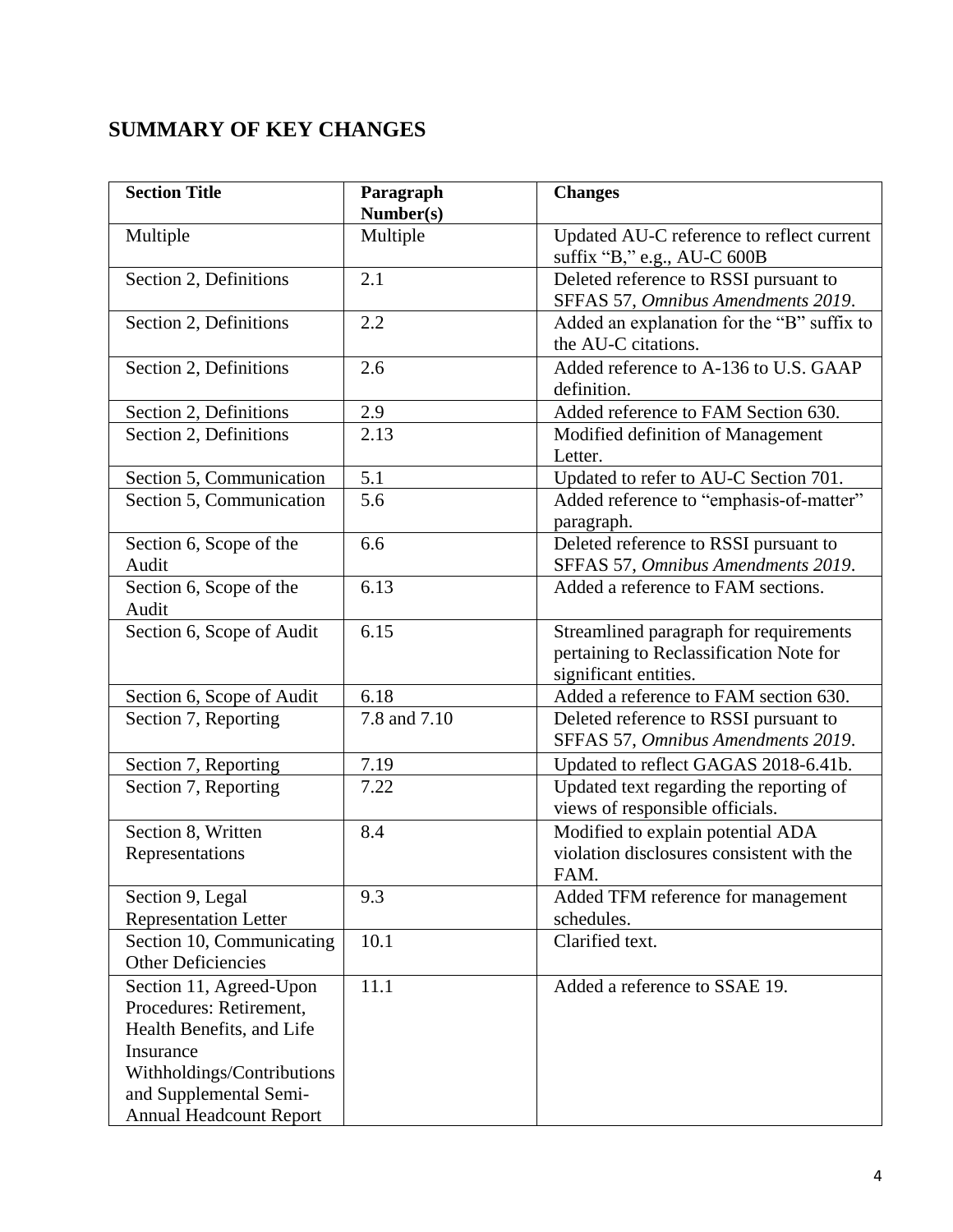# <span id="page-3-0"></span>**SUMMARY OF KEY CHANGES**

| <b>Section Title</b>                                                                                                                                                                   | Paragraph<br>Number(s) | <b>Changes</b>                                                                                             |
|----------------------------------------------------------------------------------------------------------------------------------------------------------------------------------------|------------------------|------------------------------------------------------------------------------------------------------------|
| Multiple                                                                                                                                                                               | Multiple               | Updated AU-C reference to reflect current<br>suffix "B," e.g., AU-C 600B                                   |
| Section 2, Definitions                                                                                                                                                                 | 2.1                    | Deleted reference to RSSI pursuant to<br>SFFAS 57, Omnibus Amendments 2019.                                |
| Section 2, Definitions                                                                                                                                                                 | 2.2                    | Added an explanation for the "B" suffix to<br>the AU-C citations.                                          |
| Section 2, Definitions                                                                                                                                                                 | 2.6                    | Added reference to A-136 to U.S. GAAP<br>definition.                                                       |
| Section 2, Definitions                                                                                                                                                                 | 2.9                    | Added reference to FAM Section 630.                                                                        |
| Section 2, Definitions                                                                                                                                                                 | 2.13                   | Modified definition of Management<br>Letter.                                                               |
| Section 5, Communication                                                                                                                                                               | 5.1                    | Updated to refer to AU-C Section 701.                                                                      |
| Section 5, Communication                                                                                                                                                               | 5.6                    | Added reference to "emphasis-of-matter"<br>paragraph.                                                      |
| Section 6, Scope of the<br>Audit                                                                                                                                                       | 6.6                    | Deleted reference to RSSI pursuant to<br>SFFAS 57, Omnibus Amendments 2019.                                |
| Section 6, Scope of the<br>Audit                                                                                                                                                       | 6.13                   | Added a reference to FAM sections.                                                                         |
| Section 6, Scope of Audit                                                                                                                                                              | 6.15                   | Streamlined paragraph for requirements<br>pertaining to Reclassification Note for<br>significant entities. |
| Section 6, Scope of Audit                                                                                                                                                              | 6.18                   | Added a reference to FAM section 630.                                                                      |
| Section 7, Reporting                                                                                                                                                                   | 7.8 and 7.10           | Deleted reference to RSSI pursuant to<br>SFFAS 57, Omnibus Amendments 2019.                                |
| Section 7, Reporting                                                                                                                                                                   | 7.19                   | Updated to reflect GAGAS 2018-6.41b.                                                                       |
| Section 7, Reporting                                                                                                                                                                   | 7.22                   | Updated text regarding the reporting of<br>views of responsible officials.                                 |
| Section 8, Written<br>Representations                                                                                                                                                  | 8.4                    | Modified to explain potential ADA<br>violation disclosures consistent with the<br>FAM.                     |
| Section 9, Legal<br><b>Representation Letter</b>                                                                                                                                       | 9.3                    | Added TFM reference for management<br>schedules.                                                           |
| Section 10, Communicating<br>Other Deficiencies                                                                                                                                        | 10.1                   | Clarified text.                                                                                            |
| Section 11, Agreed-Upon<br>Procedures: Retirement,<br>Health Benefits, and Life<br>Insurance<br>Withholdings/Contributions<br>and Supplemental Semi-<br><b>Annual Headcount Report</b> | 11.1                   | Added a reference to SSAE 19.                                                                              |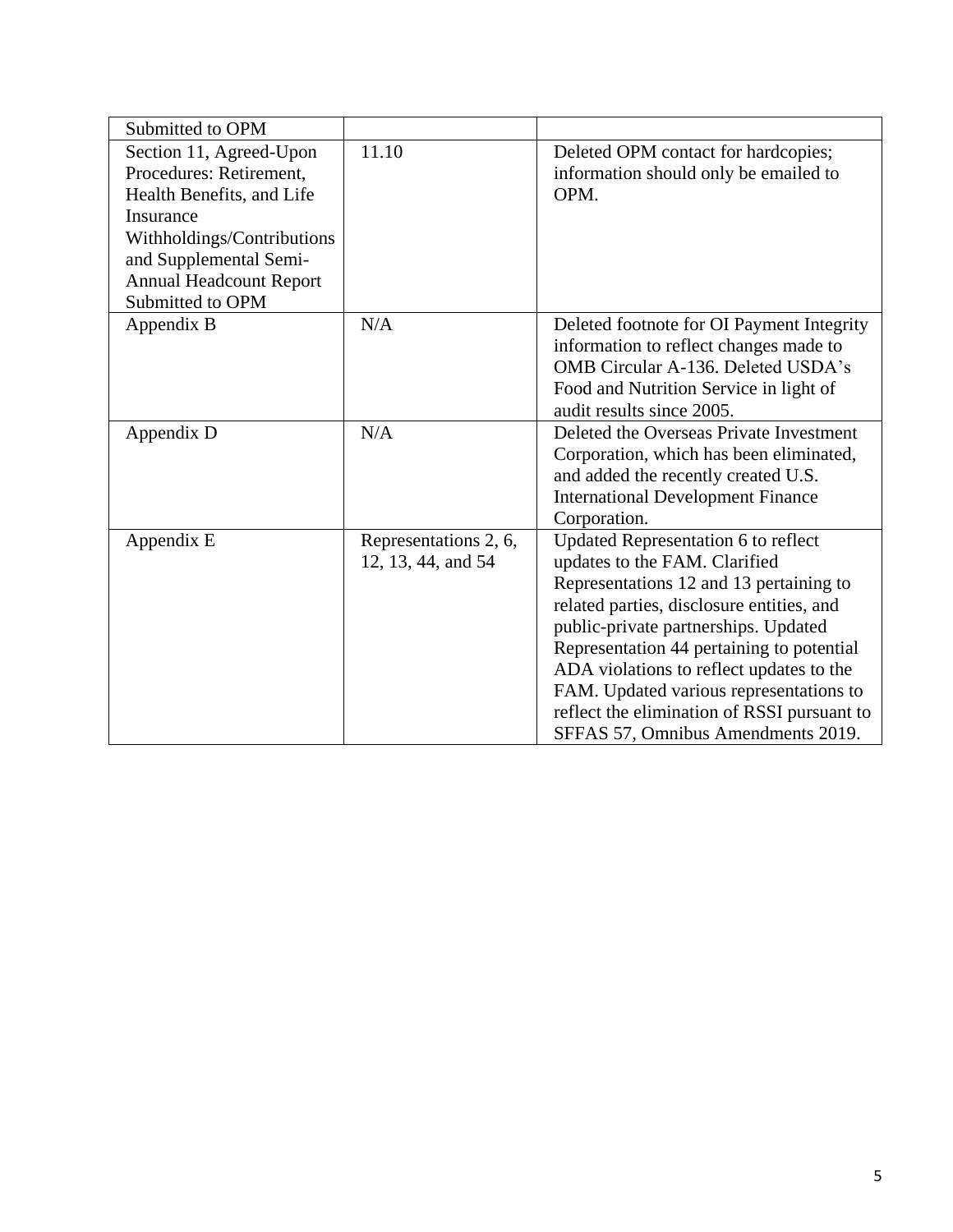| Submitted to OPM                                                                                                                                                                                           |                                             |                                                                                                                                                                                                                                                                                                                                                                                                                                      |
|------------------------------------------------------------------------------------------------------------------------------------------------------------------------------------------------------------|---------------------------------------------|--------------------------------------------------------------------------------------------------------------------------------------------------------------------------------------------------------------------------------------------------------------------------------------------------------------------------------------------------------------------------------------------------------------------------------------|
| Section 11, Agreed-Upon<br>Procedures: Retirement,<br>Health Benefits, and Life<br>Insurance<br>Withholdings/Contributions<br>and Supplemental Semi-<br><b>Annual Headcount Report</b><br>Submitted to OPM | 11.10                                       | Deleted OPM contact for hardcopies;<br>information should only be emailed to<br>OPM.                                                                                                                                                                                                                                                                                                                                                 |
| Appendix B                                                                                                                                                                                                 | N/A                                         | Deleted footnote for OI Payment Integrity<br>information to reflect changes made to<br>OMB Circular A-136. Deleted USDA's<br>Food and Nutrition Service in light of<br>audit results since 2005.                                                                                                                                                                                                                                     |
| Appendix D                                                                                                                                                                                                 | N/A                                         | Deleted the Overseas Private Investment<br>Corporation, which has been eliminated,<br>and added the recently created U.S.<br><b>International Development Finance</b><br>Corporation.                                                                                                                                                                                                                                                |
| Appendix E                                                                                                                                                                                                 | Representations 2, 6,<br>12, 13, 44, and 54 | <b>Updated Representation 6 to reflect</b><br>updates to the FAM. Clarified<br>Representations 12 and 13 pertaining to<br>related parties, disclosure entities, and<br>public-private partnerships. Updated<br>Representation 44 pertaining to potential<br>ADA violations to reflect updates to the<br>FAM. Updated various representations to<br>reflect the elimination of RSSI pursuant to<br>SFFAS 57, Omnibus Amendments 2019. |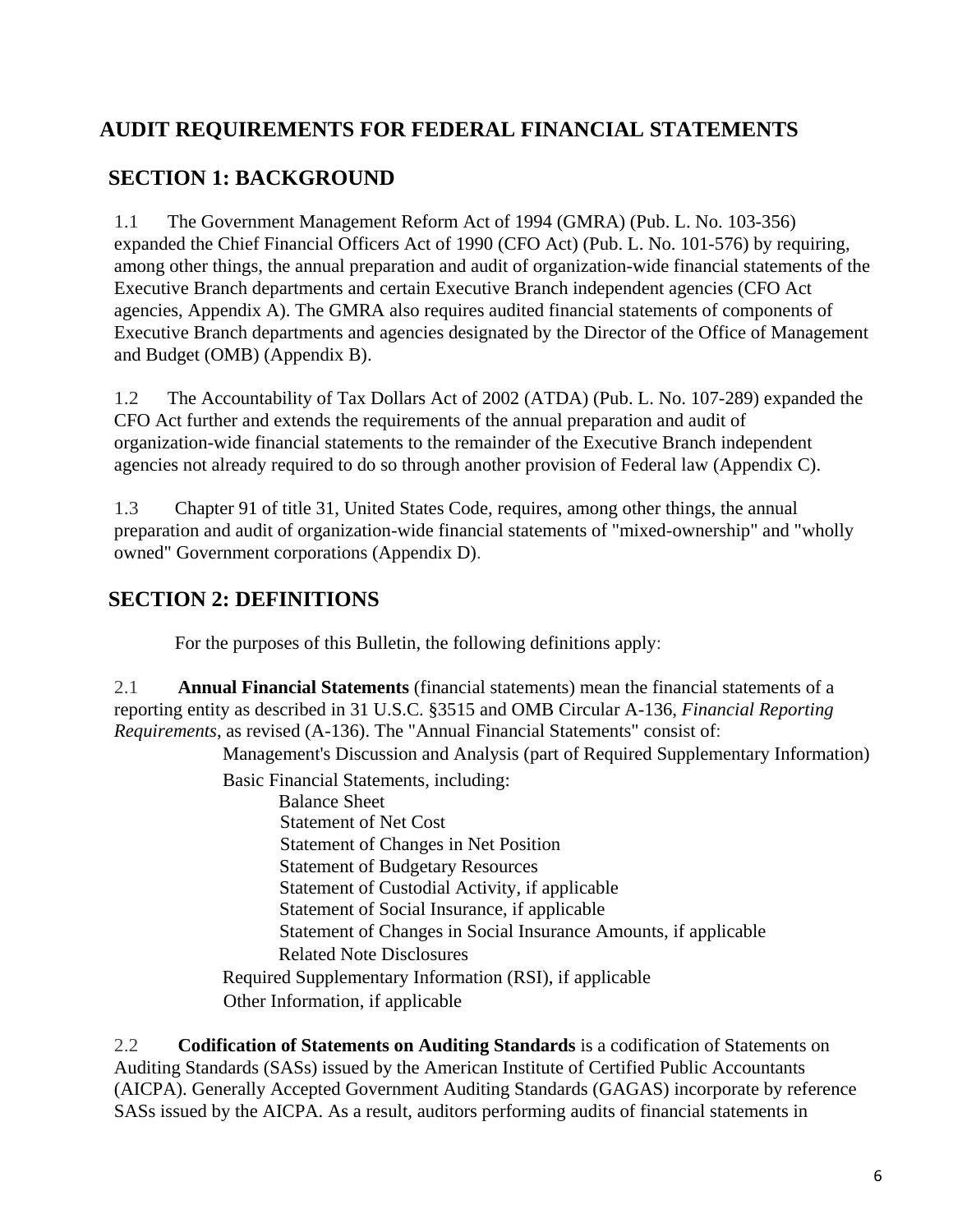# <span id="page-5-0"></span>**AUDIT REQUIREMENTS FOR FEDERAL FINANCIAL STATEMENTS**

# <span id="page-5-1"></span>**SECTION 1: BACKGROUND**

1.1 The Government Management Reform Act of 1994 (GMRA) (Pub. L. No. 103-356) expanded the Chief Financial Officers Act of 1990 (CFO Act) (Pub. L. No. 101-576) by requiring, among other things, the annual preparation and audit of organization-wide financial statements of the Executive Branch departments and certain Executive Branch independent agencies (CFO Act agencies, Appendix A). The GMRA also requires audited financial statements of components of Executive Branch departments and agencies designated by the Director of the Office of Management and Budget (OMB) (Appendix B).

1.2 The Accountability of Tax Dollars Act of 2002 (ATDA) (Pub. L. No. 107-289) expanded the CFO Act further and extends the requirements of the annual preparation and audit of organization-wide financial statements to the remainder of the Executive Branch independent agencies not already required to do so through another provision of Federal law (Appendix C).

1.3 Chapter 91 of title 31, United States Code, requires, among other things, the annual preparation and audit of organization-wide financial statements of "mixed-ownership" and "wholly owned" Government corporations (Appendix D).

# <span id="page-5-2"></span>**SECTION 2: DEFINITIONS**

For the purposes of this Bulletin, the following definitions apply:

2.1 **Annual Financial Statements** (financial statements) mean the financial statements of a reporting entity as described in 31 U.S.C. §3515 and OMB Circular A-136, *Financial Reporting Requirements*, as revised (A-136). The "Annual Financial Statements" consist of:

Management's Discussion and Analysis (part of Required Supplementary Information)

Basic Financial Statements, including:

Balance Sheet Statement of Net Cost Statement of Changes in Net Position Statement of Budgetary Resources Statement of Custodial Activity, if applicable Statement of Social Insurance, if applicable Statement of Changes in Social Insurance Amounts, if applicable Related Note Disclosures Required Supplementary Information (RSI), if applicable Other Information, if applicable

2.2 **Codification of Statements on Auditing Standards** is a codification of Statements on Auditing Standards (SASs) issued by the American Institute of Certified Public Accountants (AICPA). Generally Accepted Government Auditing Standards (GAGAS) incorporate by reference SASs issued by the AICPA. As a result, auditors performing audits of financial statements in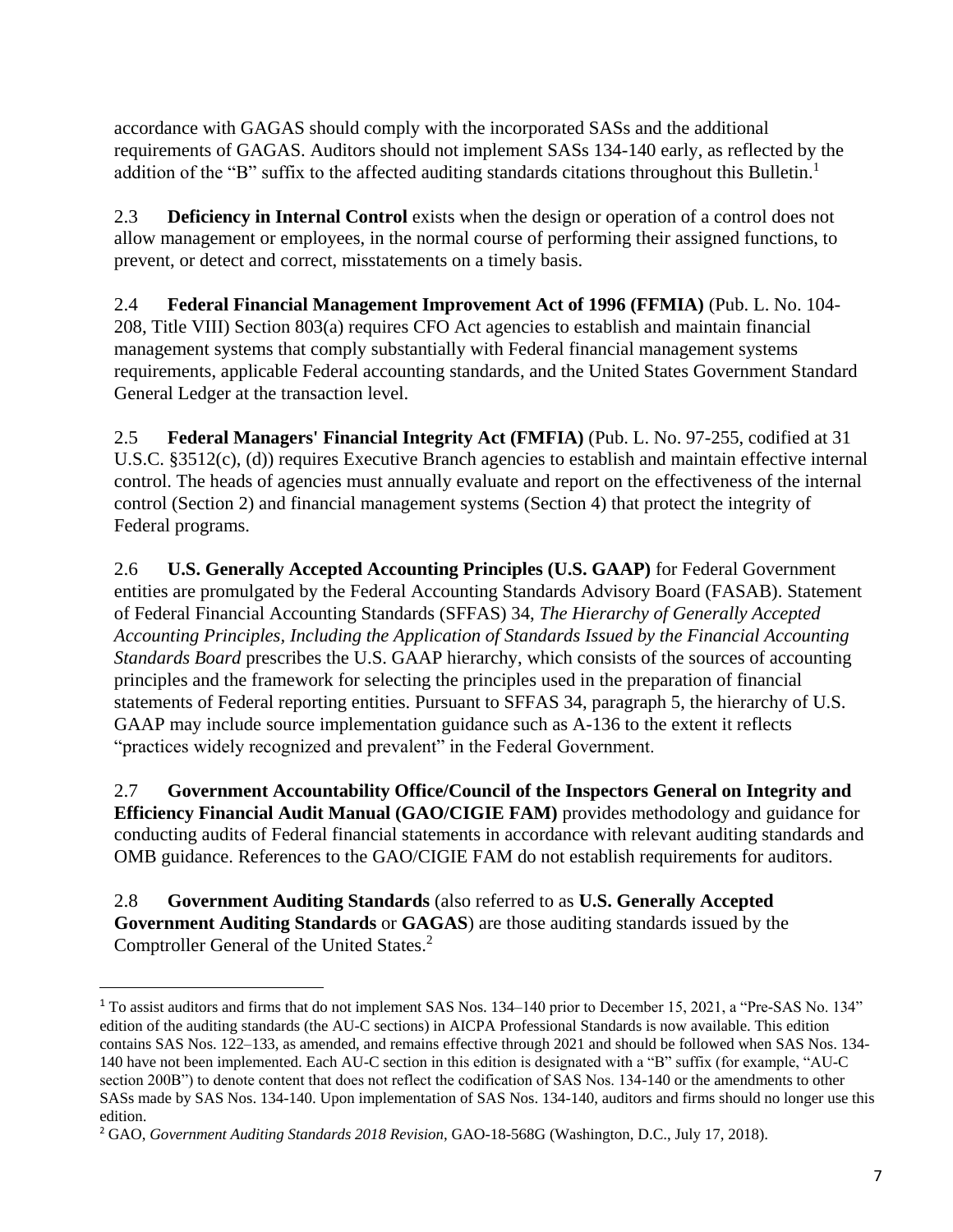accordance with GAGAS should comply with the incorporated SASs and the additional requirements of GAGAS. Auditors should not implement SASs 134-140 early, as reflected by the addition of the "B" suffix to the affected auditing standards citations throughout this Bulletin.<sup>1</sup>

2.3 **Deficiency in Internal Control** exists when the design or operation of a control does not allow management or employees, in the normal course of performing their assigned functions, to prevent, or detect and correct, misstatements on a timely basis.

2.4 **Federal Financial Management Improvement Act of 1996 (FFMIA)** (Pub. L. No. 104- 208, Title VIII) Section 803(a) requires CFO Act agencies to establish and maintain financial management systems that comply substantially with Federal financial management systems requirements, applicable Federal accounting standards, and the United States Government Standard General Ledger at the transaction level.

2.5 **Federal Managers' Financial Integrity Act (FMFIA)** (Pub. L. No. 97-255, codified at 31 U.S.C. §3512(c), (d)) requires Executive Branch agencies to establish and maintain effective internal control. The heads of agencies must annually evaluate and report on the effectiveness of the internal control (Section 2) and financial management systems (Section 4) that protect the integrity of Federal programs.

2.6 **U.S. Generally Accepted Accounting Principles (U.S. GAAP)** for Federal Government entities are promulgated by the Federal Accounting Standards Advisory Board (FASAB). Statement of Federal Financial Accounting Standards (SFFAS) 34, *The Hierarchy of Generally Accepted Accounting Principles, Including the Application of Standards Issued by the Financial Accounting Standards Board* prescribes the U.S. GAAP hierarchy, which consists of the sources of accounting principles and the framework for selecting the principles used in the preparation of financial statements of Federal reporting entities. Pursuant to SFFAS 34, paragraph 5, the hierarchy of U.S. GAAP may include source implementation guidance such as A-136 to the extent it reflects "practices widely recognized and prevalent" in the Federal Government.

2.7 **Government Accountability Office/Council of the Inspectors General on Integrity and Efficiency Financial Audit Manual (GAO/CIGIE FAM)** provides methodology and guidance for conducting audits of Federal financial statements in accordance with relevant auditing standards and OMB guidance. References to the GAO/CIGIE FAM do not establish requirements for auditors.

2.8 **Government Auditing Standards** (also referred to as **U.S. Generally Accepted Government Auditing Standards** or **GAGAS**) are those auditing standards issued by the Comptroller General of the United States.<sup>2</sup>

 $\overline{a}$ 

<sup>&</sup>lt;sup>1</sup> To assist auditors and firms that do not implement SAS Nos. 134–140 prior to December 15, 2021, a "Pre-SAS No. 134" edition of the auditing standards (the AU-C sections) in AICPA Professional Standards is now available. This edition contains SAS Nos. 122–133, as amended, and remains effective through 2021 and should be followed when SAS Nos. 134- 140 have not been implemented. Each AU-C section in this edition is designated with a "B" suffix (for example, "AU-C section 200B") to denote content that does not reflect the codification of SAS Nos. 134-140 or the amendments to other SASs made by SAS Nos. 134-140. Upon implementation of SAS Nos. 134-140, auditors and firms should no longer use this edition.

<sup>2</sup>GAO, *Government Auditing Standards 2018 Revision*, GAO-18-568G (Washington, D.C., July 17, 2018).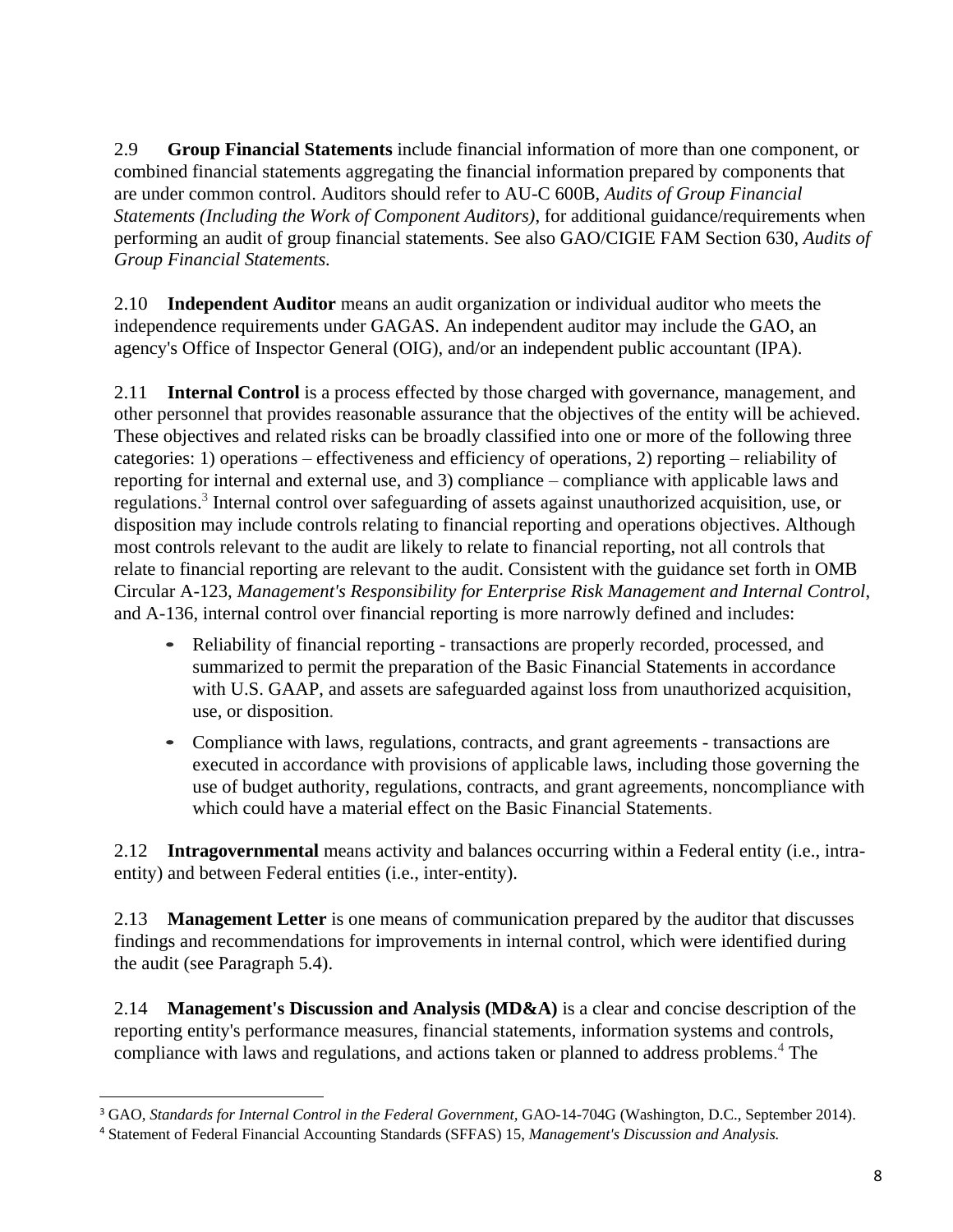2.9 **Group Financial Statements** include financial information of more than one component, or combined financial statements aggregating the financial information prepared by components that are under common control. Auditors should refer to AU-C 600B, *Audits of Group Financial Statements (Including the Work of Component Auditors)*, for additional guidance/requirements when performing an audit of group financial statements. See also GAO/CIGIE FAM Section 630, *Audits of Group Financial Statements.* 

2.10 **Independent Auditor** means an audit organization or individual auditor who meets the independence requirements under GAGAS. An independent auditor may include the GAO, an agency's Office of Inspector General (OIG), and/or an independent public accountant (IPA).

2.11 **Internal Control** is a process effected by those charged with governance, management, and other personnel that provides reasonable assurance that the objectives of the entity will be achieved. These objectives and related risks can be broadly classified into one or more of the following three categories: 1) operations – effectiveness and efficiency of operations, 2) reporting – reliability of reporting for internal and external use, and 3) compliance – compliance with applicable laws and regulations.<sup>3</sup> Internal control over safeguarding of assets against unauthorized acquisition, use, or disposition may include controls relating to financial reporting and operations objectives. Although most controls relevant to the audit are likely to relate to financial reporting, not all controls that relate to financial reporting are relevant to the audit. Consistent with the guidance set forth in OMB Circular A-123, *Management's Responsibility for Enterprise Risk Management and Internal Control*, and A-136, internal control over financial reporting is more narrowly defined and includes:

- Reliability of financial reporting transactions are properly recorded, processed, and summarized to permit the preparation of the Basic Financial Statements in accordance with U.S. GAAP, and assets are safeguarded against loss from unauthorized acquisition, use, or disposition.
- Compliance with laws, regulations, contracts, and grant agreements transactions are executed in accordance with provisions of applicable laws, including those governing the use of budget authority, regulations, contracts, and grant agreements, noncompliance with which could have a material effect on the Basic Financial Statements.

2.12 **Intragovernmental** means activity and balances occurring within a Federal entity (i.e., intraentity) and between Federal entities (i.e., inter-entity).

2.13 **Management Letter** is one means of communication prepared by the auditor that discusses findings and recommendations for improvements in internal control, which were identified during the audit (see Paragraph 5.4).

2.14 **Management's Discussion and Analysis (MD&A)** is a clear and concise description of the reporting entity's performance measures, financial statements, information systems and controls, compliance with laws and regulations, and actions taken or planned to address problems. 4 The

 $\overline{a}$ 

<sup>&</sup>lt;sup>3</sup> GAO, *Standards for Internal Control in the Federal Government*, GAO-14-704G (Washington, D.C., September 2014).

<sup>4</sup>Statement of Federal Financial Accounting Standards (SFFAS) 15, *Management's Discussion and Analysis.*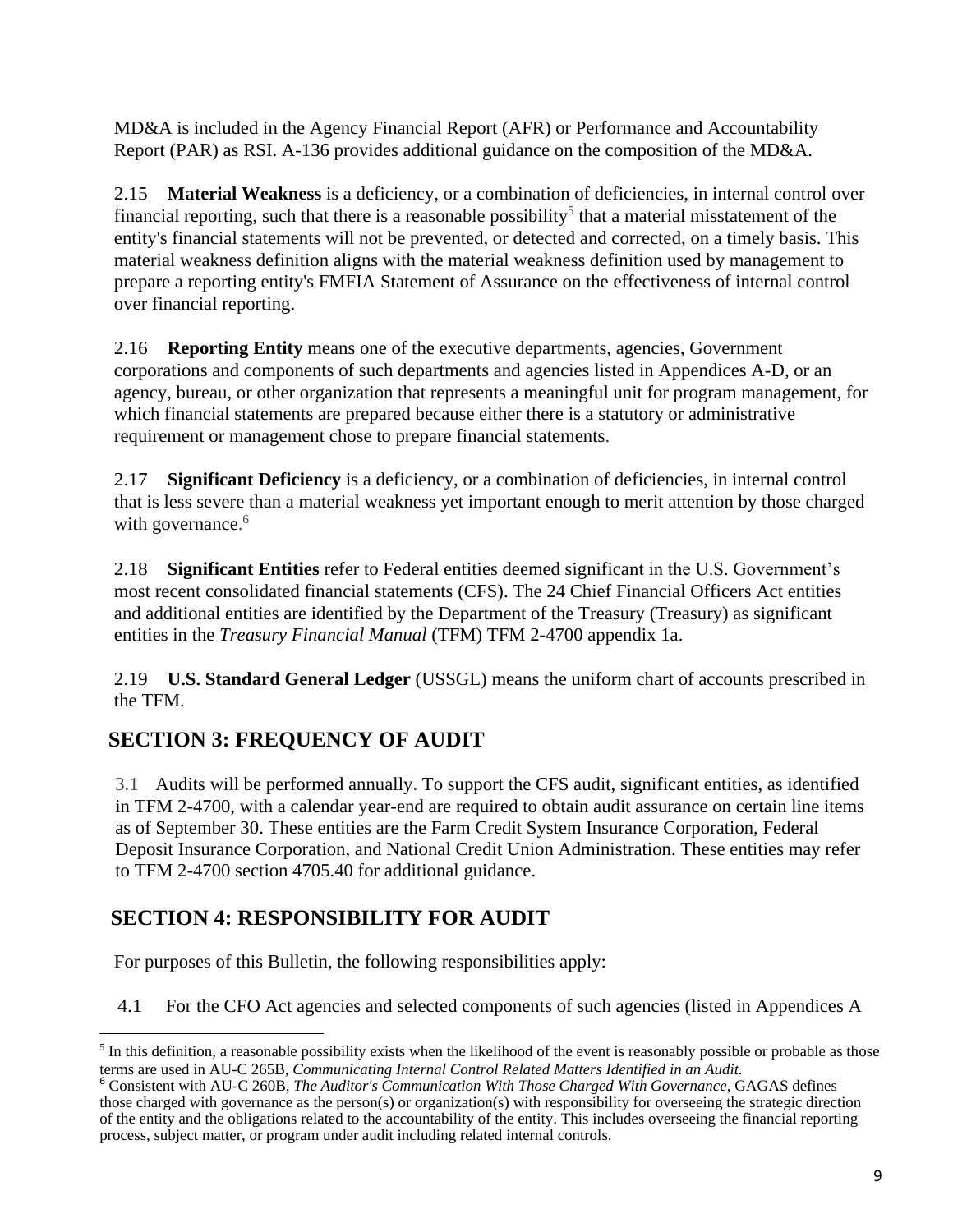MD&A is included in the Agency Financial Report (AFR) or Performance and Accountability Report (PAR) as RSI. A-136 provides additional guidance on the composition of the MD&A.

2.15 **Material Weakness** is a deficiency, or a combination of deficiencies, in internal control over financial reporting, such that there is a reasonable possibility<sup>5</sup> that a material misstatement of the entity's financial statements will not be prevented, or detected and corrected, on a timely basis. This material weakness definition aligns with the material weakness definition used by management to prepare a reporting entity's FMFIA Statement of Assurance on the effectiveness of internal control over financial reporting.

2.16 **Reporting Entity** means one of the executive departments, agencies, Government corporations and components of such departments and agencies listed in Appendices A-D, or an agency, bureau, or other organization that represents a meaningful unit for program management, for which financial statements are prepared because either there is a statutory or administrative requirement or management chose to prepare financial statements.

2.17 **Significant Deficiency** is a deficiency, or a combination of deficiencies, in internal control that is less severe than a material weakness yet important enough to merit attention by those charged with governance.<sup>6</sup>

2.18 **Significant Entities** refer to Federal entities deemed significant in the U.S. Government's most recent consolidated financial statements (CFS). The 24 Chief Financial Officers Act entities and additional entities are identified by the Department of the Treasury (Treasury) as significant entities in the *Treasury Financial Manual* (TFM) TFM 2-4700 appendix 1a.

2.19 **U.S. Standard General Ledger** (USSGL) means the uniform chart of accounts prescribed in the TFM.

# <span id="page-8-0"></span>**SECTION 3: FREQUENCY OF AUDIT**

3.1 Audits will be performed annually. To support the CFS audit, significant entities, as identified in TFM 2-4700, with a calendar year-end are required to obtain audit assurance on certain line items as of September 30. These entities are the Farm Credit System Insurance Corporation, Federal Deposit Insurance Corporation, and National Credit Union Administration. These entities may refer to TFM 2-4700 section 4705.40 for additional guidance.

# <span id="page-8-1"></span>**SECTION 4: RESPONSIBILITY FOR AUDIT**

 $\overline{a}$ 

For purposes of this Bulletin, the following responsibilities apply:

4.1 For the CFO Act agencies and selected components of such agencies (listed in Appendices A

 $5$  In this definition, a reasonable possibility exists when the likelihood of the event is reasonably possible or probable as those terms are used in AU-C 265B, *Communicating Internal Control Related Matters Identified* 

 those charged with governance as the person(s) or organization(s) with responsibility for overseeing the strategic direction <sup>6</sup> Consistent with AU-C 260B, *The Auditor's Communication With Those Charged With Governance*, GAGAS defines of the entity and the obligations related to the accountability of the entity. This includes overseeing the financial reporting process, subject matter, or program under audit including related internal controls.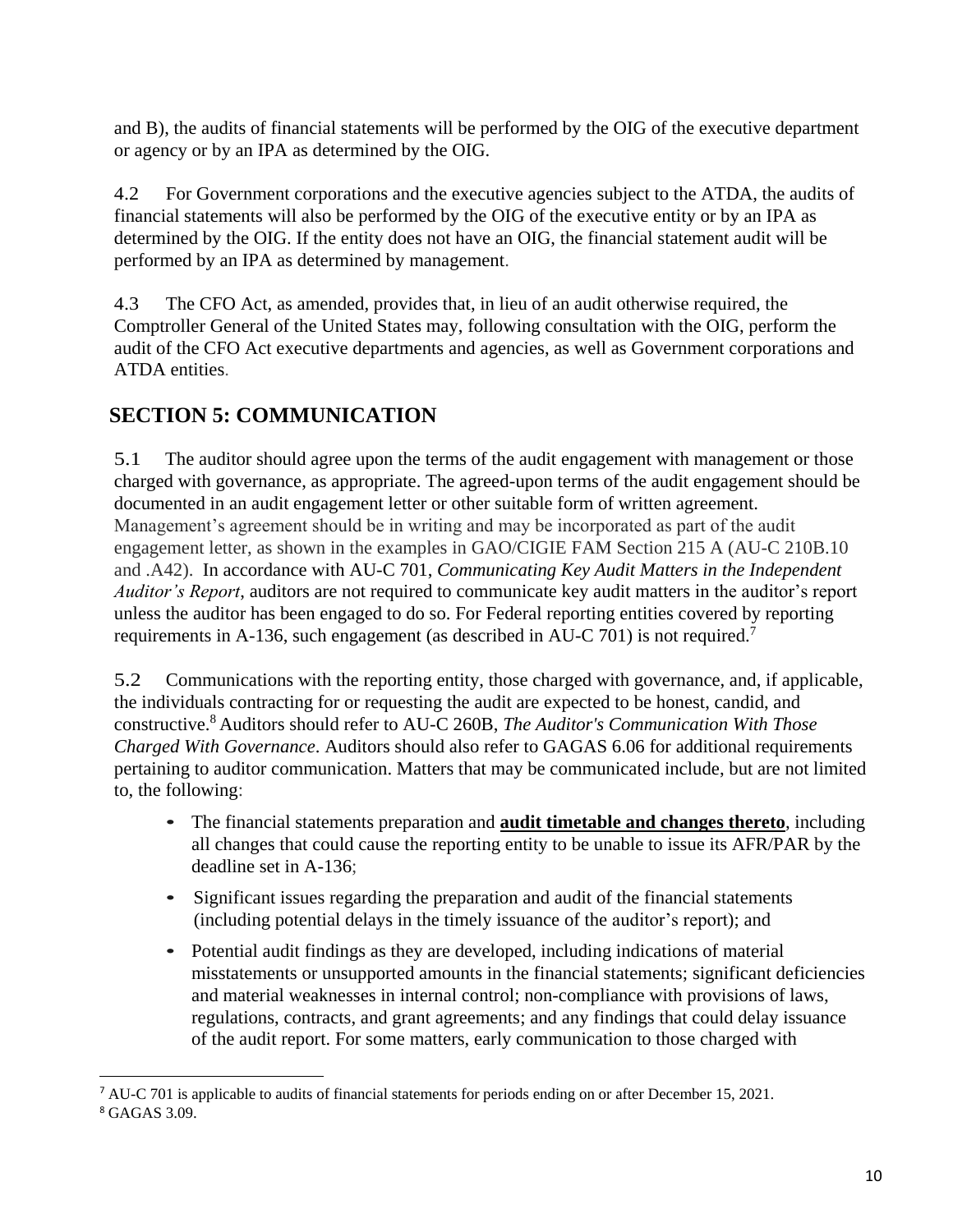and B), the audits of financial statements will be performed by the OIG of the executive department or agency or by an IPA as determined by the OIG.

4.2 For Government corporations and the executive agencies subject to the ATDA, the audits of financial statements will also be performed by the OIG of the executive entity or by an IPA as determined by the OIG. If the entity does not have an OIG, the financial statement audit will be performed by an IPA as determined by management.

4.3 The CFO Act, as amended, provides that, in lieu of an audit otherwise required, the Comptroller General of the United States may, following consultation with the OIG, perform the audit of the CFO Act executive departments and agencies, as well as Government corporations and ATDA entities.

### <span id="page-9-0"></span>**SECTION 5: COMMUNICATION**

 $\overline{a}$ 

5.1 The auditor should agree upon the terms of the audit engagement with management or those charged with governance, as appropriate. The agreed-upon terms of the audit engagement should be documented in an audit engagement letter or other suitable form of written agreement. Management's agreement should be in writing and may be incorporated as part of the audit engagement letter, as shown in the examples in GAO/CIGIE FAM Section 215 A (AU-C 210B.10 and .A42). In accordance with AU-C 701, *Communicating Key Audit Matters in the Independent Auditor's Report*, auditors are not required to communicate key audit matters in the auditor's report unless the auditor has been engaged to do so. For Federal reporting entities covered by reporting requirements in A-136, such engagement (as described in AU-C 701) is not required.<sup>7</sup>

5.2 Communications with the reporting entity, those charged with governance, and, if applicable, the individuals contracting for or requesting the audit are expected to be honest, candid, and constructive.8 Auditors should refer to AU-C 260B, *The Auditor's Communication With Those Charged With Governance*. Auditors should also refer to GAGAS 6.06 for additional requirements pertaining to auditor communication. Matters that may be communicated include, but are not limited to, the following:

- The financial statements preparation and **audit timetable and changes thereto**, including all changes that could cause the reporting entity to be unable to issue its AFR/PAR by the deadline set in A-136;
- Significant issues regarding the preparation and audit of the financial statements (including potential delays in the timely issuance of the auditor's report); and
- Potential audit findings as they are developed, including indications of material misstatements or unsupported amounts in the financial statements; significant deficiencies and material weaknesses in internal control; non-compliance with provisions of laws, regulations, contracts, and grant agreements; and any findings that could delay issuance of the audit report. For some matters, early communication to those charged with

<sup>&</sup>lt;sup>7</sup> AU-C 701 is applicable to audits of financial statements for periods ending on or after December 15, 2021. <sup>8</sup>GAGAS 3.09.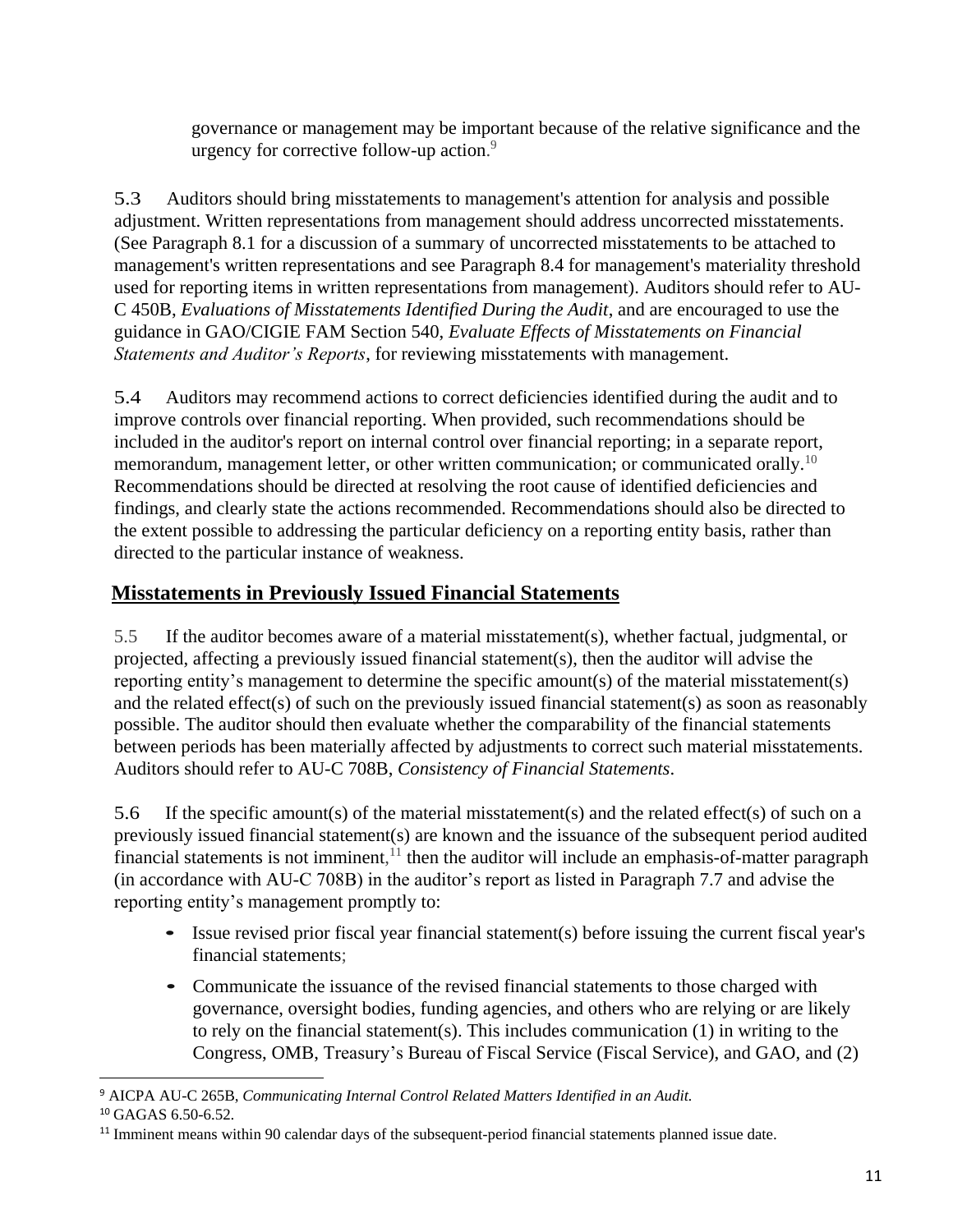governance or management may be important because of the relative significance and the urgency for corrective follow-up action. 9

5.3 Auditors should bring misstatements to management's attention for analysis and possible adjustment. Written representations from management should address uncorrected misstatements. (See Paragraph 8.1 for a discussion of a summary of uncorrected misstatements to be attached to management's written representations and see Paragraph 8.4 for management's materiality threshold used for reporting items in written representations from management). Auditors should refer to AU-C 450B, *Evaluations of Misstatements Identified During the Audit*, and are encouraged to use the guidance in GAO/CIGIE FAM Section 540, *Evaluate Effects of Misstatements on Financial Statements and Auditor's Reports*, for reviewing misstatements with management.

5.4 Auditors may recommend actions to correct deficiencies identified during the audit and to improve controls over financial reporting. When provided, such recommendations should be included in the auditor's report on internal control over financial reporting; in a separate report, memorandum, management letter, or other written communication; or communicated orally.<sup>10</sup> Recommendations should be directed at resolving the root cause of identified deficiencies and findings, and clearly state the actions recommended. Recommendations should also be directed to the extent possible to addressing the particular deficiency on a reporting entity basis, rather than directed to the particular instance of weakness.

### <span id="page-10-0"></span>**Misstatements in Previously Issued Financial Statements**

5.5 If the auditor becomes aware of a material misstatement(s), whether factual, judgmental, or projected, affecting a previously issued financial statement(s), then the auditor will advise the reporting entity's management to determine the specific amount(s) of the material misstatement(s) and the related effect(s) of such on the previously issued financial statement(s) as soon as reasonably possible. The auditor should then evaluate whether the comparability of the financial statements between periods has been materially affected by adjustments to correct such material misstatements. Auditors should refer to AU-C 708B, *Consistency of Financial Statements*.

5.6 If the specific amount(s) of the material misstatement(s) and the related effect(s) of such on a previously issued financial statement(s) are known and the issuance of the subsequent period audited financial statements is not imminent, $11$  then the auditor will include an emphasis-of-matter paragraph (in accordance with AU-C 708B) in the auditor's report as listed in Paragraph 7.7 and advise the reporting entity's management promptly to:

- Issue revised prior fiscal year financial statement(s) before issuing the current fiscal year's financial statements;
- Communicate the issuance of the revised financial statements to those charged with governance, oversight bodies, funding agencies, and others who are relying or are likely to rely on the financial statement(s). This includes communication (1) in writing to the Congress, OMB, Treasury's Bureau of Fiscal Service (Fiscal Service), and GAO, and (2)

 $\overline{a}$ 9 AICPA AU-C 265B, *Communicating Internal Control Related Matters Identified in an Audit.* 

<sup>10</sup> GAGAS 6.50-6.52.

<sup>&</sup>lt;sup>11</sup> Imminent means within 90 calendar days of the subsequent-period financial statements planned issue date.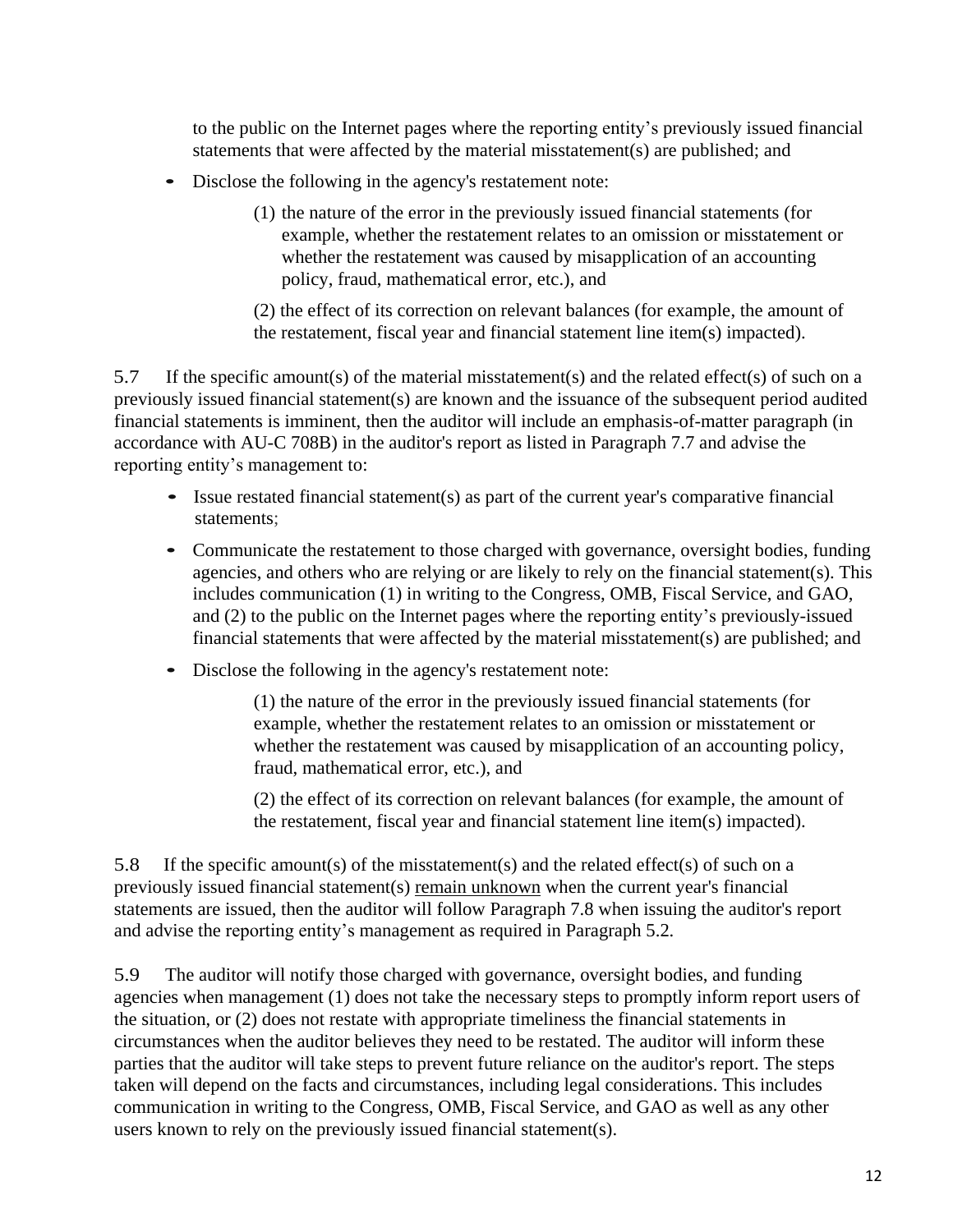to the public on the Internet pages where the reporting entity's previously issued financial statements that were affected by the material misstatement(s) are published; and

- Disclose the following in the agency's restatement note:
	- (1) the nature of the error in the previously issued financial statements (for example, whether the restatement relates to an omission or misstatement or whether the restatement was caused by misapplication of an accounting policy, fraud, mathematical error, etc.), and

(2) the effect of its correction on relevant balances (for example, the amount of the restatement, fiscal year and financial statement line item(s) impacted).

5.7 If the specific amount(s) of the material misstatement(s) and the related effect(s) of such on a previously issued financial statement(s) are known and the issuance of the subsequent period audited financial statements is imminent, then the auditor will include an emphasis-of-matter paragraph (in accordance with AU-C 708B) in the auditor's report as listed in Paragraph 7.7 and advise the reporting entity's management to:

- • Issue restated financial statement(s) as part of the current year's comparative financial statements;
- Communicate the restatement to those charged with governance, oversight bodies, funding agencies, and others who are relying or are likely to rely on the financial statement(s). This includes communication (1) in writing to the Congress, OMB, Fiscal Service, and GAO, and (2) to the public on the Internet pages where the reporting entity's previously-issued financial statements that were affected by the material misstatement(s) are published; and
- Disclose the following in the agency's restatement note:

(1) the nature of the error in the previously issued financial statements (for example, whether the restatement relates to an omission or misstatement or whether the restatement was caused by misapplication of an accounting policy, fraud, mathematical error, etc.), and

(2) the effect of its correction on relevant balances (for example, the amount of the restatement, fiscal year and financial statement line item(s) impacted).

5.8 If the specific amount(s) of the misstatement(s) and the related effect(s) of such on a previously issued financial statement(s) remain unknown when the current year's financial statements are issued, then the auditor will follow Paragraph 7.8 when issuing the auditor's report and advise the reporting entity's management as required in Paragraph 5.2.

5.9 The auditor will notify those charged with governance, oversight bodies, and funding agencies when management (1) does not take the necessary steps to promptly inform report users of the situation, or (2) does not restate with appropriate timeliness the financial statements in circumstances when the auditor believes they need to be restated. The auditor will inform these parties that the auditor will take steps to prevent future reliance on the auditor's report. The steps taken will depend on the facts and circumstances, including legal considerations. This includes communication in writing to the Congress, OMB, Fiscal Service, and GAO as well as any other users known to rely on the previously issued financial statement(s).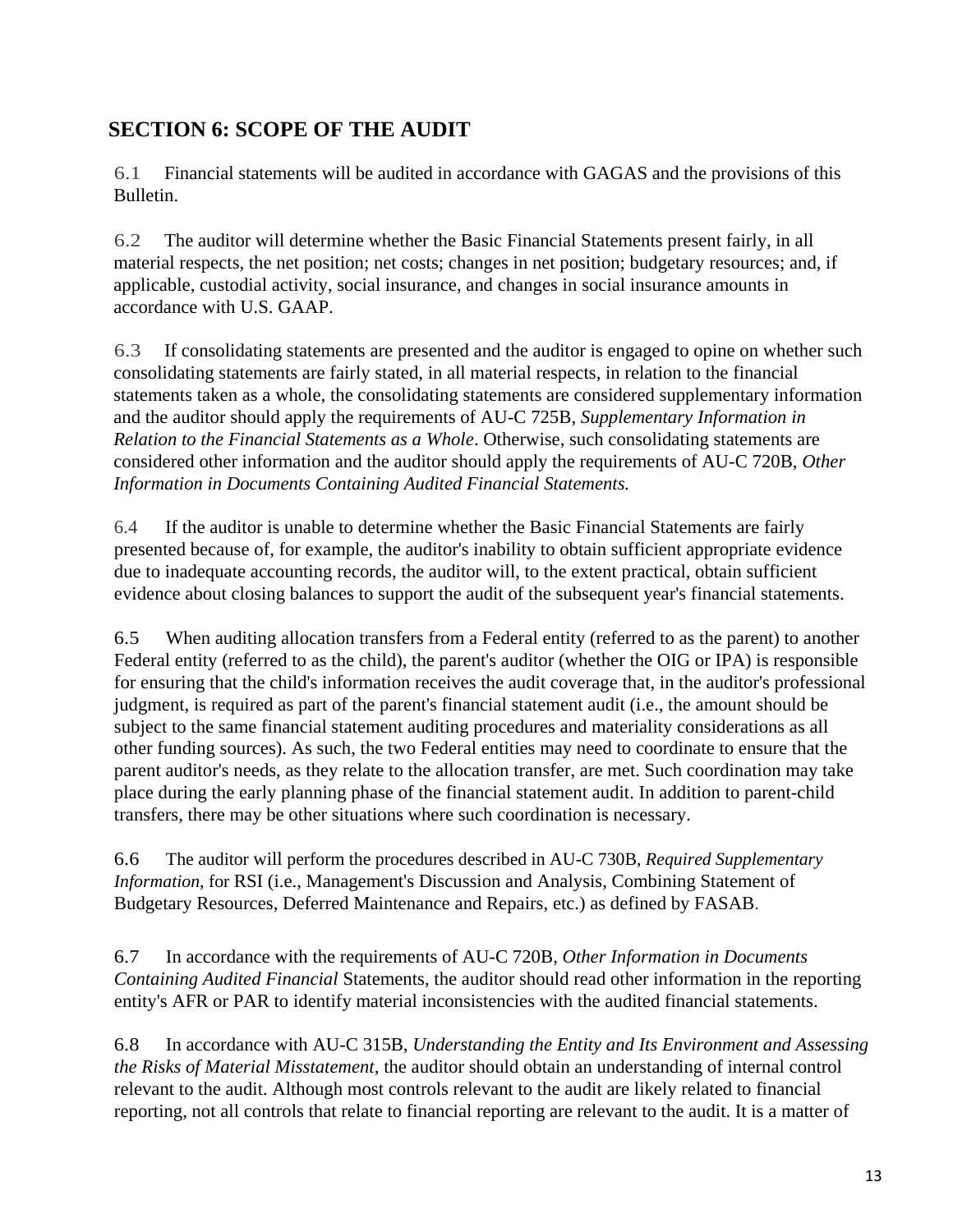# <span id="page-12-0"></span>**SECTION 6: SCOPE OF THE AUDIT**

6.1 Financial statements will be audited in accordance with GAGAS and the provisions of this Bulletin.

6.2 The auditor will determine whether the Basic Financial Statements present fairly, in all material respects, the net position; net costs; changes in net position; budgetary resources; and, if applicable, custodial activity, social insurance, and changes in social insurance amounts in accordance with U.S. GAAP.

6.3 If consolidating statements are presented and the auditor is engaged to opine on whether such consolidating statements are fairly stated, in all material respects, in relation to the financial statements taken as a whole, the consolidating statements are considered supplementary information and the auditor should apply the requirements of AU-C 725B, *Supplementary Information in Relation to the Financial Statements as a Whole*. Otherwise, such consolidating statements are considered other information and the auditor should apply the requirements of AU-C 720B, *Other Information in Documents Containing Audited Financial Statements.* 

6.4 If the auditor is unable to determine whether the Basic Financial Statements are fairly presented because of, for example, the auditor's inability to obtain sufficient appropriate evidence due to inadequate accounting records, the auditor will, to the extent practical, obtain sufficient evidence about closing balances to support the audit of the subsequent year's financial statements.

6.5 When auditing allocation transfers from a Federal entity (referred to as the parent) to another Federal entity (referred to as the child), the parent's auditor (whether the OIG or IPA) is responsible for ensuring that the child's information receives the audit coverage that, in the auditor's professional judgment, is required as part of the parent's financial statement audit (i.e., the amount should be subject to the same financial statement auditing procedures and materiality considerations as all other funding sources). As such, the two Federal entities may need to coordinate to ensure that the parent auditor's needs, as they relate to the allocation transfer, are met. Such coordination may take place during the early planning phase of the financial statement audit. In addition to parent-child transfers, there may be other situations where such coordination is necessary.

6.6 The auditor will perform the procedures described in AU-C 730B, *Required Supplementary Information*, for RSI (i.e., Management's Discussion and Analysis, Combining Statement of Budgetary Resources, Deferred Maintenance and Repairs, etc.) as defined by FASAB.

6.7 In accordance with the requirements of AU-C 720B, *Other Information in Documents Containing Audited Financial* Statements, the auditor should read other information in the reporting entity's AFR or PAR to identify material inconsistencies with the audited financial statements.

 *the Risks of Material Misstatement*, the auditor should obtain an understanding of internal control 6.8 In accordance with AU-C 315B, *Understanding the Entity and Its Environment and Assessing*  relevant to the audit. Although most controls relevant to the audit are likely related to financial reporting, not all controls that relate to financial reporting are relevant to the audit. It is a matter of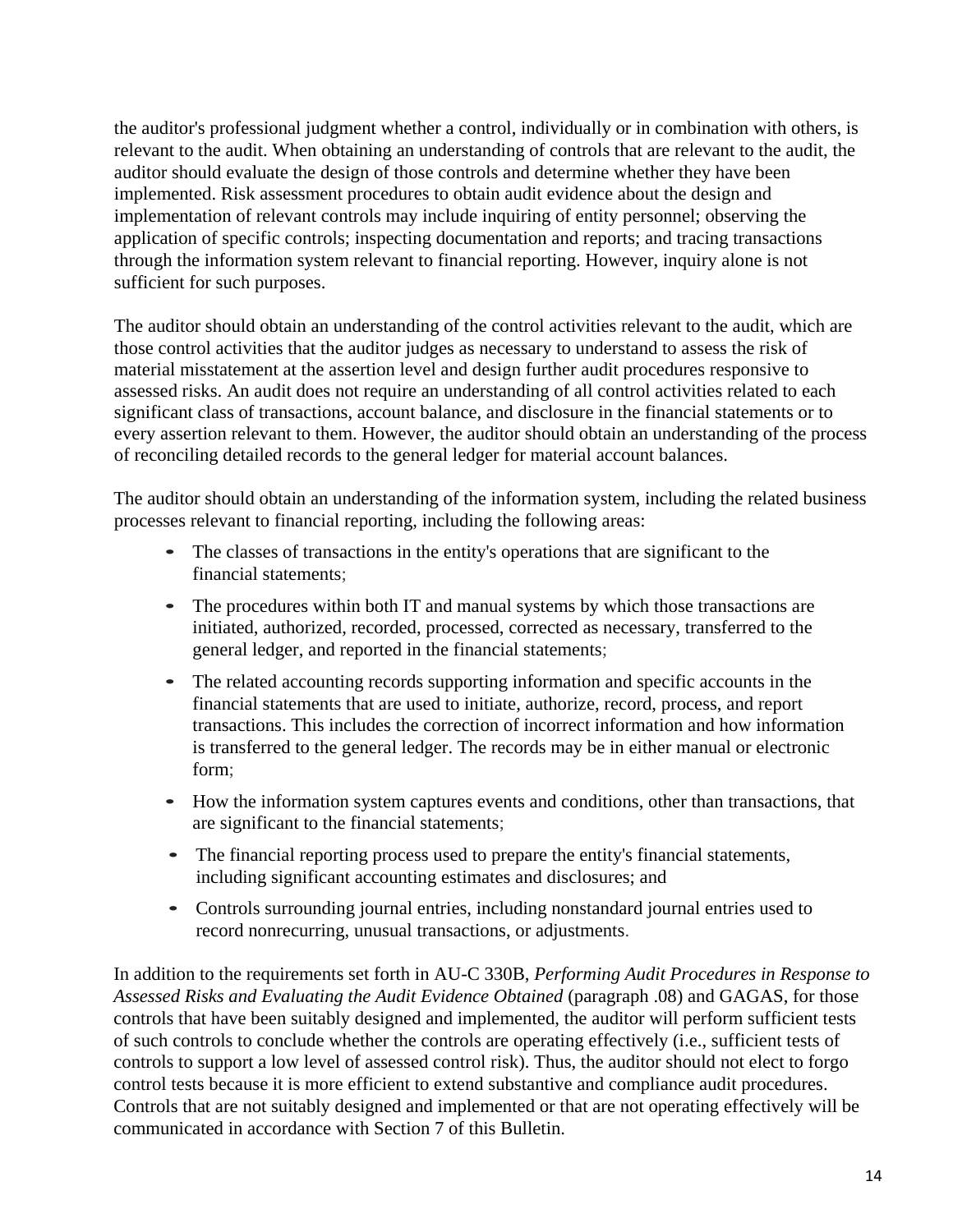the auditor's professional judgment whether a control, individually or in combination with others, is relevant to the audit. When obtaining an understanding of controls that are relevant to the audit, the auditor should evaluate the design of those controls and determine whether they have been implemented. Risk assessment procedures to obtain audit evidence about the design and implementation of relevant controls may include inquiring of entity personnel; observing the application of specific controls; inspecting documentation and reports; and tracing transactions through the information system relevant to financial reporting. However, inquiry alone is not sufficient for such purposes.

The auditor should obtain an understanding of the control activities relevant to the audit, which are those control activities that the auditor judges as necessary to understand to assess the risk of material misstatement at the assertion level and design further audit procedures responsive to assessed risks. An audit does not require an understanding of all control activities related to each significant class of transactions, account balance, and disclosure in the financial statements or to every assertion relevant to them. However, the auditor should obtain an understanding of the process of reconciling detailed records to the general ledger for material account balances.

The auditor should obtain an understanding of the information system, including the related business processes relevant to financial reporting, including the following areas:

- The classes of transactions in the entity's operations that are significant to the financial statements;
- The procedures within both IT and manual systems by which those transactions are initiated, authorized, recorded, processed, corrected as necessary, transferred to the general ledger, and reported in the financial statements;
- The related accounting records supporting information and specific accounts in the financial statements that are used to initiate, authorize, record, process, and report transactions. This includes the correction of incorrect information and how information is transferred to the general ledger. The records may be in either manual or electronic form;
- How the information system captures events and conditions, other than transactions, that are significant to the financial statements;
- The financial reporting process used to prepare the entity's financial statements, including significant accounting estimates and disclosures; and
- Controls surrounding journal entries, including nonstandard journal entries used to record nonrecurring, unusual transactions, or adjustments.

 controls to support a low level of assessed control risk). Thus, the auditor should not elect to forgo control tests because it is more efficient to extend substantive and compliance audit procedures. In addition to the requirements set forth in AU-C 330B, *Performing Audit Procedures in Response to Assessed Risks and Evaluating the Audit Evidence Obtained* (paragraph .08) and GAGAS, for those controls that have been suitably designed and implemented, the auditor will perform sufficient tests of such controls to conclude whether the controls are operating effectively (i.e., sufficient tests of Controls that are not suitably designed and implemented or that are not operating effectively will be communicated in accordance with Section 7 of this Bulletin.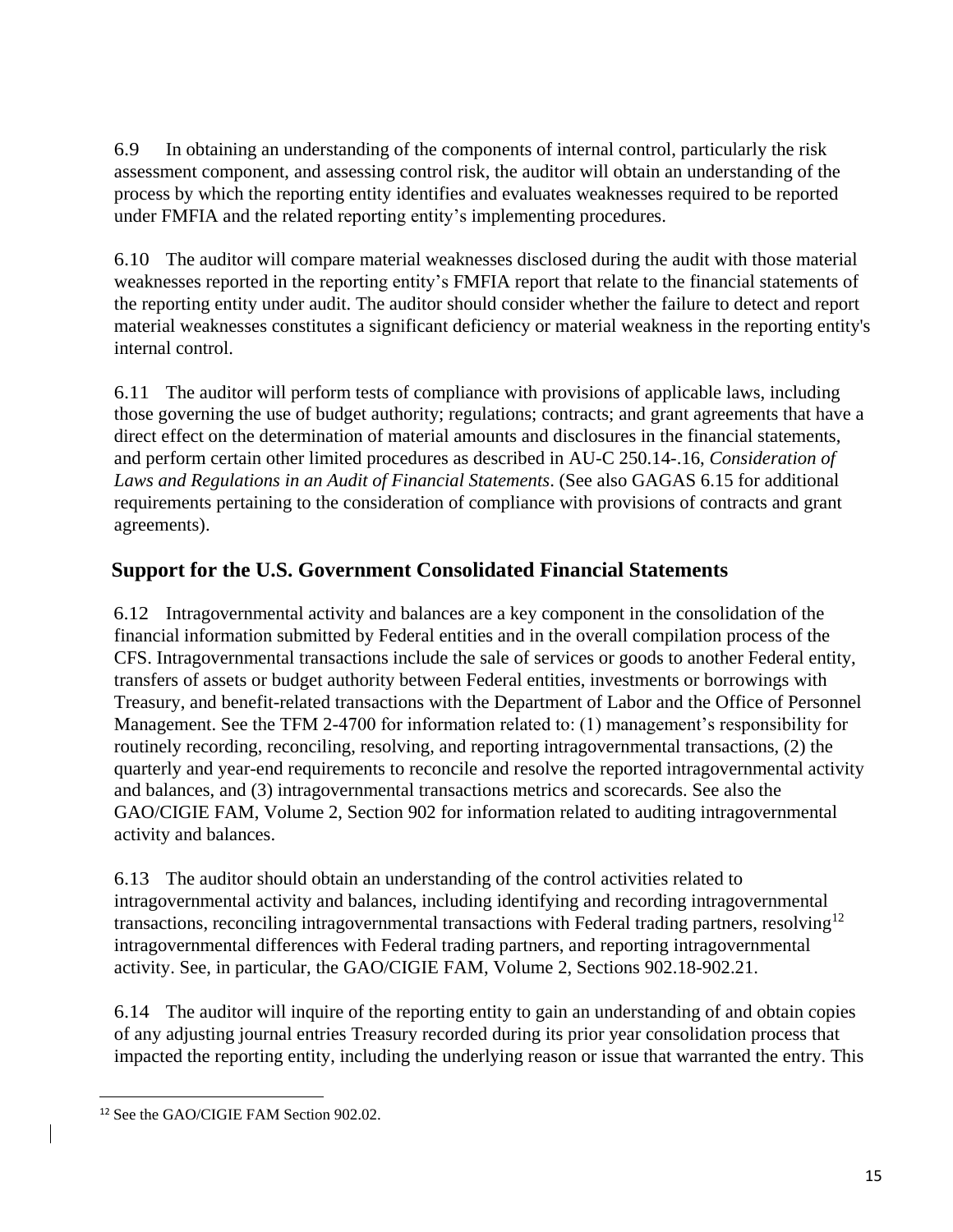6.9 In obtaining an understanding of the components of internal control, particularly the risk assessment component, and assessing control risk, the auditor will obtain an understanding of the process by which the reporting entity identifies and evaluates weaknesses required to be reported under FMFIA and the related reporting entity's implementing procedures.

 the reporting entity under audit. The auditor should consider whether the failure to detect and report 6.10 The auditor will compare material weaknesses disclosed during the audit with those material weaknesses reported in the reporting entity's FMFIA report that relate to the financial statements of material weaknesses constitutes a significant deficiency or material weakness in the reporting entity's internal control.

6.11 The auditor will perform tests of compliance with provisions of applicable laws, including those governing the use of budget authority; regulations; contracts; and grant agreements that have a direct effect on the determination of material amounts and disclosures in the financial statements, and perform certain other limited procedures as described in AU-C 250.14-.16, *Consideration of Laws and Regulations in an Audit of Financial Statements*. (See also GAGAS 6.15 for additional requirements pertaining to the consideration of compliance with provisions of contracts and grant agreements).

### <span id="page-14-0"></span>**Support for the U.S. Government Consolidated Financial Statements**

6.12 Intragovernmental activity and balances are a key component in the consolidation of the financial information submitted by Federal entities and in the overall compilation process of the CFS. Intragovernmental transactions include the sale of services or goods to another Federal entity, transfers of assets or budget authority between Federal entities, investments or borrowings with Treasury, and benefit-related transactions with the Department of Labor and the Office of Personnel Management. See the TFM 2-4700 for information related to: (1) management's responsibility for routinely recording, reconciling, resolving, and reporting intragovernmental transactions, (2) the quarterly and year-end requirements to reconcile and resolve the reported intragovernmental activity and balances, and (3) intragovernmental transactions metrics and scorecards. See also the GAO/CIGIE FAM, Volume 2, Section 902 for information related to auditing intragovernmental activity and balances.

activity. See, in particular, the GAO/CIGIE FAM, Volume 2, Sections 902.18-902.21. 6.13 The auditor should obtain an understanding of the control activities related to intragovernmental activity and balances, including identifying and recording intragovernmental transactions, reconciling intragovernmental transactions with Federal trading partners, resolving<sup>12</sup> intragovernmental differences with Federal trading partners, and reporting intragovernmental

6.14 The auditor will inquire of the reporting entity to gain an understanding of and obtain copies of any adjusting journal entries Treasury recorded during its prior year consolidation process that impacted the reporting entity, including the underlying reason or issue that warranted the entry. This

 $\overline{a}$ <sup>12</sup> See the GAO/CIGIE FAM Section 902.02.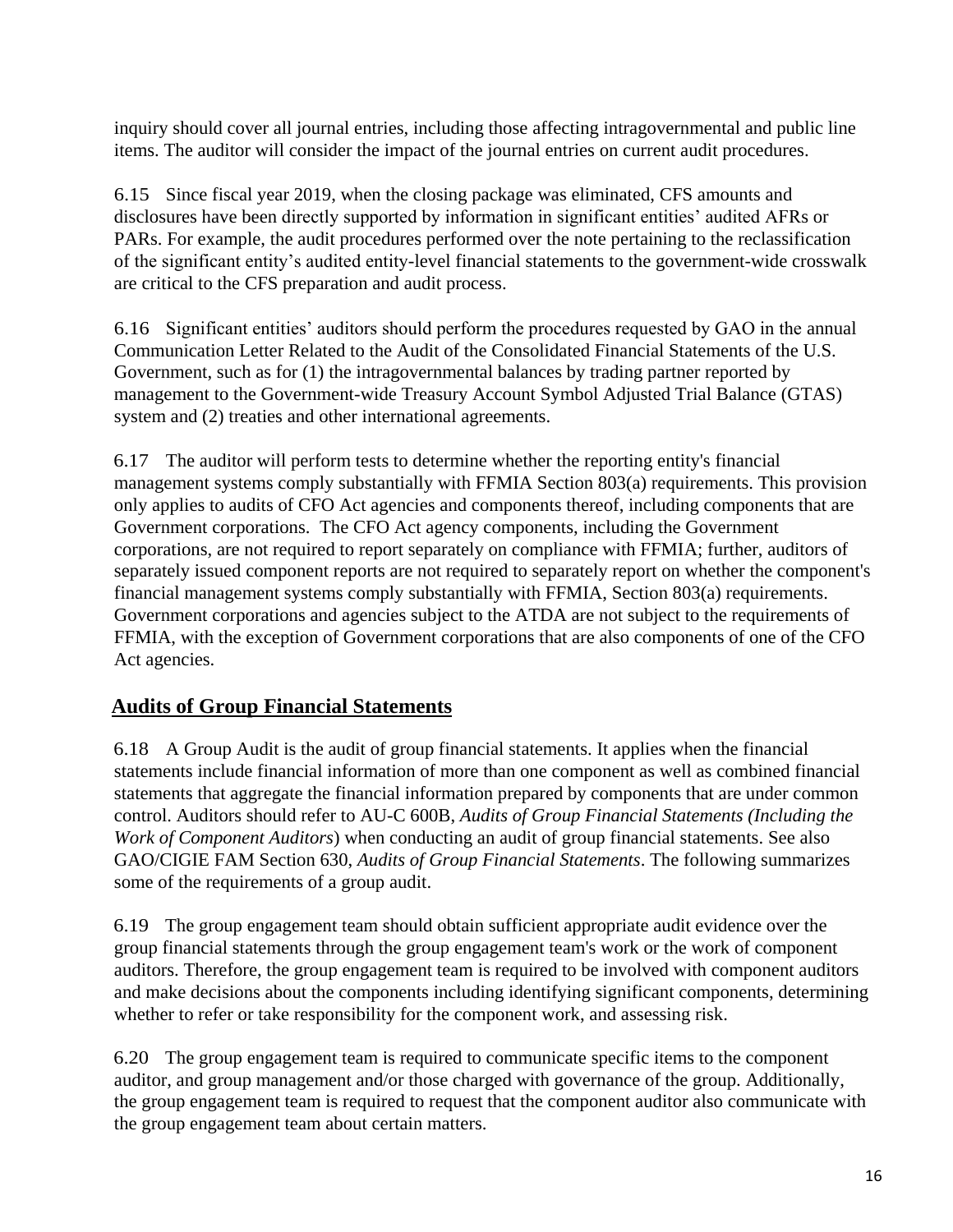inquiry should cover all journal entries, including those affecting intragovernmental and public line items. The auditor will consider the impact of the journal entries on current audit procedures.

6.15 Since fiscal year 2019, when the closing package was eliminated, CFS amounts and disclosures have been directly supported by information in significant entities' audited AFRs or PARs. For example, the audit procedures performed over the note pertaining to the reclassification of the significant entity's audited entity-level financial statements to the government-wide crosswalk are critical to the CFS preparation and audit process.

6.16 Significant entities' auditors should perform the procedures requested by GAO in the annual Communication Letter Related to the Audit of the Consolidated Financial Statements of the U.S. Government, such as for (1) the intragovernmental balances by trading partner reported by management to the Government-wide Treasury Account Symbol Adjusted Trial Balance (GTAS) system and (2) treaties and other international agreements.

financial management systems comply substantially with FFMIA, Section 803(a) requirements. 6.17 The auditor will perform tests to determine whether the reporting entity's financial management systems comply substantially with FFMIA Section 803(a) requirements. This provision only applies to audits of CFO Act agencies and components thereof, including components that are Government corporations. The CFO Act agency components, including the Government corporations, are not required to report separately on compliance with FFMIA; further, auditors of separately issued component reports are not required to separately report on whether the component's Government corporations and agencies subject to the ATDA are not subject to the requirements of FFMIA, with the exception of Government corporations that are also components of one of the CFO Act agencies.

### <span id="page-15-0"></span>**Audits of Group Financial Statements**

6.18 A Group Audit is the audit of group financial statements. It applies when the financial statements include financial information of more than one component as well as combined financial statements that aggregate the financial information prepared by components that are under common control. Auditors should refer to AU-C 600B, *Audits of Group Financial Statements (Including the Work of Component Auditors*) when conducting an audit of group financial statements. See also GAO/CIGIE FAM Section 630, *Audits of Group Financial Statements*. The following summarizes some of the requirements of a group audit.

6.19 The group engagement team should obtain sufficient appropriate audit evidence over the group financial statements through the group engagement team's work or the work of component auditors. Therefore, the group engagement team is required to be involved with component auditors and make decisions about the components including identifying significant components, determining whether to refer or take responsibility for the component work, and assessing risk.

6.20 The group engagement team is required to communicate specific items to the component auditor, and group management and/or those charged with governance of the group. Additionally, the group engagement team is required to request that the component auditor also communicate with the group engagement team about certain matters.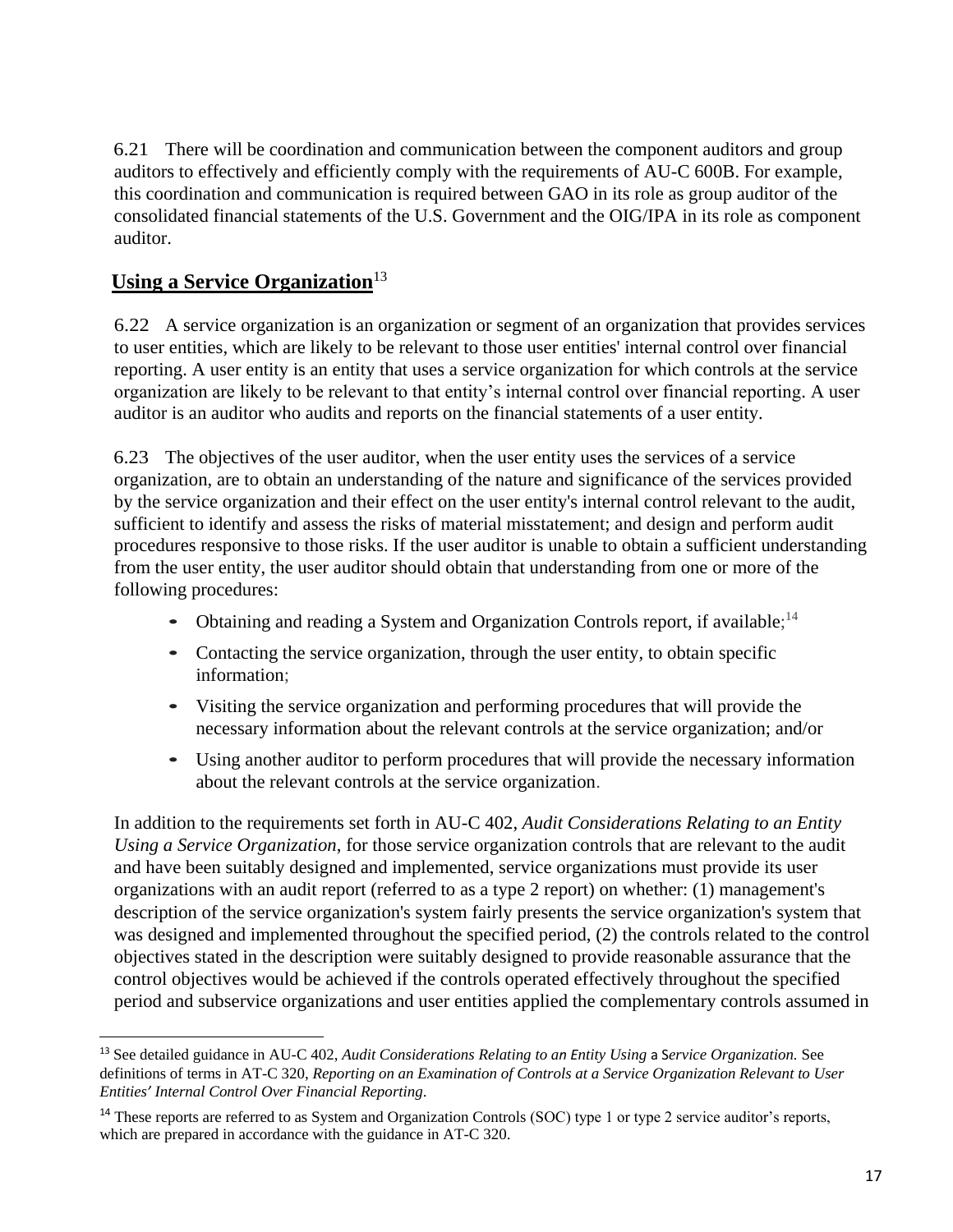6.21 There will be coordination and communication between the component auditors and group auditors to effectively and efficiently comply with the requirements of AU-C 600B. For example, this coordination and communication is required between GAO in its role as group auditor of the consolidated financial statements of the U.S. Government and the OIG/IPA in its role as component auditor.

# <span id="page-16-0"></span>**Using a Service Organization**<sup>13</sup>

 $\overline{a}$ 

6.22 A service organization is an organization or segment of an organization that provides services to user entities, which are likely to be relevant to those user entities' internal control over financial reporting. A user entity is an entity that uses a service organization for which controls at the service organization are likely to be relevant to that entity's internal control over financial reporting. A user auditor is an auditor who audits and reports on the financial statements of a user entity.

 by the service organization and their effect on the user entity's internal control relevant to the audit, 6.23 The objectives of the user auditor, when the user entity uses the services of a service organization, are to obtain an understanding of the nature and significance of the services provided sufficient to identify and assess the risks of material misstatement; and design and perform audit procedures responsive to those risks. If the user auditor is unable to obtain a sufficient understanding from the user entity, the user auditor should obtain that understanding from one or more of the following procedures:

- Obtaining and reading a System and Organization Controls report, if available;<sup>14</sup>
- Contacting the service organization, through the user entity, to obtain specific information;
- Visiting the service organization and performing procedures that will provide the necessary information about the relevant controls at the service organization; and/or
- Using another auditor to perform procedures that will provide the necessary information about the relevant controls at the service organization.

 description of the service organization's system fairly presents the service organization's system that In addition to the requirements set forth in AU-C 402, *Audit Considerations Relating to an Entity Using a Service Organization*, for those service organization controls that are relevant to the audit and have been suitably designed and implemented, service organizations must provide its user organizations with an audit report (referred to as a type 2 report) on whether: (1) management's was designed and implemented throughout the specified period, (2) the controls related to the control objectives stated in the description were suitably designed to provide reasonable assurance that the control objectives would be achieved if the controls operated effectively throughout the specified period and subservice organizations and user entities applied the complementary controls assumed in

<sup>13</sup>See detailed guidance in AU-C 402, *Audit Considerations Relating to an Entity Using* a S*ervice Organization.* See definitions of terms in AT-C 320, *Reporting on an Examination of Controls at a Service Organization Relevant to User Entities' Internal Control Over Financial Reporting*.

<sup>&</sup>lt;sup>14</sup> These reports are referred to as System and Organization Controls (SOC) type 1 or type 2 service auditor's reports, which are prepared in accordance with the guidance in AT-C 320.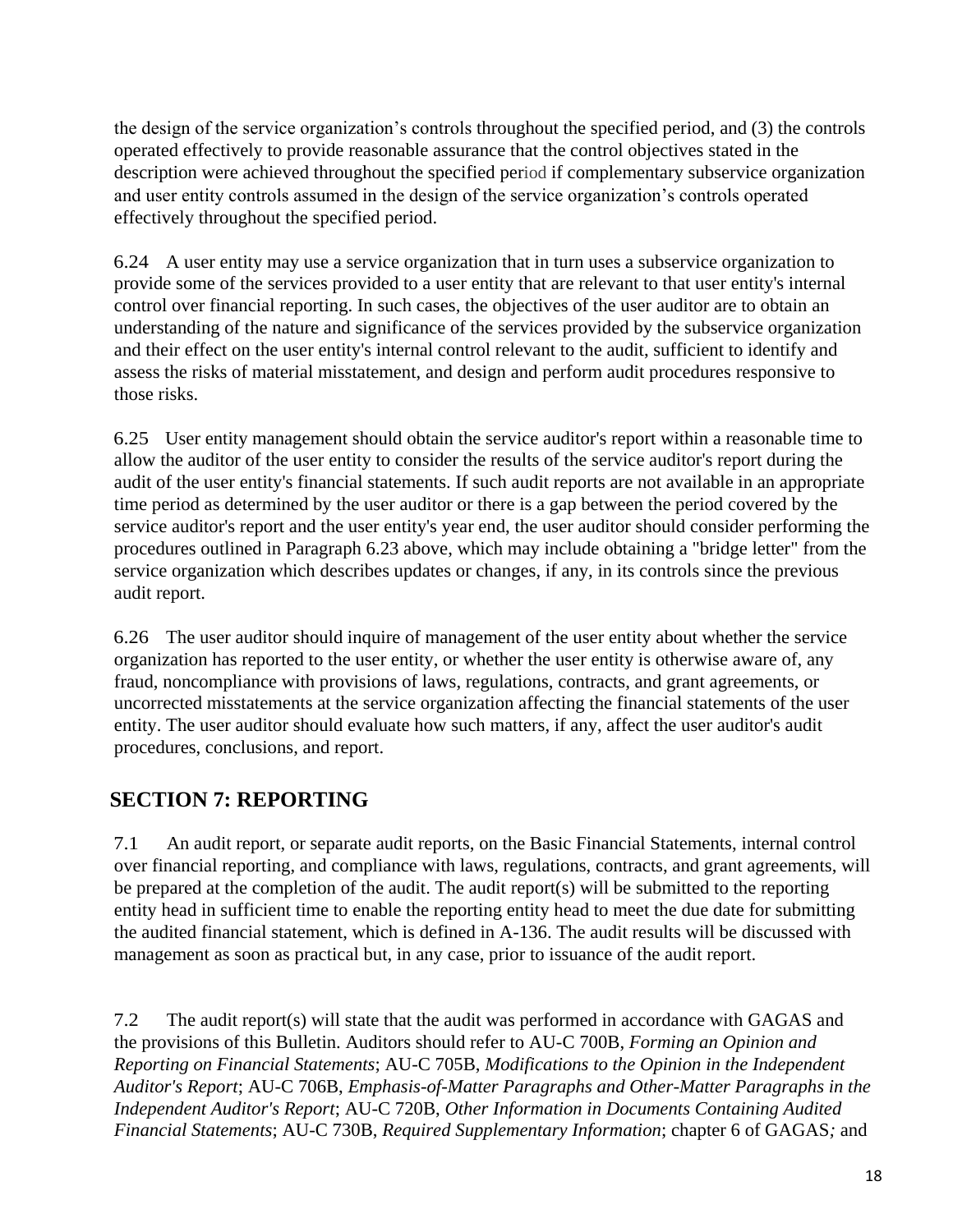the design of the service organization's controls throughout the specified period, and (3) the controls operated effectively to provide reasonable assurance that the control objectives stated in the description were achieved throughout the specified period if complementary subservice organization and user entity controls assumed in the design of the service organization's controls operated effectively throughout the specified period.

 provide some of the services provided to a user entity that are relevant to that user entity's internal assess the risks of material misstatement, and design and perform audit procedures responsive to 6.24 A user entity may use a service organization that in turn uses a subservice organization to control over financial reporting. In such cases, the objectives of the user auditor are to obtain an understanding of the nature and significance of the services provided by the subservice organization and their effect on the user entity's internal control relevant to the audit, sufficient to identify and those risks.

 service organization which describes updates or changes, if any, in its controls since the previous 6.25 User entity management should obtain the service auditor's report within a reasonable time to allow the auditor of the user entity to consider the results of the service auditor's report during the audit of the user entity's financial statements. If such audit reports are not available in an appropriate time period as determined by the user auditor or there is a gap between the period covered by the service auditor's report and the user entity's year end, the user auditor should consider performing the procedures outlined in Paragraph 6.23 above, which may include obtaining a "bridge letter" from the audit report.

6.26 The user auditor should inquire of management of the user entity about whether the service organization has reported to the user entity, or whether the user entity is otherwise aware of, any fraud, noncompliance with provisions of laws, regulations, contracts, and grant agreements, or uncorrected misstatements at the service organization affecting the financial statements of the user entity. The user auditor should evaluate how such matters, if any, affect the user auditor's audit procedures, conclusions, and report.

## <span id="page-17-0"></span>**SECTION 7: REPORTING**

7.1 An audit report, or separate audit reports, on the Basic Financial Statements, internal control over financial reporting, and compliance with laws, regulations, contracts, and grant agreements, will be prepared at the completion of the audit. The audit report(s) will be submitted to the reporting entity head in sufficient time to enable the reporting entity head to meet the due date for submitting the audited financial statement, which is defined in A-136. The audit results will be discussed with management as soon as practical but, in any case, prior to issuance of the audit report.

7.2 The audit report(s) will state that the audit was performed in accordance with GAGAS and the provisions of this Bulletin. Auditors should refer to AU-C 700B, *Forming an Opinion and Reporting on Financial Statements*; AU-C 705B, *Modifications to the Opinion in the Independent Auditor's Report*; AU-C 706B, *Emphasis-of-Matter Paragraphs and Other-Matter Paragraphs in the Independent Auditor's Report*; AU-C 720B, *Other Information in Documents Containing Audited Financial Statements*; AU-C 730B, *Required Supplementary Information*; chapter 6 of GAGAS*;* and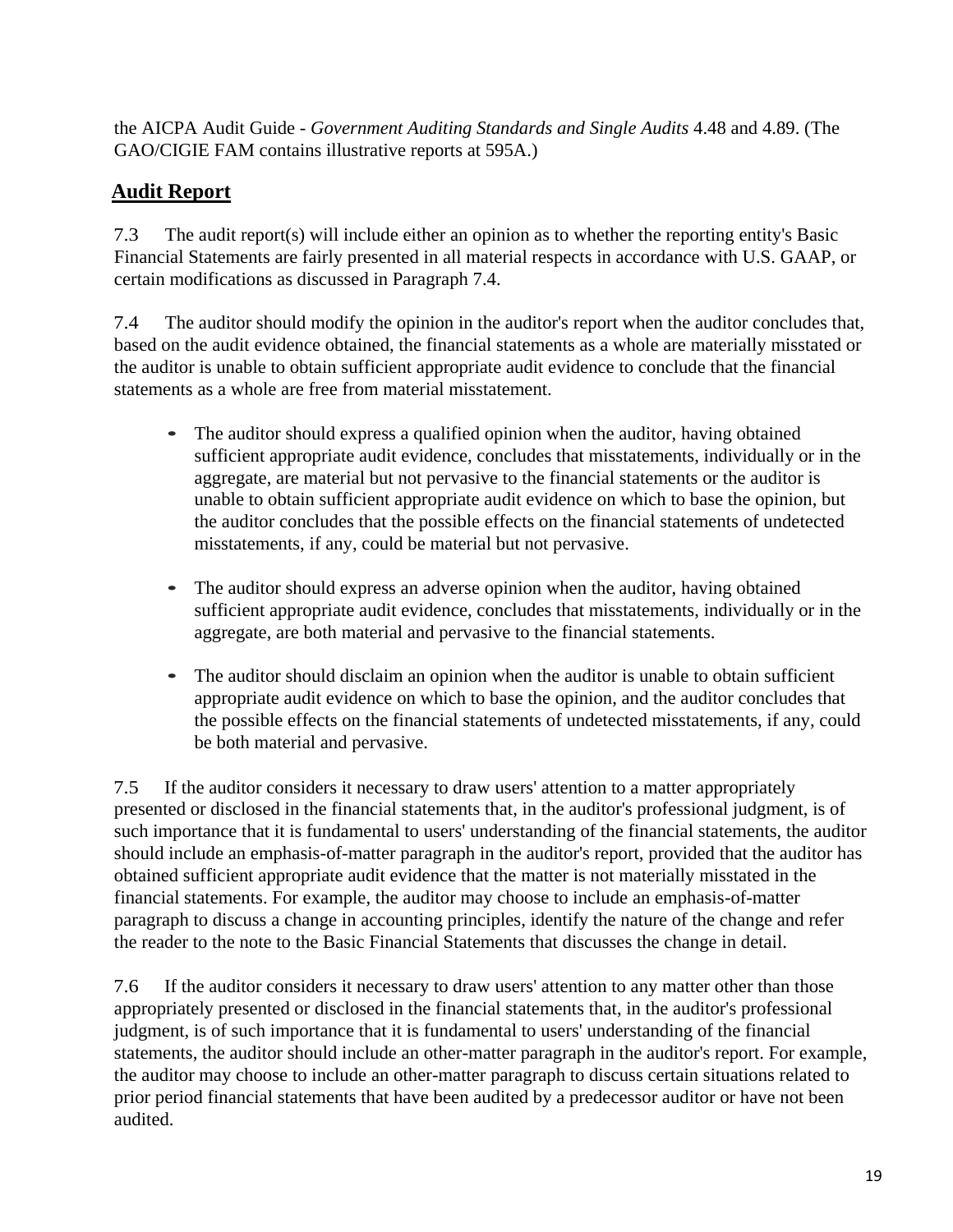the AICPA Audit Guide - *Government Auditing Standards and Single Audits* 4.48 and 4.89. (The GAO/CIGIE FAM contains illustrative reports at 595A.)

### <span id="page-18-0"></span>**Audit Report**

7.3 The audit report(s) will include either an opinion as to whether the reporting entity's Basic Financial Statements are fairly presented in all material respects in accordance with U.S. GAAP, or certain modifications as discussed in Paragraph 7.4.

7.4 The auditor should modify the opinion in the auditor's report when the auditor concludes that, based on the audit evidence obtained, the financial statements as a whole are materially misstated or the auditor is unable to obtain sufficient appropriate audit evidence to conclude that the financial statements as a whole are free from material misstatement.

- The auditor should express a qualified opinion when the auditor, having obtained sufficient appropriate audit evidence, concludes that misstatements, individually or in the aggregate, are material but not pervasive to the financial statements or the auditor is unable to obtain sufficient appropriate audit evidence on which to base the opinion, but the auditor concludes that the possible effects on the financial statements of undetected misstatements, if any, could be material but not pervasive.
- The auditor should express an adverse opinion when the auditor, having obtained sufficient appropriate audit evidence, concludes that misstatements, individually or in the aggregate, are both material and pervasive to the financial statements.
- The auditor should disclaim an opinion when the auditor is unable to obtain sufficient appropriate audit evidence on which to base the opinion, and the auditor concludes that the possible effects on the financial statements of undetected misstatements, if any, could be both material and pervasive.

7.5 If the auditor considers it necessary to draw users' attention to a matter appropriately presented or disclosed in the financial statements that, in the auditor's professional judgment, is of such importance that it is fundamental to users' understanding of the financial statements, the auditor should include an emphasis-of-matter paragraph in the auditor's report, provided that the auditor has obtained sufficient appropriate audit evidence that the matter is not materially misstated in the financial statements. For example, the auditor may choose to include an emphasis-of-matter paragraph to discuss a change in accounting principles, identify the nature of the change and refer the reader to the note to the Basic Financial Statements that discusses the change in detail.

 the auditor may choose to include an other-matter paragraph to discuss certain situations related to 7.6 If the auditor considers it necessary to draw users' attention to any matter other than those appropriately presented or disclosed in the financial statements that, in the auditor's professional judgment, is of such importance that it is fundamental to users' understanding of the financial statements, the auditor should include an other-matter paragraph in the auditor's report. For example, prior period financial statements that have been audited by a predecessor auditor or have not been audited.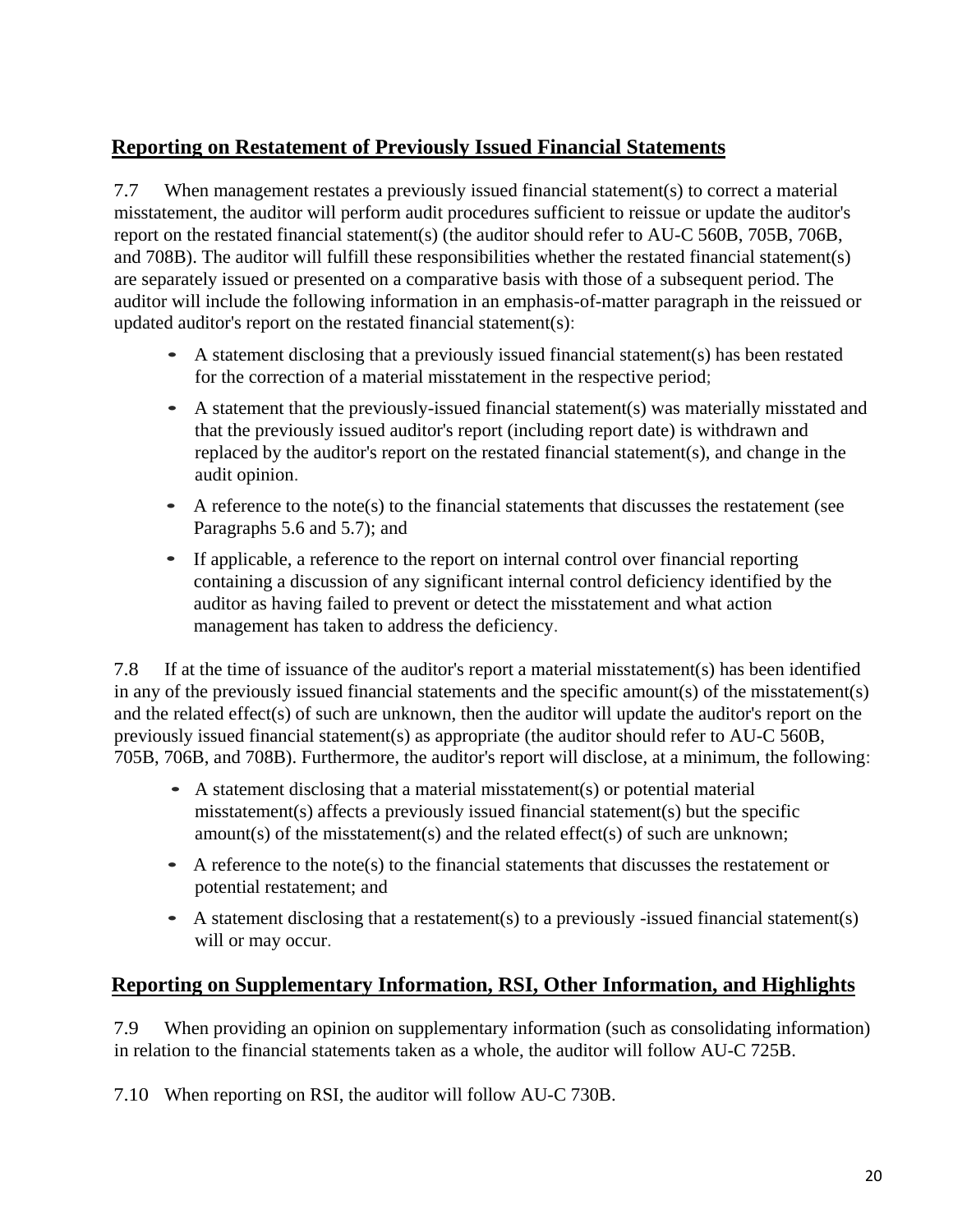### <span id="page-19-0"></span>**Reporting on Restatement of Previously Issued Financial Statements**

7.7 When management restates a previously issued financial statement(s) to correct a material misstatement, the auditor will perform audit procedures sufficient to reissue or update the auditor's report on the restated financial statement(s) (the auditor should refer to AU-C 560B, 705B, 706B, and 708B). The auditor will fulfill these responsibilities whether the restated financial statement(s) are separately issued or presented on a comparative basis with those of a subsequent period. The auditor will include the following information in an emphasis-of-matter paragraph in the reissued or updated auditor's report on the restated financial statement(s):

- A statement disclosing that a previously issued financial statement(s) has been restated for the correction of a material misstatement in the respective period;
- A statement that the previously-issued financial statement(s) was materially misstated and that the previously issued auditor's report (including report date) is withdrawn and replaced by the auditor's report on the restated financial statement(s), and change in the audit opinion.
- A reference to the note(s) to the financial statements that discusses the restatement (see Paragraphs 5.6 and 5.7); and
- If applicable, a reference to the report on internal control over financial reporting containing a discussion of any significant internal control deficiency identified by the auditor as having failed to prevent or detect the misstatement and what action management has taken to address the deficiency.

7.8 If at the time of issuance of the auditor's report a material misstatement(s) has been identified in any of the previously issued financial statements and the specific amount(s) of the misstatement(s) and the related effect(s) of such are unknown, then the auditor will update the auditor's report on the previously issued financial statement(s) as appropriate (the auditor should refer to AU-C 560B, 705B, 706B, and 708B). Furthermore, the auditor's report will disclose, at a minimum, the following:

- A statement disclosing that a material misstatement(s) or potential material misstatement(s) affects a previously issued financial statement(s) but the specific amount(s) of the misstatement(s) and the related effect(s) of such are unknown;
- A reference to the note(s) to the financial statements that discusses the restatement or potential restatement; and
- A statement disclosing that a restatement(s) to a previously -issued financial statement(s) will or may occur.

### <span id="page-19-1"></span>**Reporting on Supplementary Information, RSI, Other Information, and Highlights**

7.9 When providing an opinion on supplementary information (such as consolidating information) in relation to the financial statements taken as a whole, the auditor will follow AU-C 725B.

7.10 When reporting on RSI, the auditor will follow AU-C 730B.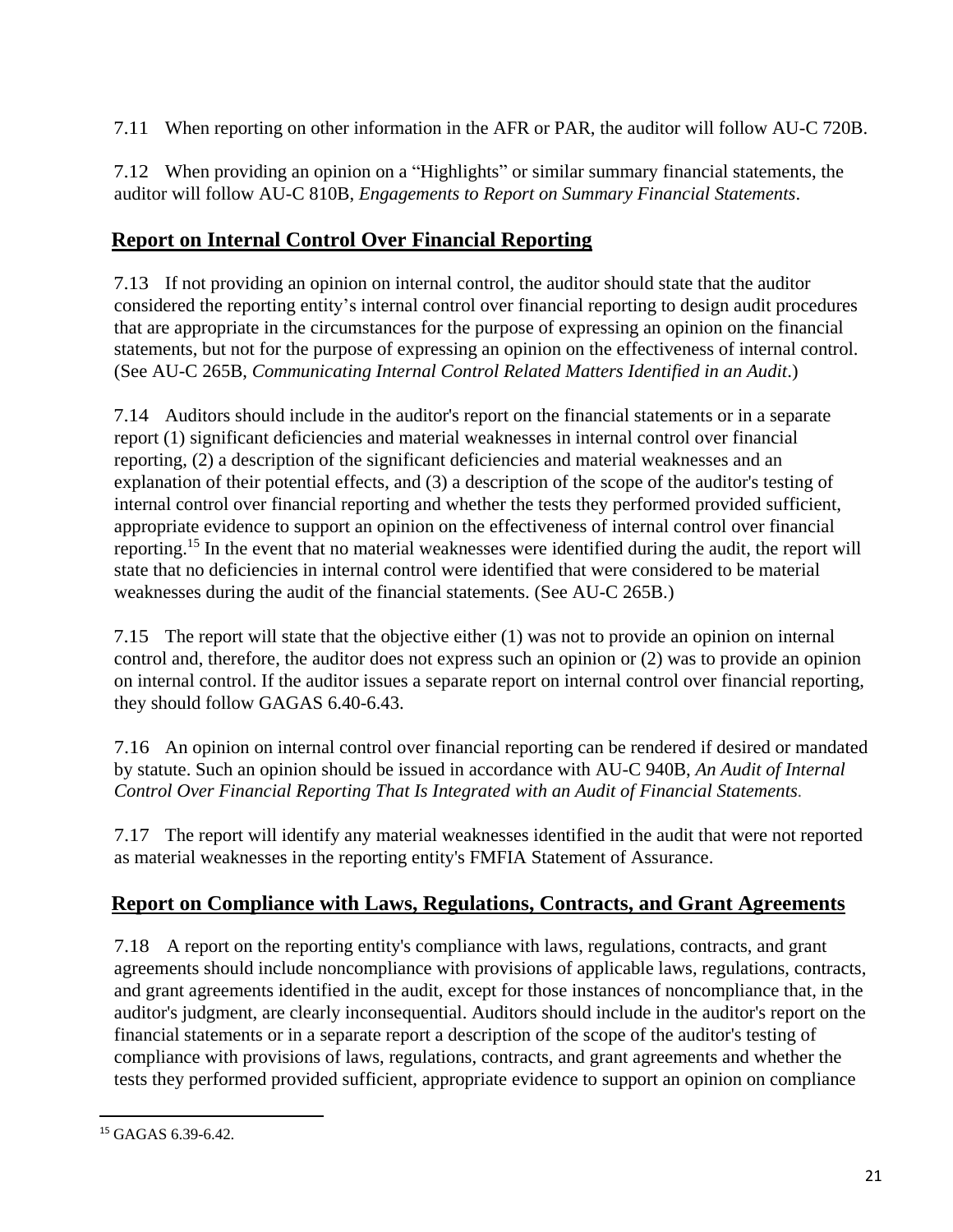7.11 When reporting on other information in the AFR or PAR, the auditor will follow AU-C 720B.

7.12 When providing an opinion on a "Highlights" or similar summary financial statements, the auditor will follow AU-C 810B, *Engagements to Report on Summary Financial Statements*.

### <span id="page-20-0"></span>**Report on Internal Control Over Financial Reporting**

7.13 If not providing an opinion on internal control, the auditor should state that the auditor considered the reporting entity's internal control over financial reporting to design audit procedures that are appropriate in the circumstances for the purpose of expressing an opinion on the financial statements, but not for the purpose of expressing an opinion on the effectiveness of internal control. (See AU-C 265B, *Communicating Internal Control Related Matters Identified in an Audit*.)

7.14 Auditors should include in the auditor's report on the financial statements or in a separate report (1) significant deficiencies and material weaknesses in internal control over financial reporting, (2) a description of the significant deficiencies and material weaknesses and an explanation of their potential effects, and (3) a description of the scope of the auditor's testing of internal control over financial reporting and whether the tests they performed provided sufficient, appropriate evidence to support an opinion on the effectiveness of internal control over financial reporting. 15 In the event that no material weaknesses were identified during the audit, the report will state that no deficiencies in internal control were identified that were considered to be material weaknesses during the audit of the financial statements. (See AU-C 265B.)

7.15 The report will state that the objective either (1) was not to provide an opinion on internal control and, therefore, the auditor does not express such an opinion or (2) was to provide an opinion on internal control. If the auditor issues a separate report on internal control over financial reporting, they should follow GAGAS 6.40-6.43.

7.16 An opinion on internal control over financial reporting can be rendered if desired or mandated by statute. Such an opinion should be issued in accordance with AU-C 940B, *An Audit of Internal Control Over Financial Reporting That Is Integrated with an Audit of Financial Statements.* 

7.17 The report will identify any material weaknesses identified in the audit that were not reported as material weaknesses in the reporting entity's FMFIA Statement of Assurance.

## <span id="page-20-1"></span>**Report on Compliance with Laws, Regulations, Contracts, and Grant Agreements**

7.18 A report on the reporting entity's compliance with laws, regulations, contracts, and grant agreements should include noncompliance with provisions of applicable laws, regulations, contracts, and grant agreements identified in the audit, except for those instances of noncompliance that, in the auditor's judgment, are clearly inconsequential. Auditors should include in the auditor's report on the financial statements or in a separate report a description of the scope of the auditor's testing of compliance with provisions of laws, regulations, contracts, and grant agreements and whether the tests they performed provided sufficient, appropriate evidence to support an opinion on compliance

 $\overline{a}$ 

<sup>15</sup>GAGAS 6.39-6.42.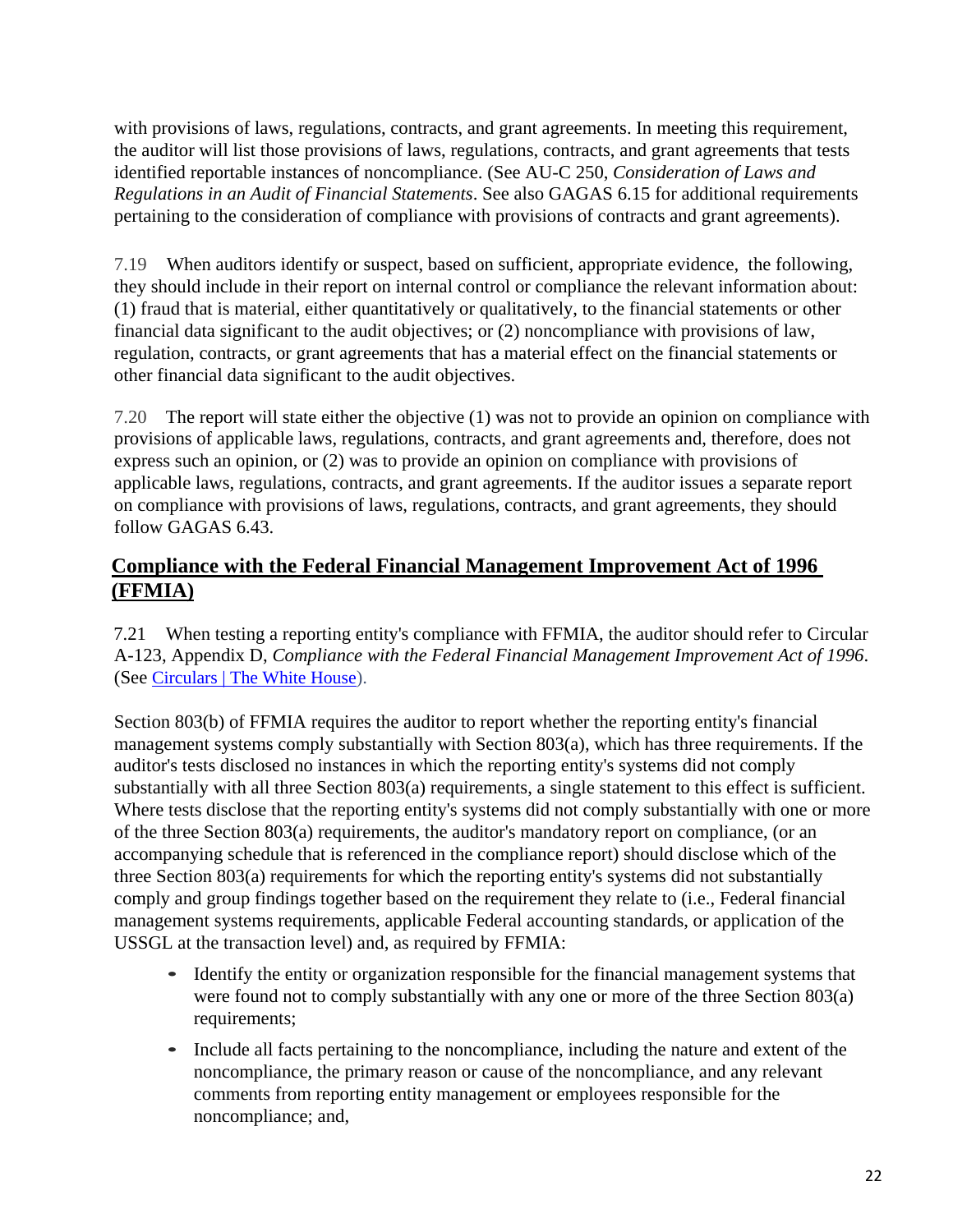the auditor will list those provisions of laws, regulations, contracts, and grant agreements that tests pertaining to the consideration of compliance with provisions of contracts and grant agreements). with provisions of laws, regulations, contracts, and grant agreements. In meeting this requirement, identified reportable instances of noncompliance. (See AU-C 250, *Consideration of Laws and Regulations in an Audit of Financial Statements*. See also GAGAS 6.15 for additional requirements

 they should include in their report on internal control or compliance the relevant information about: 7.19 When auditors identify or suspect, based on sufficient, appropriate evidence, the following, (1) fraud that is material, either quantitatively or qualitatively, to the financial statements or other financial data significant to the audit objectives; or (2) noncompliance with provisions of law, regulation, contracts, or grant agreements that has a material effect on the financial statements or other financial data significant to the audit objectives.

7.20 The report will state either the objective (1) was not to provide an opinion on compliance with provisions of applicable laws, regulations, contracts, and grant agreements and, therefore, does not express such an opinion, or (2) was to provide an opinion on compliance with provisions of applicable laws, regulations, contracts, and grant agreements. If the auditor issues a separate report on compliance with provisions of laws, regulations, contracts, and grant agreements, they should follow GAGAS 6.43.

### <span id="page-21-0"></span>**Compliance with the Federal Financial Management Improvement Act of 1996 (FFMIA)**

7.21 When testing a reporting entity's compliance with FFMIA, the auditor should refer to Circular A-123, Appendix D, *Compliance with the Federal Financial Management Improvement Act of 1996*. (See [Circulars | The White House\)](https://www.whitehouse.gov/omb/information-for-agencies/circulars/).

Section 803(b) of FFMIA requires the auditor to report whether the reporting entity's financial management systems comply substantially with Section 803(a), which has three requirements. If the auditor's tests disclosed no instances in which the reporting entity's systems did not comply substantially with all three Section 803(a) requirements, a single statement to this effect is sufficient. Where tests disclose that the reporting entity's systems did not comply substantially with one or more of the three Section 803(a) requirements, the auditor's mandatory report on compliance, (or an accompanying schedule that is referenced in the compliance report) should disclose which of the three Section 803(a) requirements for which the reporting entity's systems did not substantially comply and group findings together based on the requirement they relate to (i.e., Federal financial management systems requirements, applicable Federal accounting standards, or application of the USSGL at the transaction level) and, as required by FFMIA:

- Identify the entity or organization responsible for the financial management systems that were found not to comply substantially with any one or more of the three Section 803(a) requirements;
- Include all facts pertaining to the noncompliance, including the nature and extent of the noncompliance, the primary reason or cause of the noncompliance, and any relevant comments from reporting entity management or employees responsible for the noncompliance; and,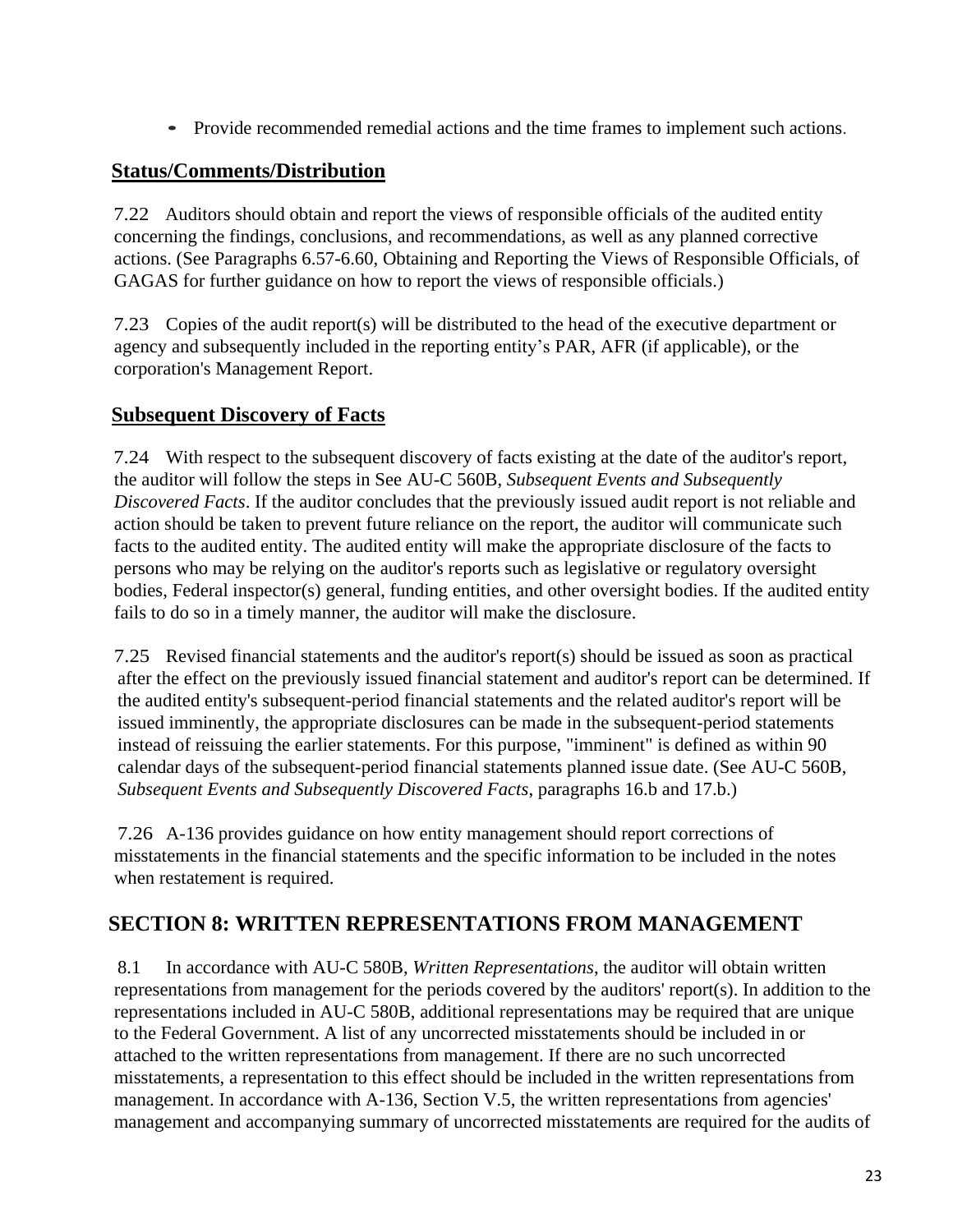• Provide recommended remedial actions and the time frames to implement such actions.

### <span id="page-22-0"></span>**Status/Comments/Distribution**

7.22 Auditors should obtain and report the views of responsible officials of the audited entity concerning the findings, conclusions, and recommendations, as well as any planned corrective actions. (See Paragraphs 6.57-6.60, Obtaining and Reporting the Views of Responsible Officials, of GAGAS for further guidance on how to report the views of responsible officials.)

7.23 Copies of the audit report(s) will be distributed to the head of the executive department or agency and subsequently included in the reporting entity's PAR, AFR (if applicable), or the corporation's Management Report.

### <span id="page-22-1"></span>**Subsequent Discovery of Facts**

7.24 With respect to the subsequent discovery of facts existing at the date of the auditor's report, the auditor will follow the steps in See AU-C 560B, *Subsequent Events and Subsequently Discovered Facts*. If the auditor concludes that the previously issued audit report is not reliable and action should be taken to prevent future reliance on the report, the auditor will communicate such facts to the audited entity. The audited entity will make the appropriate disclosure of the facts to persons who may be relying on the auditor's reports such as legislative or regulatory oversight bodies, Federal inspector(s) general, funding entities, and other oversight bodies. If the audited entity fails to do so in a timely manner, the auditor will make the disclosure.

7.25 Revised financial statements and the auditor's report(s) should be issued as soon as practical after the effect on the previously issued financial statement and auditor's report can be determined. If the audited entity's subsequent-period financial statements and the related auditor's report will be issued imminently, the appropriate disclosures can be made in the subsequent-period statements instead of reissuing the earlier statements. For this purpose, "imminent" is defined as within 90 calendar days of the subsequent-period financial statements planned issue date. (See AU-C 560B, *Subsequent Events and Subsequently Discovered Facts*, paragraphs 16.b and 17.b.)

7.26 A-136 provides guidance on how entity management should report corrections of misstatements in the financial statements and the specific information to be included in the notes when restatement is required.

### <span id="page-22-2"></span>**SECTION 8: WRITTEN REPRESENTATIONS FROM MANAGEMENT**

8.1 In accordance with AU-C 580B, *Written Representations*, the auditor will obtain written representations from management for the periods covered by the auditors' report(s). In addition to the representations included in AU-C 580B, additional representations may be required that are unique to the Federal Government. A list of any uncorrected misstatements should be included in or attached to the written representations from management. If there are no such uncorrected misstatements, a representation to this effect should be included in the written representations from management. In accordance with A-136, Section V.5, the written representations from agencies' management and accompanying summary of uncorrected misstatements are required for the audits of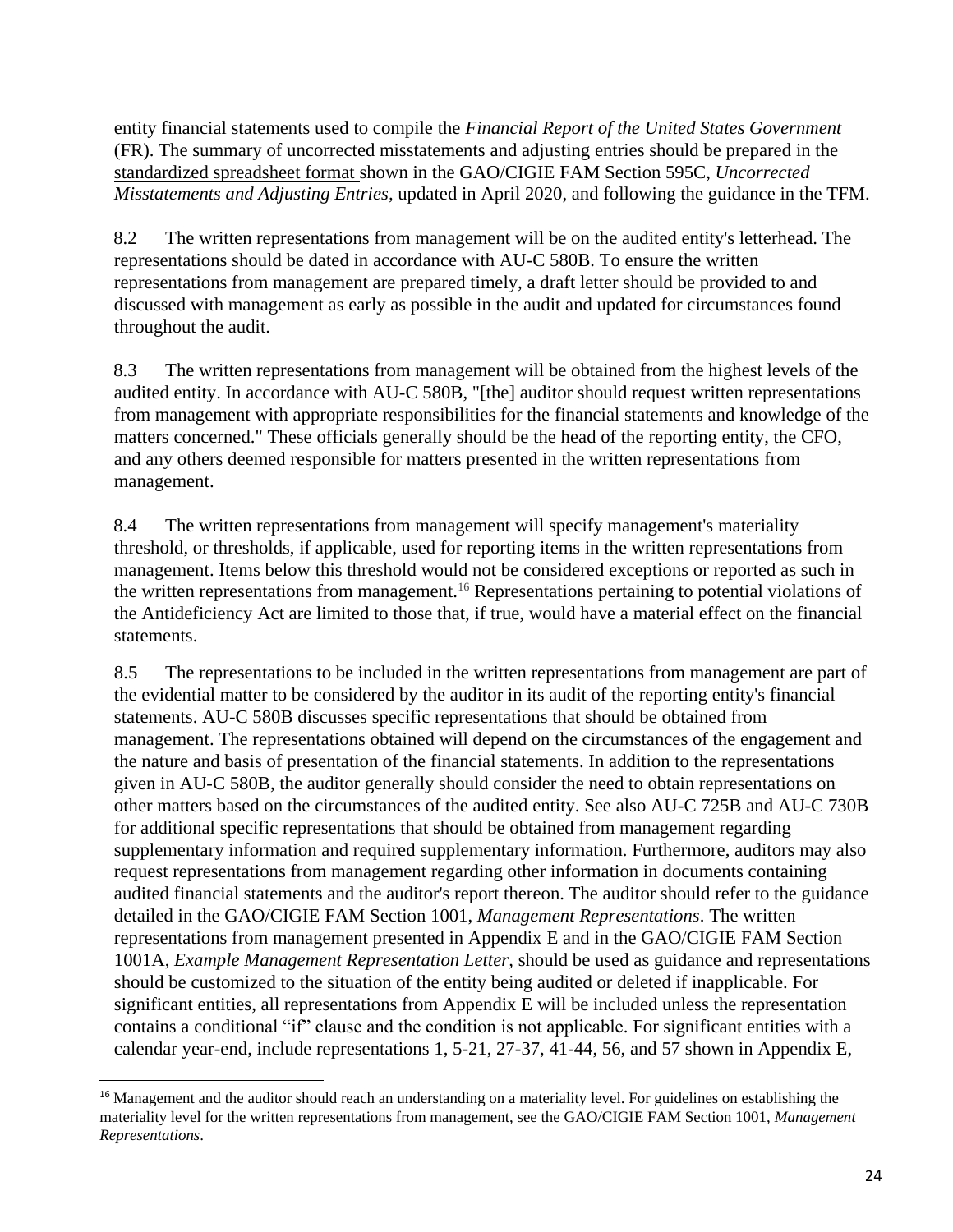entity financial statements used to compile the *Financial Report of the United States Government*  (FR). The summary of uncorrected misstatements and adjusting entries should be prepared in the standardized spreadsheet format shown in the GAO/CIGIE FAM Section 595C, *Uncorrected Misstatements and Adjusting Entries,* updated in April 2020, and following the guidance in the TFM.

8.2 The written representations from management will be on the audited entity's letterhead. The representations should be dated in accordance with AU-C 580B. To ensure the written representations from management are prepared timely, a draft letter should be provided to and discussed with management as early as possible in the audit and updated for circumstances found throughout the audit.

8.3 The written representations from management will be obtained from the highest levels of the audited entity. In accordance with AU-C 580B, "[the] auditor should request written representations from management with appropriate responsibilities for the financial statements and knowledge of the matters concerned." These officials generally should be the head of the reporting entity, the CFO, and any others deemed responsible for matters presented in the written representations from management.

8.4 The written representations from management will specify management's materiality threshold, or thresholds, if applicable, used for reporting items in the written representations from management. Items below this threshold would not be considered exceptions or reported as such in the written representations from management.<sup>16</sup> Representations pertaining to potential violations of the Antideficiency Act are limited to those that, if true, would have a material effect on the financial statements.

8.5 The representations to be included in the written representations from management are part of the evidential matter to be considered by the auditor in its audit of the reporting entity's financial statements. AU-C 580B discusses specific representations that should be obtained from management. The representations obtained will depend on the circumstances of the engagement and the nature and basis of presentation of the financial statements. In addition to the representations given in AU-C 580B, the auditor generally should consider the need to obtain representations on other matters based on the circumstances of the audited entity. See also AU-C 725B and AU-C 730B for additional specific representations that should be obtained from management regarding supplementary information and required supplementary information. Furthermore, auditors may also request representations from management regarding other information in documents containing audited financial statements and the auditor's report thereon. The auditor should refer to the guidance detailed in the GAO/CIGIE FAM Section 1001, *Management Representations*. The written representations from management presented in Appendix E and in the GAO/CIGIE FAM Section 1001A, *Example Management Representation Letter,* should be used as guidance and representations should be customized to the situation of the entity being audited or deleted if inapplicable. For significant entities, all representations from Appendix E will be included unless the representation contains a conditional "if" clause and the condition is not applicable. For significant entities with a calendar year-end, include representations 1, 5-21, 27-37, 41-44, 56, and 57 shown in Appendix E,

 $\overline{a}$ 

<sup>&</sup>lt;sup>16</sup> Management and the auditor should reach an understanding on a materiality level. For guidelines on establishing the materiality level for the written representations from management, see the GAO/CIGIE FAM Section 1001, *Management Representations*.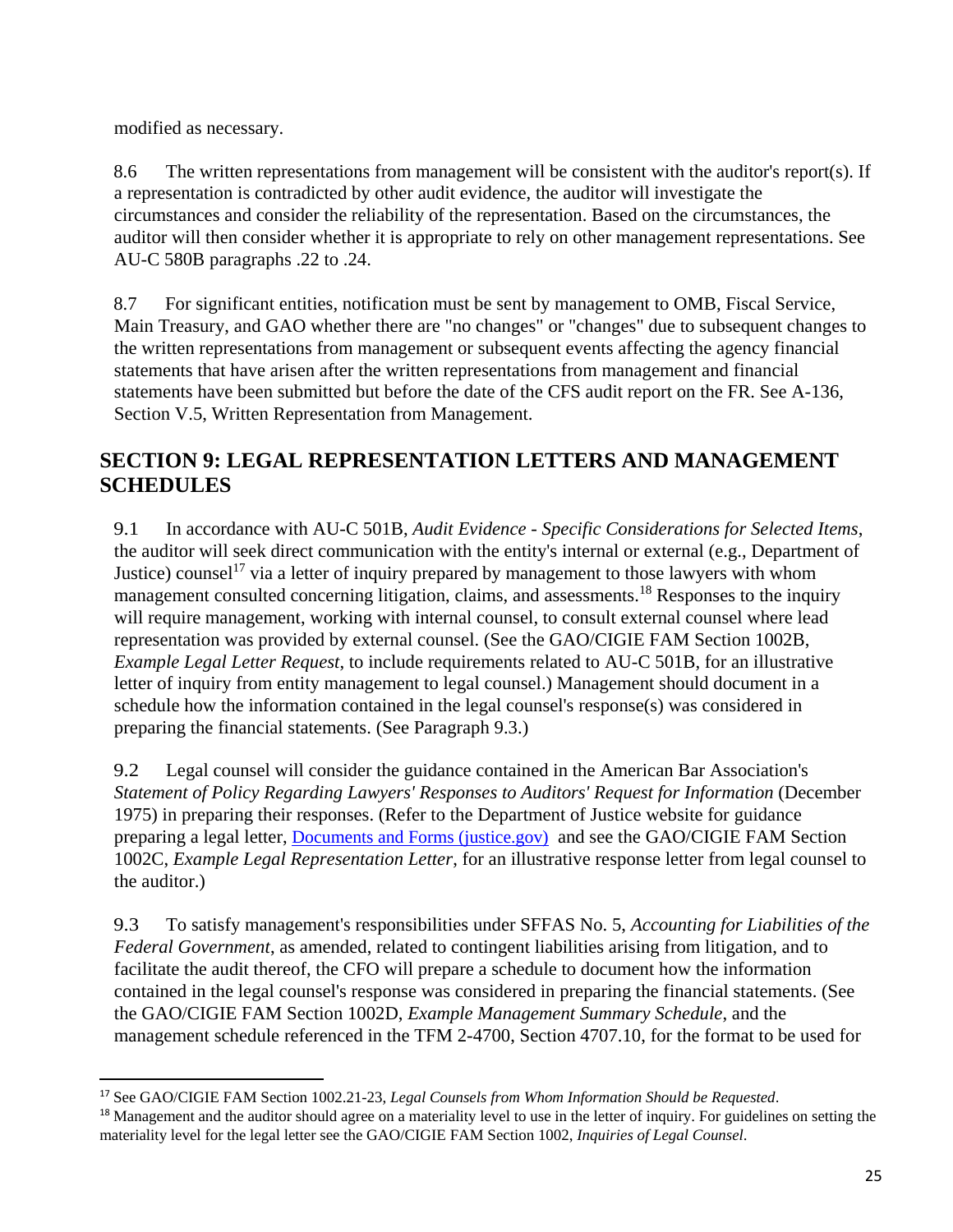modified as necessary.

 auditor will then consider whether it is appropriate to rely on other management representations. See 8.6 The written representations from management will be consistent with the auditor's report(s). If a representation is contradicted by other audit evidence, the auditor will investigate the circumstances and consider the reliability of the representation. Based on the circumstances, the AU-C 580B paragraphs .22 to .24.

8.7 For significant entities, notification must be sent by management to OMB, Fiscal Service, Main Treasury, and GAO whether there are "no changes" or "changes" due to subsequent changes to the written representations from management or subsequent events affecting the agency financial statements that have arisen after the written representations from management and financial statements have been submitted but before the date of the CFS audit report on the FR. See A-136, Section V.5, Written Representation from Management.

## <span id="page-24-0"></span>**SECTION 9: LEGAL REPRESENTATION LETTERS AND MANAGEMENT SCHEDULES**

9.1 In accordance with AU-C 501B, *Audit Evidence - Specific Considerations for Selected Items*, the auditor will seek direct communication with the entity's internal or external (e.g., Department of Justice) counsel<sup>17</sup> via a letter of inquiry prepared by management to those lawyers with whom management consulted concerning litigation, claims, and assessments.<sup>18</sup> Responses to the inquiry will require management, working with internal counsel, to consult external counsel where lead representation was provided by external counsel. (See the GAO/CIGIE FAM Section 1002B, *Example Legal Letter Request*, to include requirements related to AU-C 501B, for an illustrative letter of inquiry from entity management to legal counsel.) Management should document in a schedule how the information contained in the legal counsel's response(s) was considered in preparing the financial statements. (See Paragraph 9.3.)

9.2 Legal counsel will consider the guidance contained in the American Bar Association's *Statement of Policy Regarding Lawyers' Responses to Auditors' Request for Information* (December 1975) in preparing their responses. (Refer to the Department of Justice website for guidance preparing a legal letter, **Documents and Forms (justice.gov)** and see the GAO/CIGIE FAM Section 1002C, *Example Legal Representation Letter*, for an illustrative response letter from legal counsel to the auditor.)

9.3 To satisfy management's responsibilities under SFFAS No. 5, *Accounting for Liabilities of the Federal Government*, as amended, related to contingent liabilities arising from litigation, and to facilitate the audit thereof, the CFO will prepare a schedule to document how the information contained in the legal counsel's response was considered in preparing the financial statements. (See the GAO/CIGIE FAM Section 1002D, *Example Management Summary Schedule*, and the management schedule referenced in the TFM 2-4700, Section 4707.10, for the format to be used for

 $\overline{a}$ 

<sup>&</sup>lt;sup>17</sup> See GAO/CIGIE FAM Section 1002.21-23, *Legal Counsels from Whom Information Should be Requested*.<br><sup>18</sup> Management and the auditor should agree on a materiality level to use in the letter of inquiry. For guidelines on materiality level for the legal letter see the GAO/CIGIE FAM Section 1002, *Inquiries of Legal Counsel*.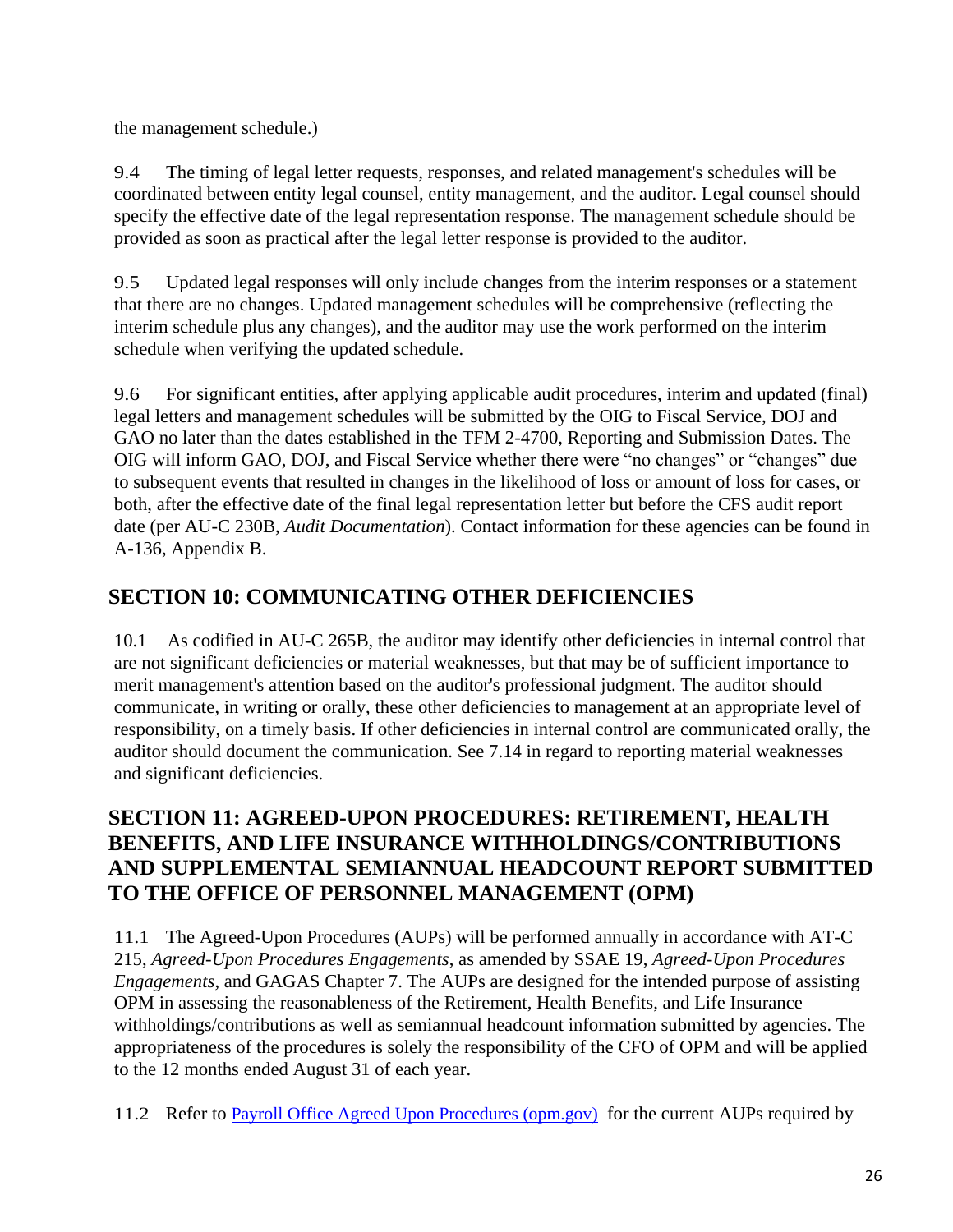the management schedule.)

9.4 The timing of legal letter requests, responses, and related management's schedules will be coordinated between entity legal counsel, entity management, and the auditor. Legal counsel should specify the effective date of the legal representation response. The management schedule should be provided as soon as practical after the legal letter response is provided to the auditor.

9.5 Updated legal responses will only include changes from the interim responses or a statement that there are no changes. Updated management schedules will be comprehensive (reflecting the interim schedule plus any changes), and the auditor may use the work performed on the interim schedule when verifying the updated schedule.

9.6 For significant entities, after applying applicable audit procedures, interim and updated (final) legal letters and management schedules will be submitted by the OIG to Fiscal Service, DOJ and GAO no later than the dates established in the TFM 2-4700, Reporting and Submission Dates. The OIG will inform GAO, DOJ, and Fiscal Service whether there were "no changes" or "changes" due to subsequent events that resulted in changes in the likelihood of loss or amount of loss for cases, or both, after the effective date of the final legal representation letter but before the CFS audit report date (per AU-C 230B, *Audit Documentation*). Contact information for these agencies can be found in A-136, Appendix B.

# <span id="page-25-0"></span>**SECTION 10: COMMUNICATING OTHER DEFICIENCIES**

10.1 As codified in AU-C 265B, the auditor may identify other deficiencies in internal control that are not significant deficiencies or material weaknesses, but that may be of sufficient importance to merit management's attention based on the auditor's professional judgment. The auditor should communicate, in writing or orally, these other deficiencies to management at an appropriate level of responsibility, on a timely basis. If other deficiencies in internal control are communicated orally, the auditor should document the communication. See 7.14 in regard to reporting material weaknesses and significant deficiencies.

## <span id="page-25-1"></span> **TO THE OFFICE OF PERSONNEL MANAGEMENT (OPM) SECTION 11: AGREED-UPON PROCEDURES: RETIREMENT, HEALTH BENEFITS, AND LIFE INSURANCE WITHHOLDINGS/CONTRIBUTIONS AND SUPPLEMENTAL SEMIANNUAL HEADCOUNT REPORT SUBMITTED**

11.1 The Agreed-Upon Procedures (AUPs) will be performed annually in accordance with AT-C 215, *Agreed-Upon Procedures Engagements*, as amended by SSAE 19, *Agreed-Upon Procedures Engagements*, and GAGAS Chapter 7. The AUPs are designed for the intended purpose of assisting OPM in assessing the reasonableness of the Retirement, Health Benefits, and Life Insurance withholdings/contributions as well as semiannual headcount information submitted by agencies. The appropriateness of the procedures is solely the responsibility of the CFO of OPM and will be applied to the 12 months ended August 31 of each year.

11.2 Refer to [Payroll Office Agreed Upon Procedures \(opm.gov\)](https://www.opm.gov/our-inspector-general/payroll-office-agreed-upon-procedures/) for the current AUPs required by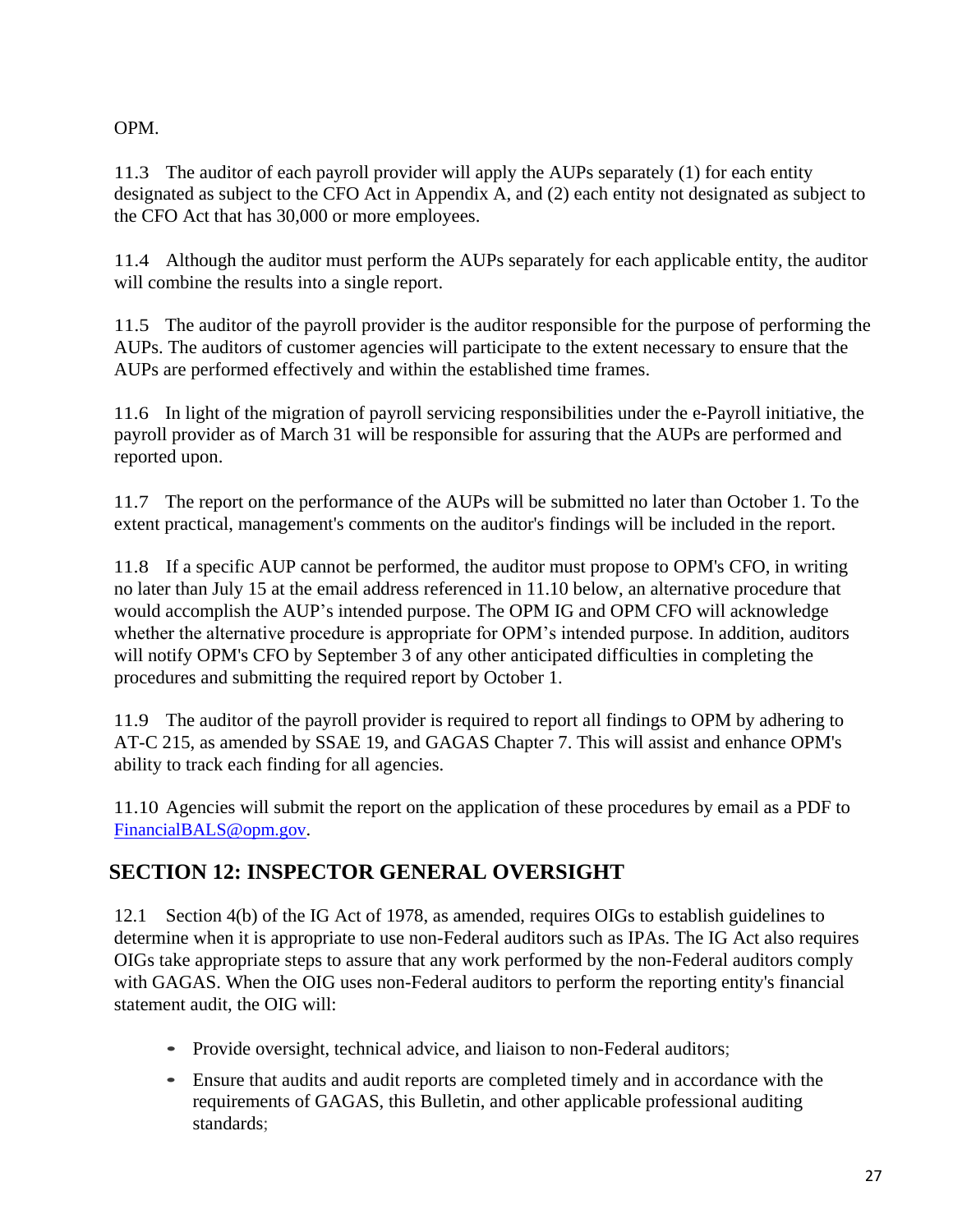OPM.

11.3 The auditor of each payroll provider will apply the AUPs separately (1) for each entity designated as subject to the CFO Act in Appendix A, and (2) each entity not designated as subject to the CFO Act that has 30,000 or more employees.

11.4 Although the auditor must perform the AUPs separately for each applicable entity, the auditor will combine the results into a single report.

11.5 The auditor of the payroll provider is the auditor responsible for the purpose of performing the AUPs. The auditors of customer agencies will participate to the extent necessary to ensure that the AUPs are performed effectively and within the established time frames.

11.6 In light of the migration of payroll servicing responsibilities under the e-Payroll initiative, the payroll provider as of March 31 will be responsible for assuring that the AUPs are performed and reported upon.

11.7 The report on the performance of the AUPs will be submitted no later than October 1. To the extent practical, management's comments on the auditor's findings will be included in the report.

11.8 If a specific AUP cannot be performed, the auditor must propose to OPM's CFO, in writing no later than July 15 at the email address referenced in 11.10 below, an alternative procedure that would accomplish the AUP's intended purpose. The OPM IG and OPM CFO will acknowledge whether the alternative procedure is appropriate for OPM's intended purpose. In addition, auditors will notify OPM's CFO by September 3 of any other anticipated difficulties in completing the procedures and submitting the required report by October 1.

11.9 The auditor of the payroll provider is required to report all findings to OPM by adhering to AT-C 215, as amended by SSAE 19, and GAGAS Chapter 7. This will assist and enhance OPM's ability to track each finding for all agencies.

11.10 Agencies will submit the report on the application of these procedures by email as a PDF to [FinancialBALS@opm.gov.](mailto:FinancialBALS@opm.gov)

# <span id="page-26-0"></span>**SECTION 12: INSPECTOR GENERAL OVERSIGHT**

12.1 Section 4(b) of the IG Act of 1978, as amended, requires OIGs to establish guidelines to determine when it is appropriate to use non-Federal auditors such as IPAs. The IG Act also requires OIGs take appropriate steps to assure that any work performed by the non-Federal auditors comply with GAGAS. When the OIG uses non-Federal auditors to perform the reporting entity's financial statement audit, the OIG will:

- Provide oversight, technical advice, and liaison to non-Federal auditors;
- Ensure that audits and audit reports are completed timely and in accordance with the requirements of GAGAS, this Bulletin, and other applicable professional auditing standards;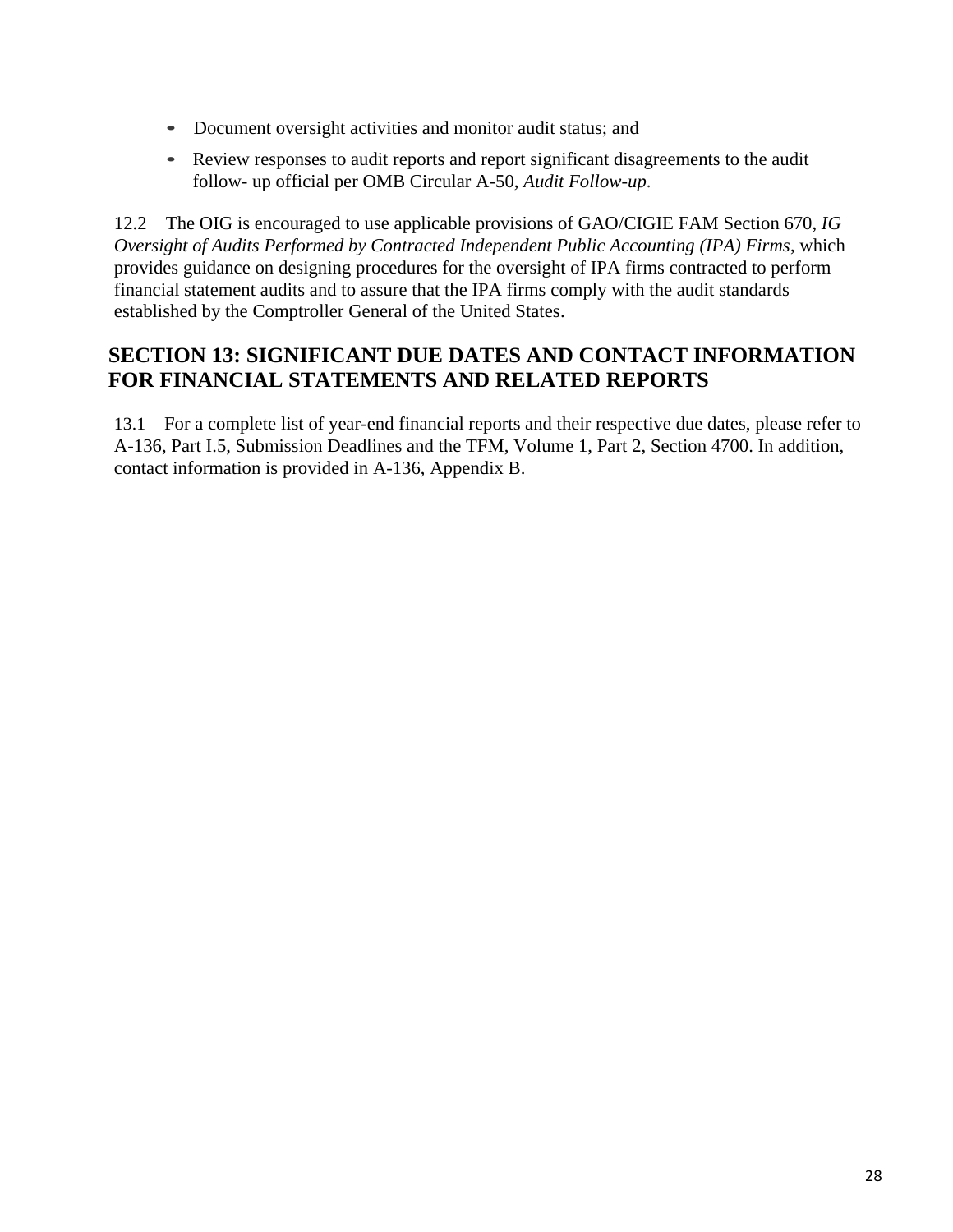- Document oversight activities and monitor audit status; and
- Review responses to audit reports and report significant disagreements to the audit follow up official per OMB Circular A-50, *Audit Follow-up*.

12.2 The OIG is encouraged to use applicable provisions of GAO/CIGIE FAM Section 670, *IG Oversight of Audits Performed by Contracted Independent Public Accounting (IPA) Firms*, which provides guidance on designing procedures for the oversight of IPA firms contracted to perform financial statement audits and to assure that the IPA firms comply with the audit standards established by the Comptroller General of the United States.

### <span id="page-27-0"></span>**SECTION 13: SIGNIFICANT DUE DATES AND CONTACT INFORMATION FOR FINANCIAL STATEMENTS AND RELATED REPORTS**

13.1 For a complete list of year-end financial reports and their respective due dates, please refer to A-136, Part I.5, Submission Deadlines and the TFM, Volume 1, Part 2, Section 4700. In addition, contact information is provided in A-136, Appendix B.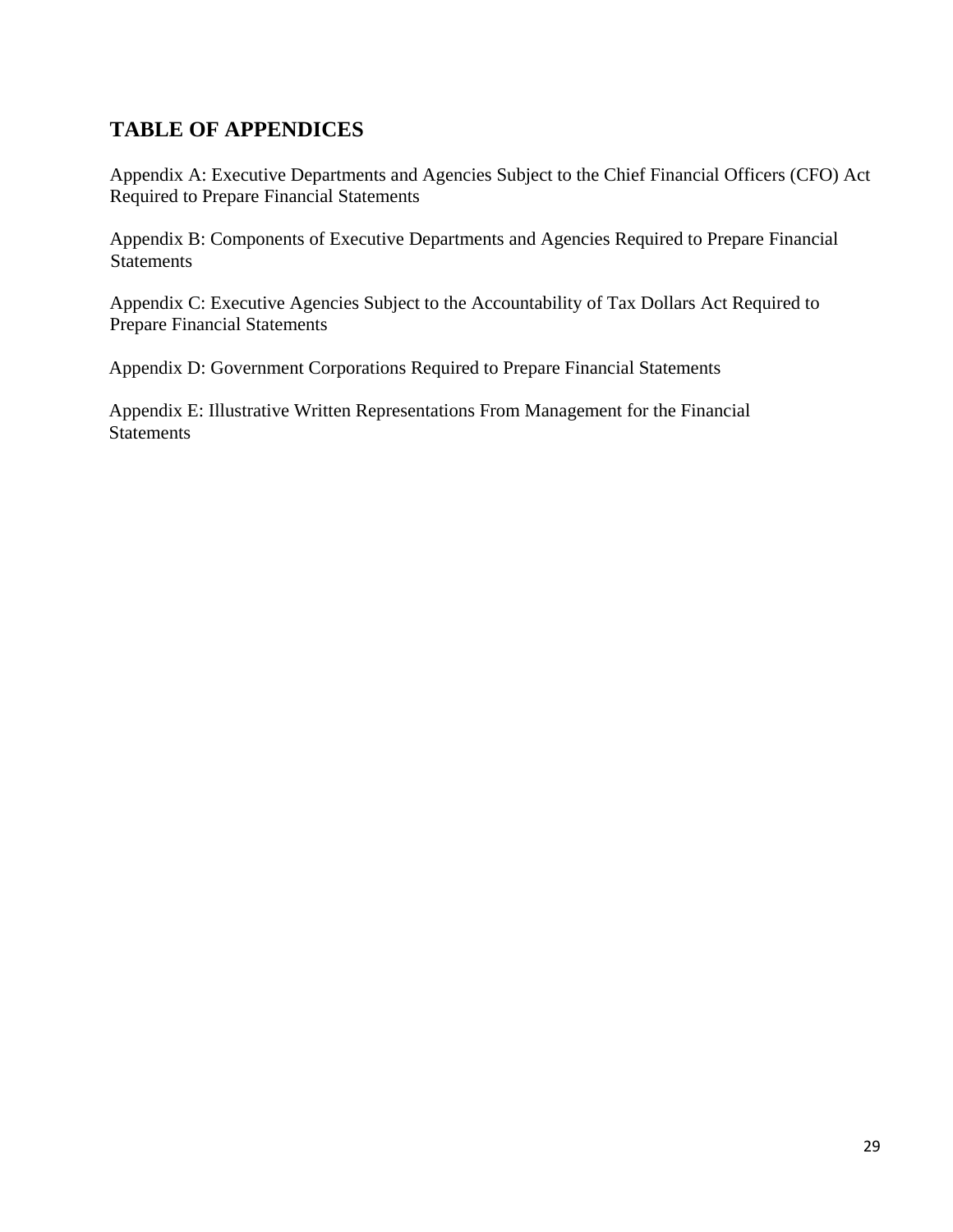# <span id="page-28-0"></span>**TABLE OF APPENDICES**

Appendix A: Executive Departments and Agencies Subject to the Chief Financial Officers (CFO) Act Required to Prepare Financial Statements

Appendix B: Components of Executive Departments and Agencies Required to Prepare Financial **Statements** 

Appendix C: Executive Agencies Subject to the Accountability of Tax Dollars Act Required to Prepare Financial Statements

Appendix D: Government Corporations Required to Prepare Financial Statements

Appendix E: Illustrative Written Representations From Management for the Financial **Statements**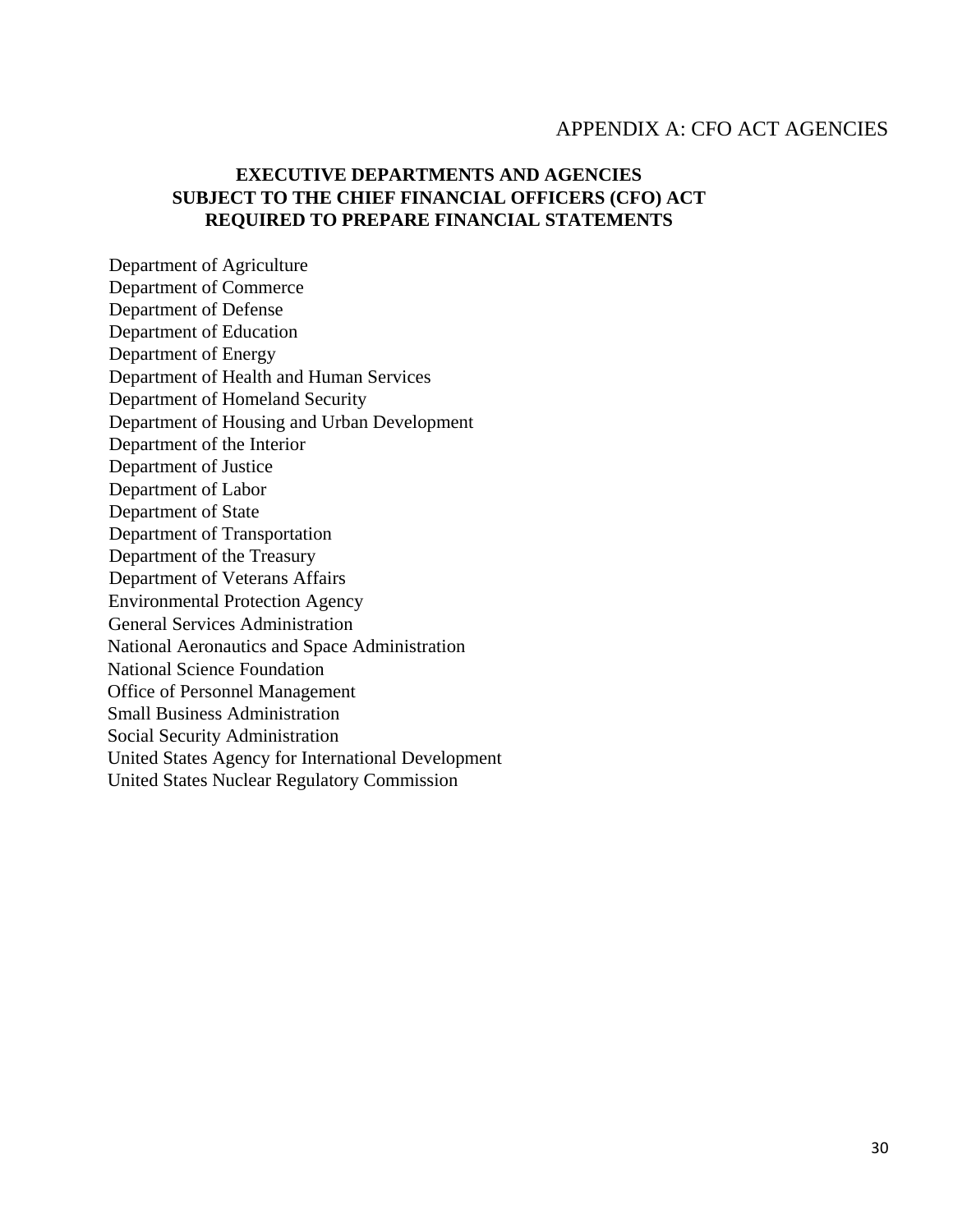### APPENDIX A: CFO ACT AGENCIES

### <span id="page-29-0"></span>**EXECUTIVE DEPARTMENTS AND AGENCIES SUBJECT TO THE CHIEF FINANCIAL OFFICERS (CFO) ACT REQUIRED TO PREPARE FINANCIAL STATEMENTS**

Department of Agriculture Department of Commerce Department of Defense Department of Education Department of Energy Department of Health and Human Services Department of Homeland Security Department of Housing and Urban Development Department of the Interior Department of Justice Department of Labor Department of State Department of Transportation Department of the Treasury Department of Veterans Affairs Environmental Protection Agency General Services Administration National Aeronautics and Space Administration National Science Foundation Office of Personnel Management Small Business Administration Social Security Administration United States Agency for International Development United States Nuclear Regulatory Commission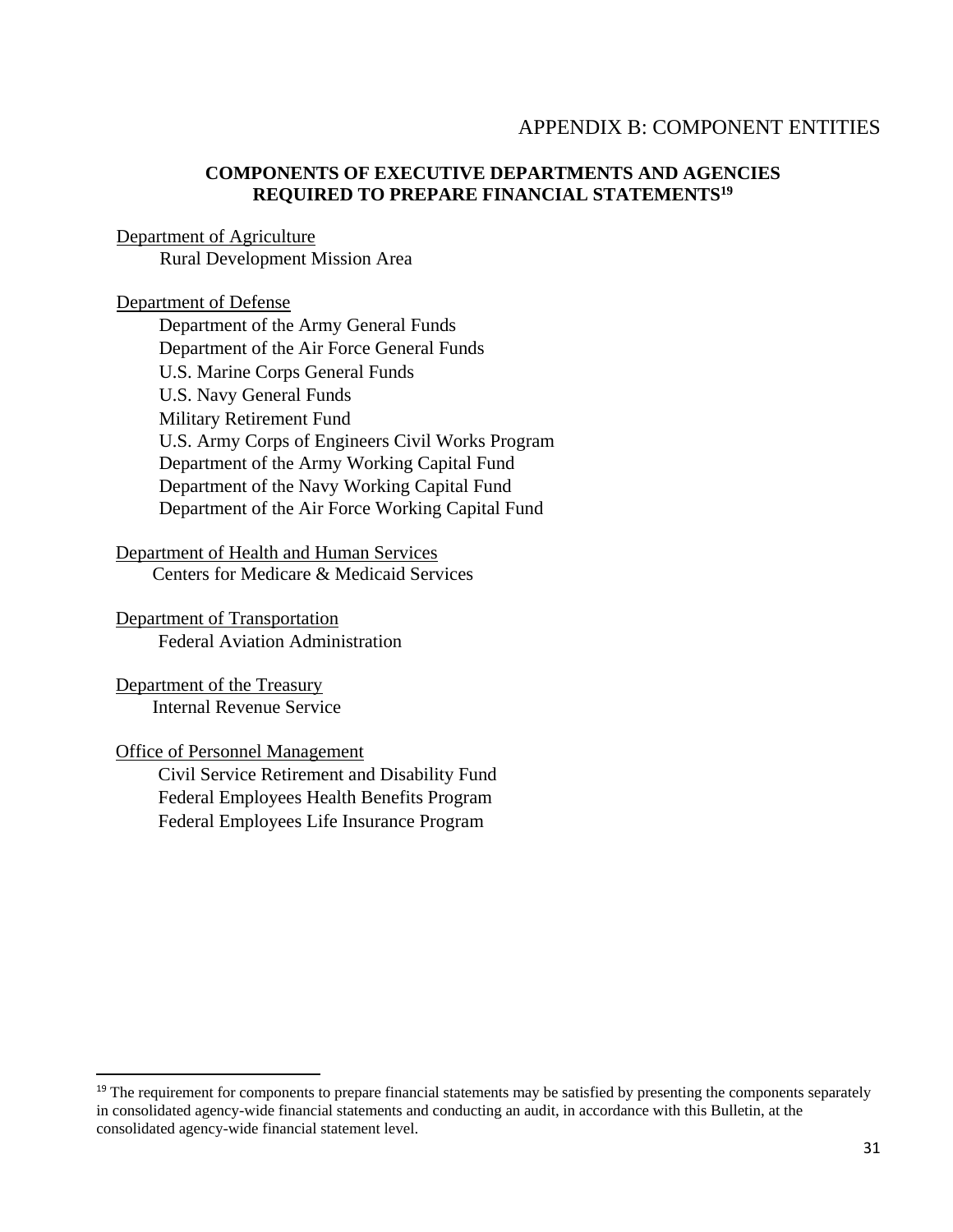#### APPENDIX B: COMPONENT ENTITIES

#### **COMPONENTS OF EXECUTIVE DEPARTMENTS AND AGENCIES REQUIRED TO PREPARE FINANCIAL STATEMENTS19**

#### <span id="page-30-0"></span>Department of Agriculture Rural Development Mission Area

#### Department of Defense

Department of the Army General Funds Department of the Air Force General Funds U.S. Marine Corps General Funds U.S. Navy General Funds Military Retirement Fund U.S. Army Corps of Engineers Civil Works Program Department of the Army Working Capital Fund Department of the Navy Working Capital Fund Department of the Air Force Working Capital Fund

#### Department of Health and Human Services Centers for Medicare & Medicaid Services

#### Department of Transportation Federal Aviation Administration

Department of the Treasury Internal Revenue Service

#### Office of Personnel Management

 $\overline{\phantom{a}}$ 

Civil Service Retirement and Disability Fund Federal Employees Health Benefits Program Federal Employees Life Insurance Program

<sup>&</sup>lt;sup>19</sup> The requirement for components to prepare financial statements may be satisfied by presenting the components separately in consolidated agency-wide financial statements and conducting an audit, in accordance with this Bulletin, at the consolidated agency-wide financial statement level.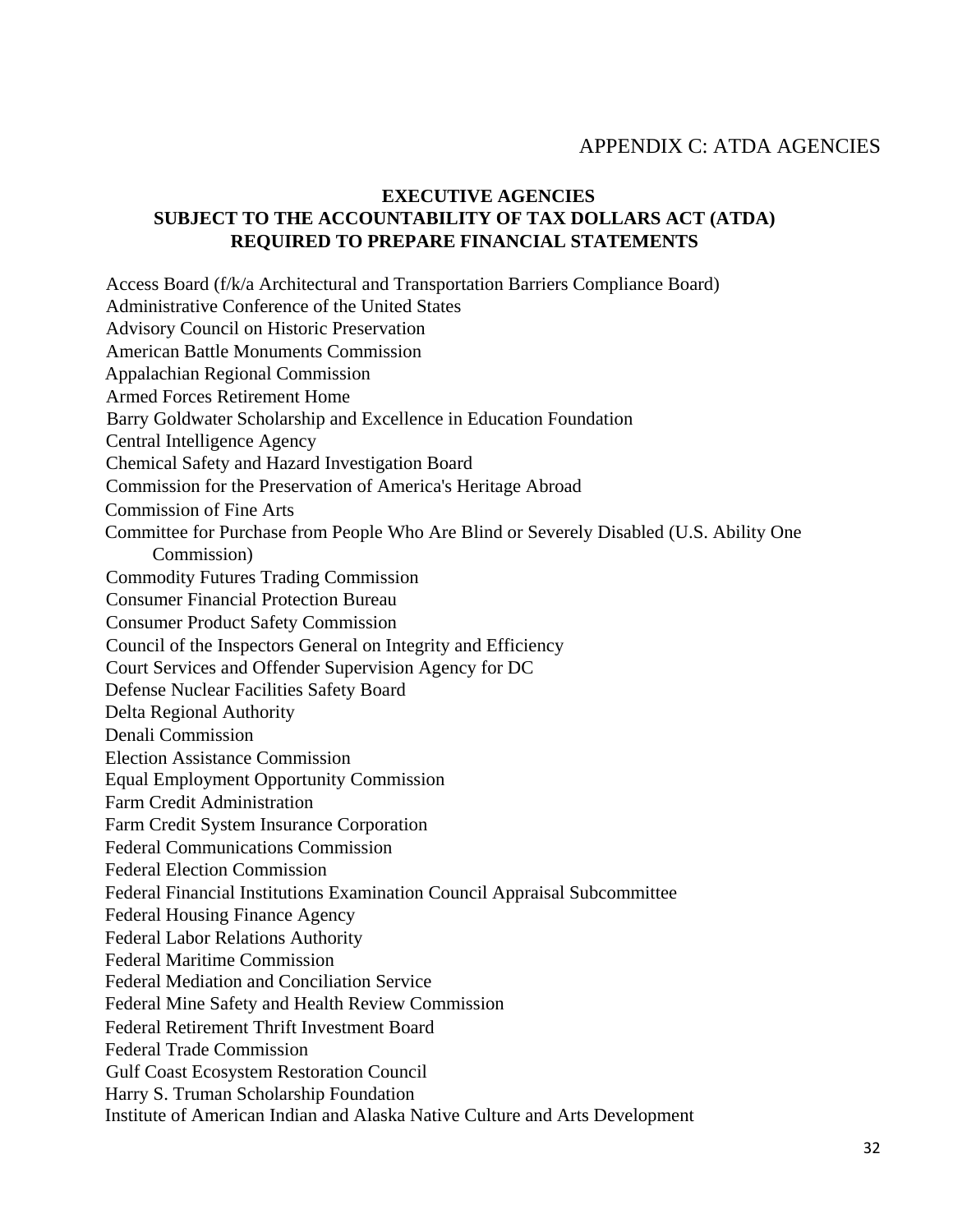### APPENDIX C: ATDA AGENCIES

### <span id="page-31-0"></span>**EXECUTIVE AGENCIES SUBJECT TO THE ACCOUNTABILITY OF TAX DOLLARS ACT (ATDA) REQUIRED TO PREPARE FINANCIAL STATEMENTS**

 Farm Credit System Insurance Corporation Access Board (f/k/a Architectural and Transportation Barriers Compliance Board) Administrative Conference of the United States Advisory Council on Historic Preservation American Battle Monuments Commission Appalachian Regional Commission Armed Forces Retirement Home Barry Goldwater Scholarship and Excellence in Education Foundation Central Intelligence Agency Chemical Safety and Hazard Investigation Board Commission for the Preservation of America's Heritage Abroad Commission of Fine Arts Committee for Purchase from People Who Are Blind or Severely Disabled (U.S. Ability One Commission) Commodity Futures Trading Commission Consumer Financial Protection Bureau Consumer Product Safety Commission Council of the Inspectors General on Integrity and Efficiency Court Services and Offender Supervision Agency for DC Defense Nuclear Facilities Safety Board Delta Regional Authority Denali Commission Election Assistance Commission Equal Employment Opportunity Commission Farm Credit Administration Federal Communications Commission Federal Election Commission Federal Financial Institutions Examination Council Appraisal Subcommittee Federal Housing Finance Agency Federal Labor Relations Authority Federal Maritime Commission Federal Mediation and Conciliation Service Federal Mine Safety and Health Review Commission Federal Retirement Thrift Investment Board Federal Trade Commission Gulf Coast Ecosystem Restoration Council Harry S. Truman Scholarship Foundation Institute of American Indian and Alaska Native Culture and Arts Development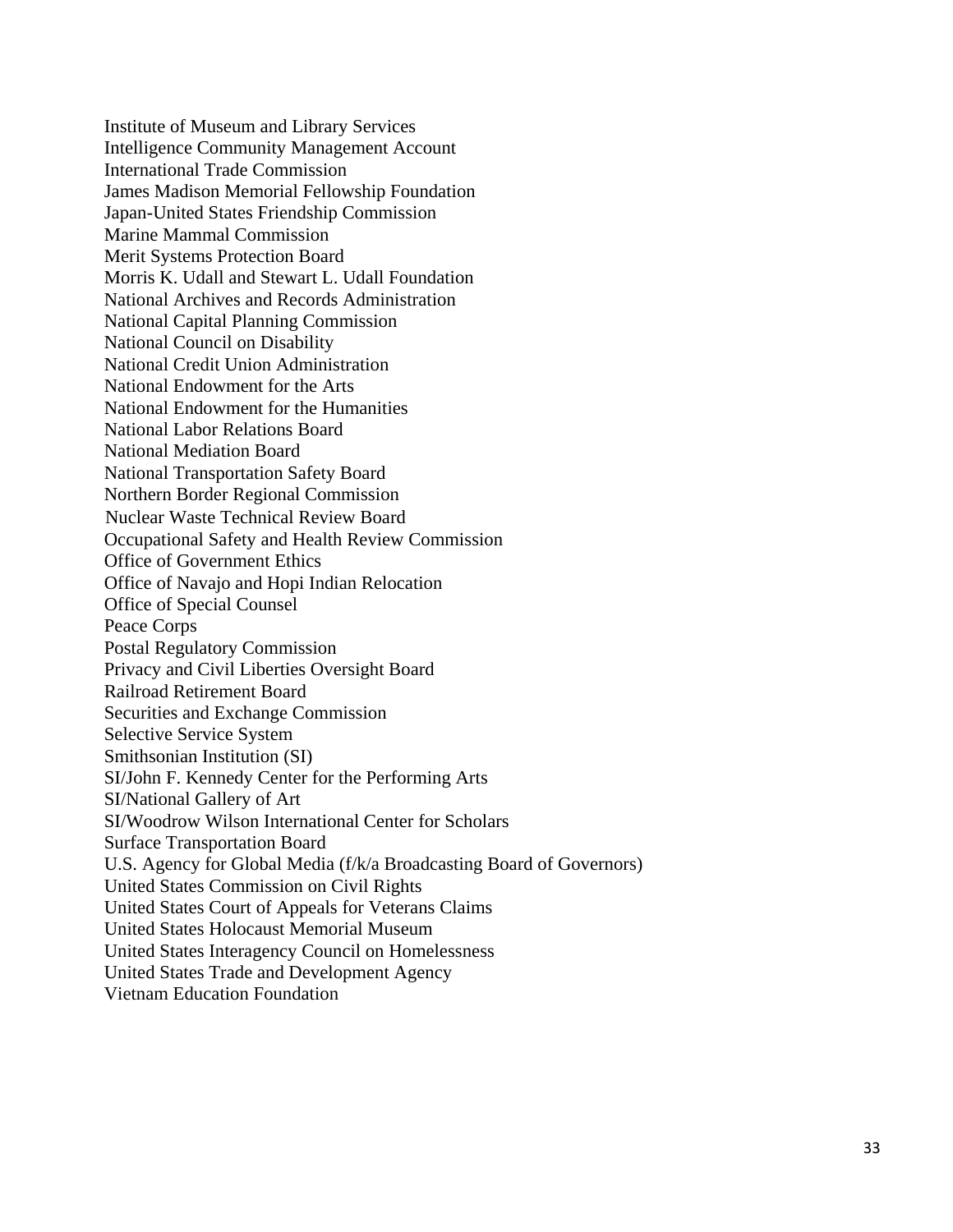Institute of Museum and Library Services Intelligence Community Management Account International Trade Commission James Madison Memorial Fellowship Foundation Japan-United States Friendship Commission Marine Mammal Commission Merit Systems Protection Board Morris K. Udall and Stewart L. Udall Foundation National Archives and Records Administration National Capital Planning Commission National Council on Disability National Credit Union Administration National Endowment for the Arts National Endowment for the Humanities National Labor Relations Board National Mediation Board National Transportation Safety Board Northern Border Regional Commission Nuclear Waste Technical Review Board Occupational Safety and Health Review Commission Office of Government Ethics Office of Navajo and Hopi Indian Relocation Office of Special Counsel Peace Corps Postal Regulatory Commission Privacy and Civil Liberties Oversight Board Railroad Retirement Board Securities and Exchange Commission Selective Service System Smithsonian Institution (SI) SI/John F. Kennedy Center for the Performing Arts SI/National Gallery of Art SI/Woodrow Wilson International Center for Scholars Surface Transportation Board U.S. Agency for Global Media (f/k/a Broadcasting Board of Governors) United States Commission on Civil Rights United States Court of Appeals for Veterans Claims United States Holocaust Memorial Museum United States Interagency Council on Homelessness United States Trade and Development Agency Vietnam Education Foundation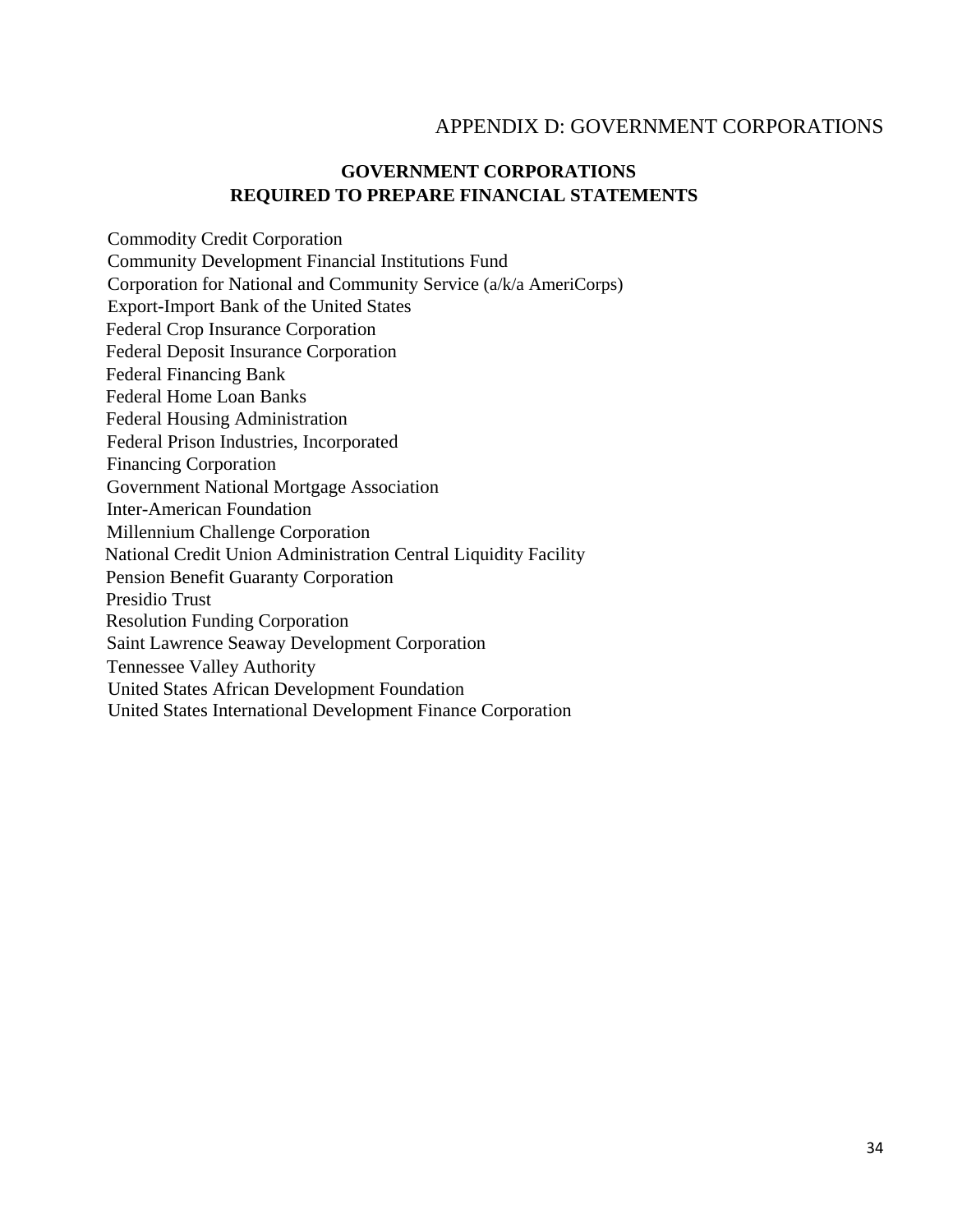### APPENDIX D: GOVERNMENT CORPORATIONS

### **GOVERNMENT CORPORATIONS REQUIRED TO PREPARE FINANCIAL STATEMENTS**

<span id="page-33-0"></span>Commodity Credit Corporation Community Development Financial Institutions Fund Corporation for National and Community Service (a/k/a AmeriCorps) Export-Import Bank of the United States Federal Crop Insurance Corporation Federal Deposit Insurance Corporation Federal Financing Bank Federal Home Loan Banks Federal Housing Administration Federal Prison Industries, Incorporated Financing Corporation Government National Mortgage Association Inter-American Foundation Millennium Challenge Corporation National Credit Union Administration Central Liquidity Facility Pension Benefit Guaranty Corporation Presidio Trust Resolution Funding Corporation Saint Lawrence Seaway Development Corporation Tennessee Valley Authority United States African Development Foundation United States International Development Finance Corporation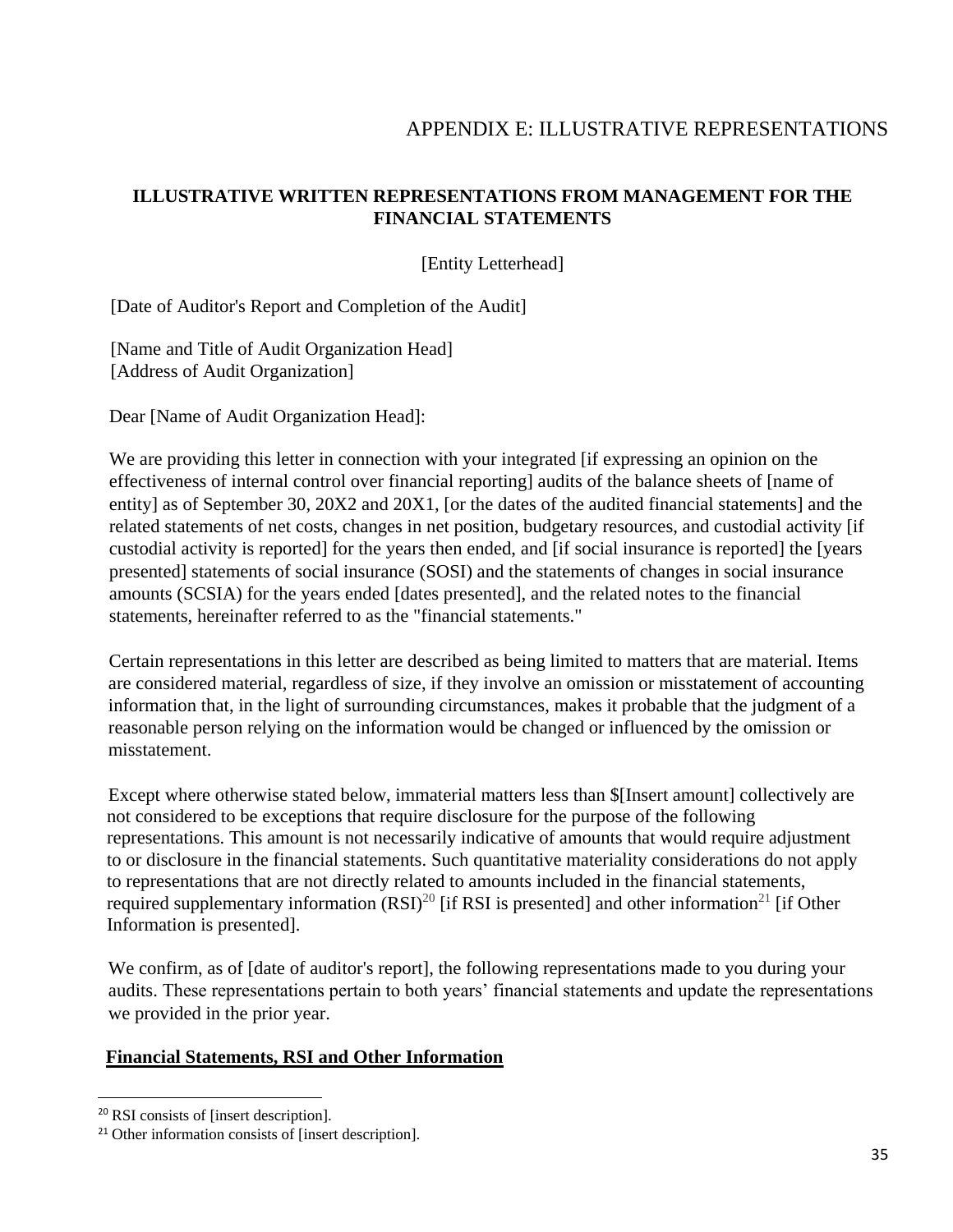### APPENDIX E: ILLUSTRATIVE REPRESENTATIONS

### <span id="page-34-0"></span>**ILLUSTRATIVE WRITTEN REPRESENTATIONS FROM MANAGEMENT FOR THE FINANCIAL STATEMENTS**

[Entity Letterhead]

[Date of Auditor's Report and Completion of the Audit]

[Name and Title of Audit Organization Head] [Address of Audit Organization]

Dear [Name of Audit Organization Head]:

We are providing this letter in connection with your integrated [if expressing an opinion on the effectiveness of internal control over financial reporting] audits of the balance sheets of [name of entity] as of September 30, 20X2 and 20X1, [or the dates of the audited financial statements] and the related statements of net costs, changes in net position, budgetary resources, and custodial activity [if custodial activity is reported] for the years then ended, and [if social insurance is reported] the [years presented] statements of social insurance (SOSI) and the statements of changes in social insurance amounts (SCSIA) for the years ended [dates presented], and the related notes to the financial statements, hereinafter referred to as the "financial statements."

 Certain representations in this letter are described as being limited to matters that are material. Items are considered material, regardless of size, if they involve an omission or misstatement of accounting information that, in the light of surrounding circumstances, makes it probable that the judgment of a reasonable person relying on the information would be changed or influenced by the omission or misstatement.

 to representations that are not directly related to amounts included in the financial statements, Except where otherwise stated below, immaterial matters less than \$[Insert amount] collectively are not considered to be exceptions that require disclosure for the purpose of the following representations. This amount is not necessarily indicative of amounts that would require adjustment to or disclosure in the financial statements. Such quantitative materiality considerations do not apply required supplementary information  $(RSI)^{20}$  [if RSI is presented] and other information<sup>21</sup> [if Other Information is presented].

We confirm, as of [date of auditor's report], the following representations made to you during your audits. These representations pertain to both years' financial statements and update the representations we provided in the prior year.

#### **Financial Statements, RSI and Other Information**

 $\overline{\phantom{a}}$ 

<sup>20</sup> RSI consists of [insert description].

<sup>&</sup>lt;sup>21</sup> Other information consists of [insert description].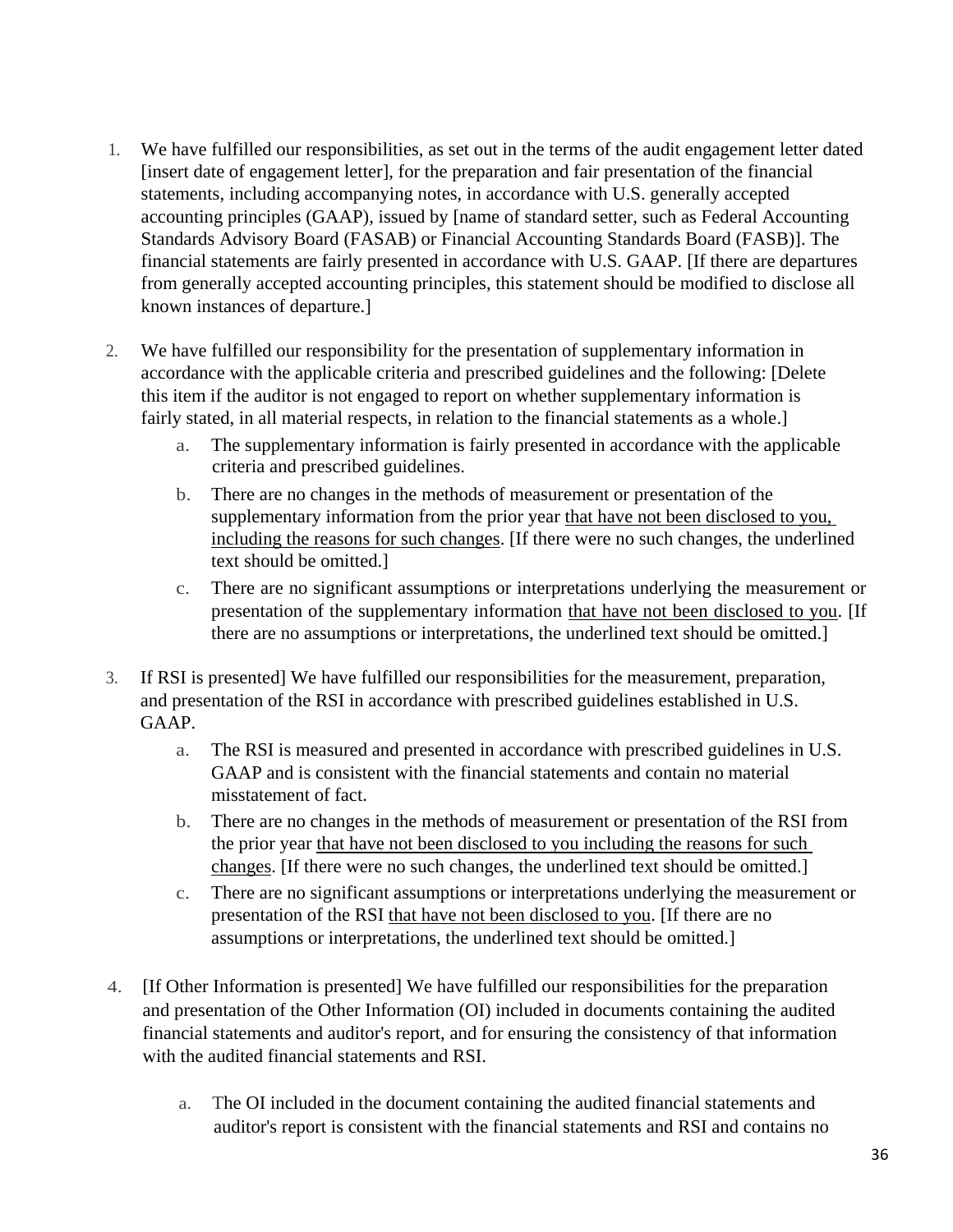- 1. We have fulfilled our responsibilities, as set out in the terms of the audit engagement letter dated [insert date of engagement letter], for the preparation and fair presentation of the financial statements, including accompanying notes, in accordance with U.S. generally accepted accounting principles (GAAP), issued by [name of standard setter, such as Federal Accounting Standards Advisory Board (FASAB) or Financial Accounting Standards Board (FASB)]. The financial statements are fairly presented in accordance with U.S. GAAP. [If there are departures from generally accepted accounting principles, this statement should be modified to disclose all known instances of departure.]
- 2. We have fulfilled our responsibility for the presentation of supplementary information in accordance with the applicable criteria and prescribed guidelines and the following: [Delete this item if the auditor is not engaged to report on whether supplementary information is fairly stated, in all material respects, in relation to the financial statements as a whole.]
	- a. The supplementary information is fairly presented in accordance with the applicable criteria and prescribed guidelines.
	- b. There are no changes in the methods of measurement or presentation of the supplementary information from the prior year that have not been disclosed to you, including the reasons for such changes. [If there were no such changes, the underlined text should be omitted.]
	- c. There are no significant assumptions or interpretations underlying the measurement or presentation of the supplementary information that have not been disclosed to you. [If there are no assumptions or interpretations, the underlined text should be omitted.]
- 3. If RSI is presented] We have fulfilled our responsibilities for the measurement, preparation, and presentation of the RSI in accordance with prescribed guidelines established in U.S. GAAP.
	- a. The RSI is measured and presented in accordance with prescribed guidelines in U.S. GAAP and is consistent with the financial statements and contain no material misstatement of fact.
	- b. There are no changes in the methods of measurement or presentation of the RSI from the prior year that have not been disclosed to you including the reasons for such changes. [If there were no such changes, the underlined text should be omitted.]
	- c. There are no significant assumptions or interpretations underlying the measurement or presentation of the RSI that have not been disclosed to you. [If there are no assumptions or interpretations, the underlined text should be omitted.]
- 4. [If Other Information is presented] We have fulfilled our responsibilities for the preparation and presentation of the Other Information (OI) included in documents containing the audited financial statements and auditor's report, and for ensuring the consistency of that information with the audited financial statements and RSI.
	- a. The OI included in the document containing the audited financial statements and auditor's report is consistent with the financial statements and RSI and contains no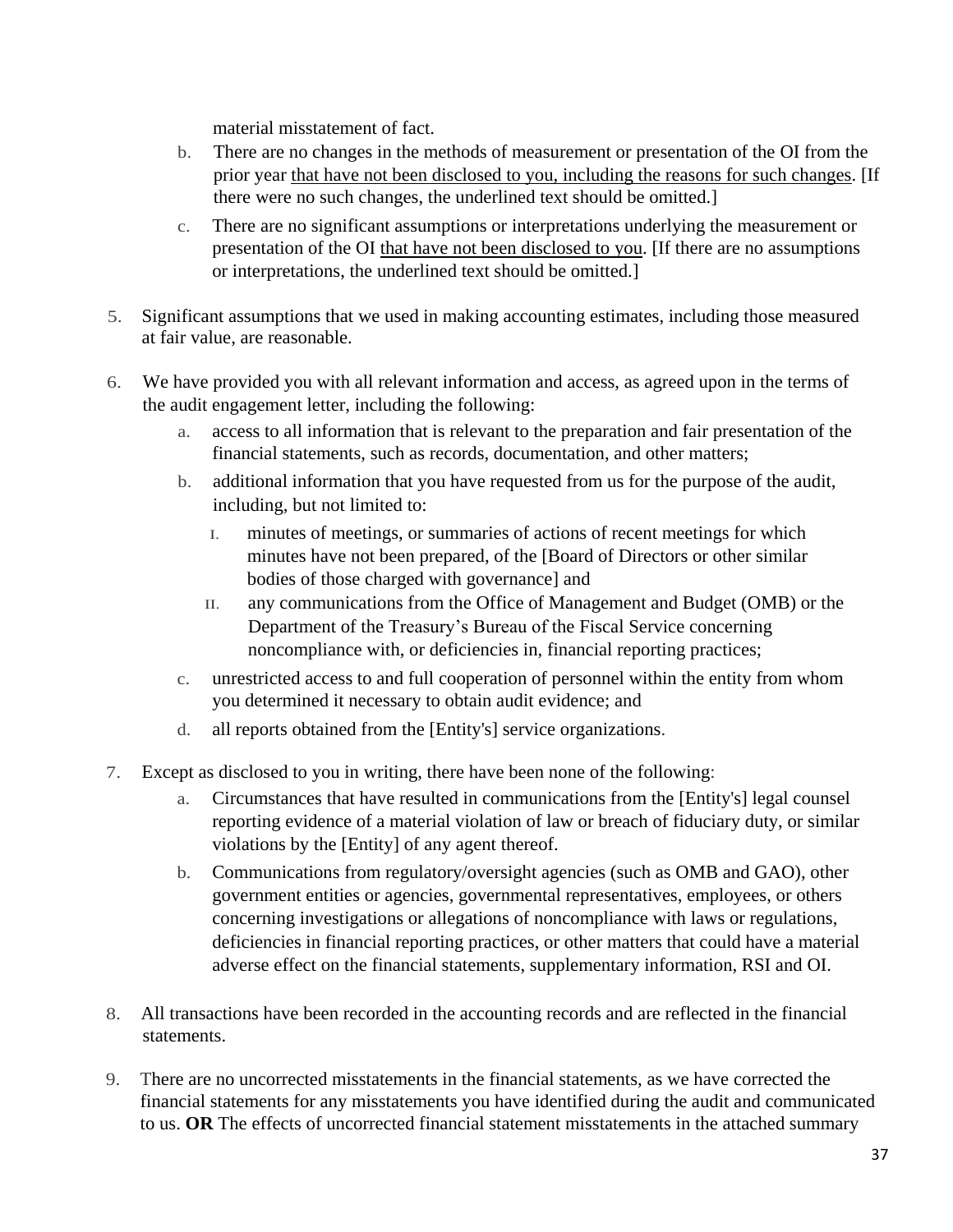material misstatement of fact.

- b. There are no changes in the methods of measurement or presentation of the OI from the prior year that have not been disclosed to you, including the reasons for such changes. [If there were no such changes, the underlined text should be omitted.]
- c. There are no significant assumptions or interpretations underlying the measurement or presentation of the OI that have not been disclosed to you. [If there are no assumptions or interpretations, the underlined text should be omitted.]
- 5. Significant assumptions that we used in making accounting estimates, including those measured at fair value, are reasonable.
- 6. We have provided you with all relevant information and access, as agreed upon in the terms of the audit engagement letter, including the following:
	- a. access to all information that is relevant to the preparation and fair presentation of the financial statements, such as records, documentation, and other matters;
	- b. additional information that you have requested from us for the purpose of the audit, including, but not limited to:
		- I. minutes of meetings, or summaries of actions of recent meetings for which minutes have not been prepared, of the [Board of Directors or other similar bodies of those charged with governance] and
		- noncompliance with, or deficiencies in, financial reporting practices; II. any communications from the Office of Management and Budget (OMB) or the Department of the Treasury's Bureau of the Fiscal Service concerning
	- c. unrestricted access to and full cooperation of personnel within the entity from whom you determined it necessary to obtain audit evidence; and
	- d. all reports obtained from the [Entity's] service organizations.
- 7. Except as disclosed to you in writing, there have been none of the following:
	- a. Circumstances that have resulted in communications from the [Entity's] legal counsel reporting evidence of a material violation of law or breach of fiduciary duty, or similar violations by the [Entity] of any agent thereof.
	- b. Communications from regulatory/oversight agencies (such as OMB and GAO), other government entities or agencies, governmental representatives, employees, or others concerning investigations or allegations of noncompliance with laws or regulations, deficiencies in financial reporting practices, or other matters that could have a material adverse effect on the financial statements, supplementary information, RSI and OI.
- 8. All transactions have been recorded in the accounting records and are reflected in the financial statements.
- 9. There are no uncorrected misstatements in the financial statements, as we have corrected the financial statements for any misstatements you have identified during the audit and communicated to us. **OR** The effects of uncorrected financial statement misstatements in the attached summary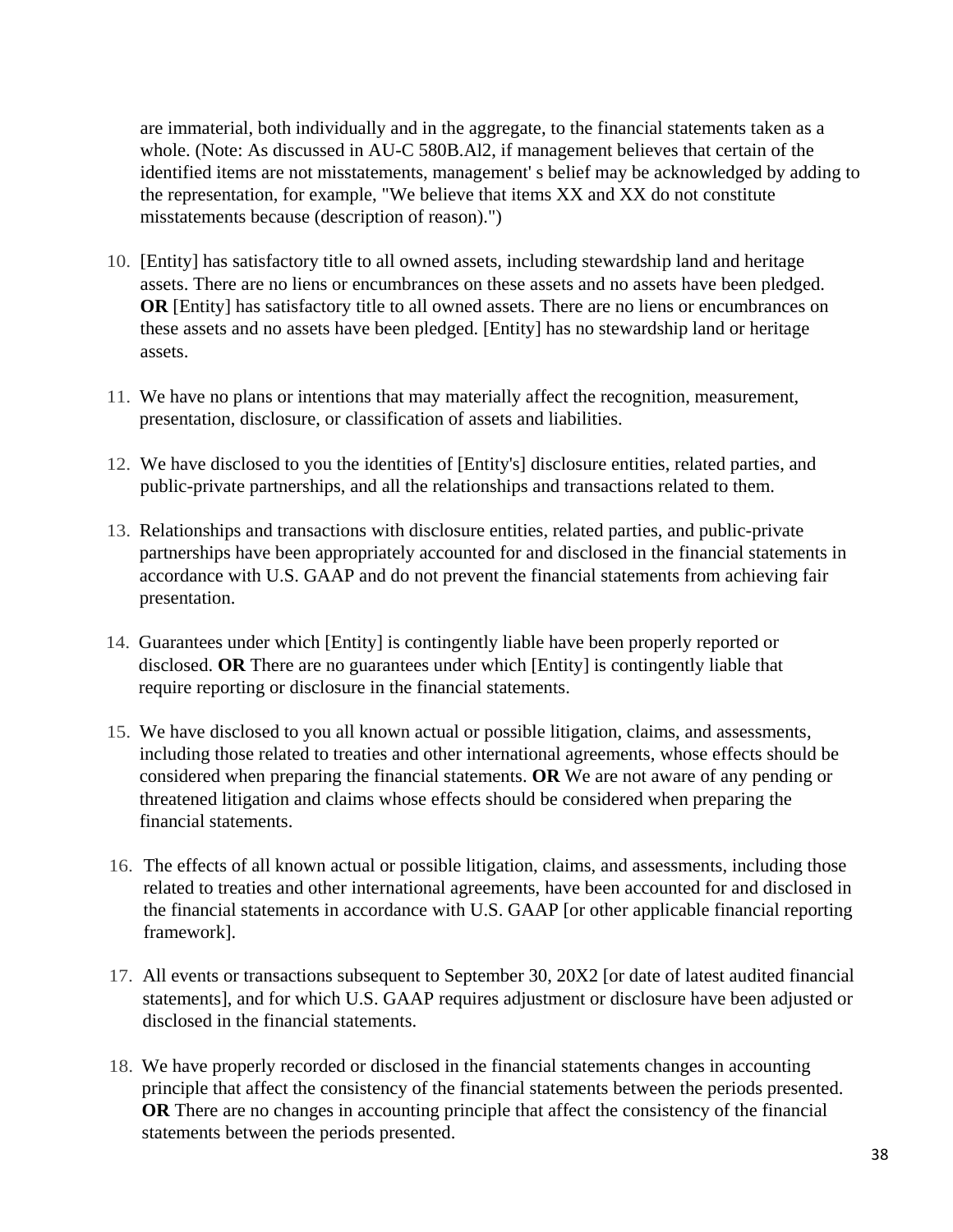are immaterial, both individually and in the aggregate, to the financial statements taken as a whole. (Note: As discussed in AU-C 580B.Al2, if management believes that certain of the identified items are not misstatements, management' s belief may be acknowledged by adding to the representation, for example, "We believe that items XX and XX do not constitute misstatements because (description of reason).")

- 10. [Entity] has satisfactory title to all owned assets, including stewardship land and heritage assets. There are no liens or encumbrances on these assets and no assets have been pledged. **OR** [Entity] has satisfactory title to all owned assets. There are no liens or encumbrances on these assets and no assets have been pledged. [Entity] has no stewardship land or heritage assets.
- 11. We have no plans or intentions that may materially affect the recognition, measurement, presentation, disclosure, or classification of assets and liabilities.
- 12. We have disclosed to you the identities of [Entity's] disclosure entities, related parties, and public-private partnerships, and all the relationships and transactions related to them.
- 13. Relationships and transactions with disclosure entities, related parties, and public-private partnerships have been appropriately accounted for and disclosed in the financial statements in accordance with U.S. GAAP and do not prevent the financial statements from achieving fair presentation.
- 14. Guarantees under which [Entity] is contingently liable have been properly reported or disclosed. **OR** There are no guarantees under which [Entity] is contingently liable that require reporting or disclosure in the financial statements.
- 15. We have disclosed to you all known actual or possible litigation, claims, and assessments, including those related to treaties and other international agreements, whose effects should be considered when preparing the financial statements. **OR** We are not aware of any pending or threatened litigation and claims whose effects should be considered when preparing the financial statements.
- 16. The effects of all known actual or possible litigation, claims, and assessments, including those related to treaties and other international agreements, have been accounted for and disclosed in the financial statements in accordance with U.S. GAAP [or other applicable financial reporting framework].
- 17. All events or transactions subsequent to September 30, 20X2 [or date of latest audited financial statements], and for which U.S. GAAP requires adjustment or disclosure have been adjusted or disclosed in the financial statements.
- 18. We have properly recorded or disclosed in the financial statements changes in accounting principle that affect the consistency of the financial statements between the periods presented. **OR** There are no changes in accounting principle that affect the consistency of the financial statements between the periods presented.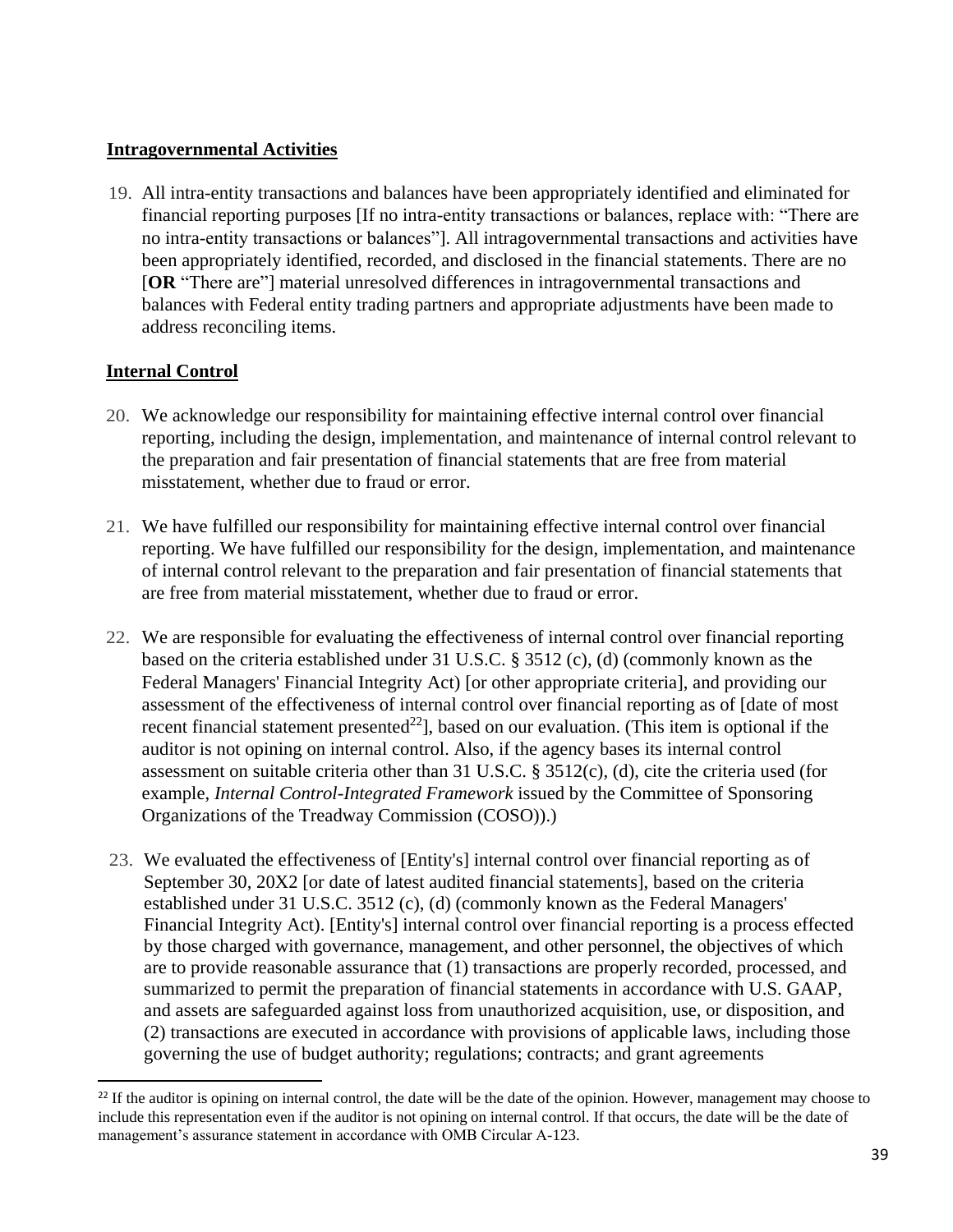### **Intragovernmental Activities**

 balances with Federal entity trading partners and appropriate adjustments have been made to 19. All intra-entity transactions and balances have been appropriately identified and eliminated for financial reporting purposes [If no intra-entity transactions or balances, replace with: "There are no intra-entity transactions or balances"]. All intragovernmental transactions and activities have been appropriately identified, recorded, and disclosed in the financial statements. There are no [**OR** "There are"] material unresolved differences in intragovernmental transactions and address reconciling items.

### **Internal Control**

 $\overline{\phantom{a}}$ 

- 20. We acknowledge our responsibility for maintaining effective internal control over financial reporting, including the design, implementation, and maintenance of internal control relevant to the preparation and fair presentation of financial statements that are free from material misstatement, whether due to fraud or error.
- 21. We have fulfilled our responsibility for maintaining effective internal control over financial reporting. We have fulfilled our responsibility for the design, implementation, and maintenance of internal control relevant to the preparation and fair presentation of financial statements that are free from material misstatement, whether due to fraud or error.
- 22. We are responsible for evaluating the effectiveness of internal control over financial reporting based on the criteria established under 31 U.S.C. § 3512 (c), (d) (commonly known as the Federal Managers' Financial Integrity Act) [or other appropriate criteria], and providing our assessment of the effectiveness of internal control over financial reporting as of [date of most recent financial statement presented<sup>22</sup>], based on our evaluation. (This item is optional if the auditor is not opining on internal control. Also, if the agency bases its internal control assessment on suitable criteria other than 31 U.S.C. § 3512(c), (d), cite the criteria used (for example, *Internal Control-Integrated Framework* issued by the Committee of Sponsoring Organizations of the Treadway Commission (COSO)).)
- 23. We evaluated the effectiveness of [Entity's] internal control over financial reporting as of September 30, 20X2 [or date of latest audited financial statements], based on the criteria established under 31 U.S.C. 3512 (c), (d) (commonly known as the Federal Managers' Financial Integrity Act). [Entity's] internal control over financial reporting is a process effected by those charged with governance, management, and other personnel, the objectives of which are to provide reasonable assurance that (1) transactions are properly recorded, processed, and summarized to permit the preparation of financial statements in accordance with U.S. GAAP, and assets are safeguarded against loss from unauthorized acquisition, use, or disposition, and (2) transactions are executed in accordance with provisions of applicable laws, including those governing the use of budget authority; regulations; contracts; and grant agreements

<sup>&</sup>lt;sup>22</sup> If the auditor is opining on internal control, the date will be the date of the opinion. However, management may choose to include this representation even if the auditor is not opining on internal control. If that occurs, the date will be the date of management's assurance statement in accordance with OMB Circular A-123.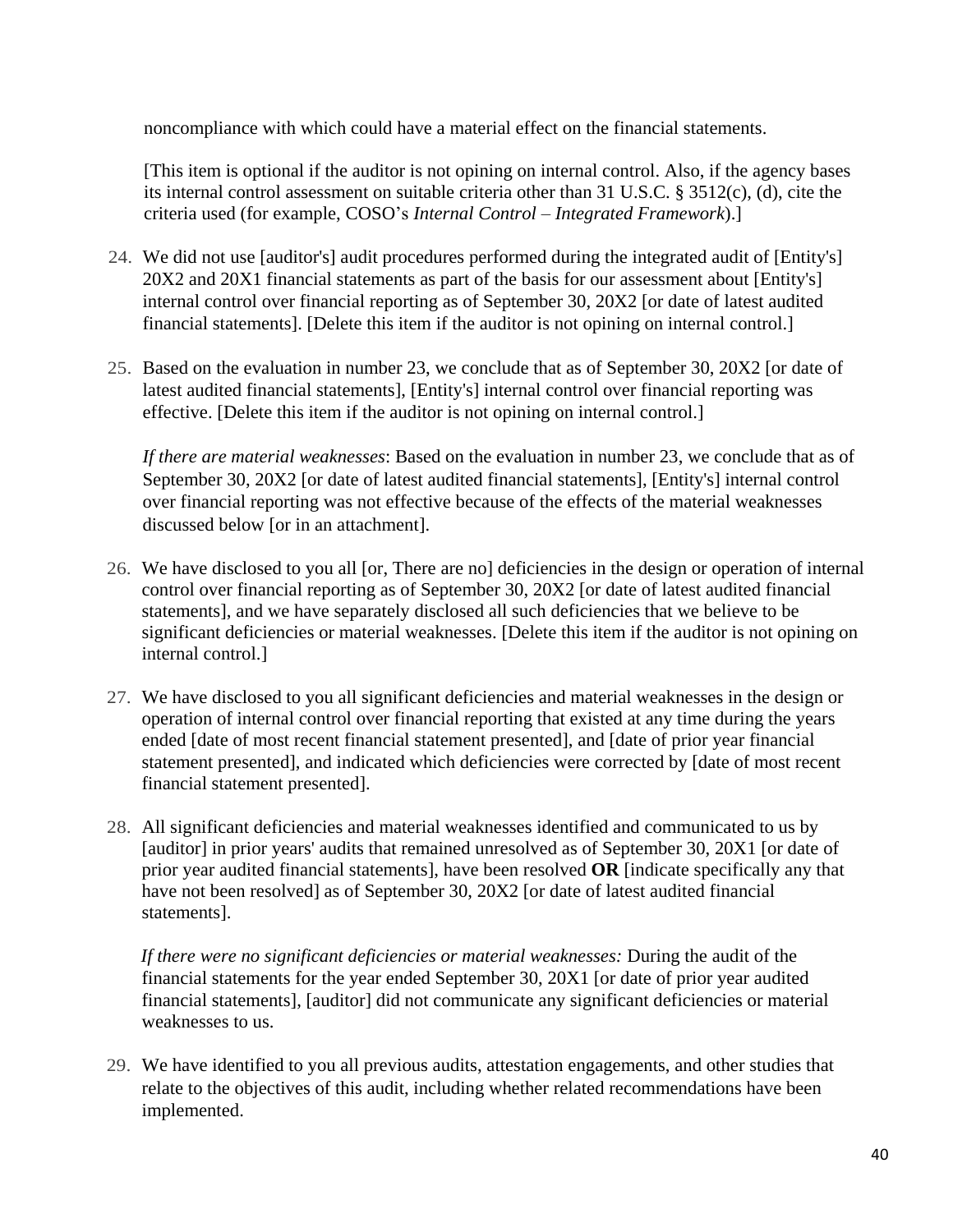noncompliance with which could have a material effect on the financial statements.

[This item is optional if the auditor is not opining on internal control. Also, if the agency bases its internal control assessment on suitable criteria other than 31 U.S.C. § 3512(c), (d), cite the criteria used (for example, COSO's *Internal Control – Integrated Framework*).]

- 24. We did not use [auditor's] audit procedures performed during the integrated audit of [Entity's] 20X2 and 20X1 financial statements as part of the basis for our assessment about [Entity's] internal control over financial reporting as of September 30, 20X2 [or date of latest audited financial statements]. [Delete this item if the auditor is not opining on internal control.]
- 25. Based on the evaluation in number 23, we conclude that as of September 30, 20X2 [or date of latest audited financial statements], [Entity's] internal control over financial reporting was effective. [Delete this item if the auditor is not opining on internal control.]

*If there are material weaknesses*: Based on the evaluation in number 23, we conclude that as of September 30, 20X2 [or date of latest audited financial statements], [Entity's] internal control over financial reporting was not effective because of the effects of the material weaknesses discussed below [or in an attachment].

- 26. We have disclosed to you all [or, There are no] deficiencies in the design or operation of internal control over financial reporting as of September 30, 20X2 [or date of latest audited financial statements], and we have separately disclosed all such deficiencies that we believe to be significant deficiencies or material weaknesses. [Delete this item if the auditor is not opining on internal control.]
- 27. We have disclosed to you all significant deficiencies and material weaknesses in the design or operation of internal control over financial reporting that existed at any time during the years ended [date of most recent financial statement presented], and [date of prior year financial statement presented], and indicated which deficiencies were corrected by [date of most recent financial statement presented].
- [auditor] in prior years' audits that remained unresolved as of September 30, 20X1 [or date of 28. All significant deficiencies and material weaknesses identified and communicated to us by prior year audited financial statements], have been resolved **OR** [indicate specifically any that have not been resolved] as of September 30, 20X2 [or date of latest audited financial statements].

*If there were no significant deficiencies or material weaknesses:* During the audit of the financial statements for the year ended September 30, 20X1 [or date of prior year audited financial statements], [auditor] did not communicate any significant deficiencies or material weaknesses to us.

29. We have identified to you all previous audits, attestation engagements, and other studies that relate to the objectives of this audit, including whether related recommendations have been implemented.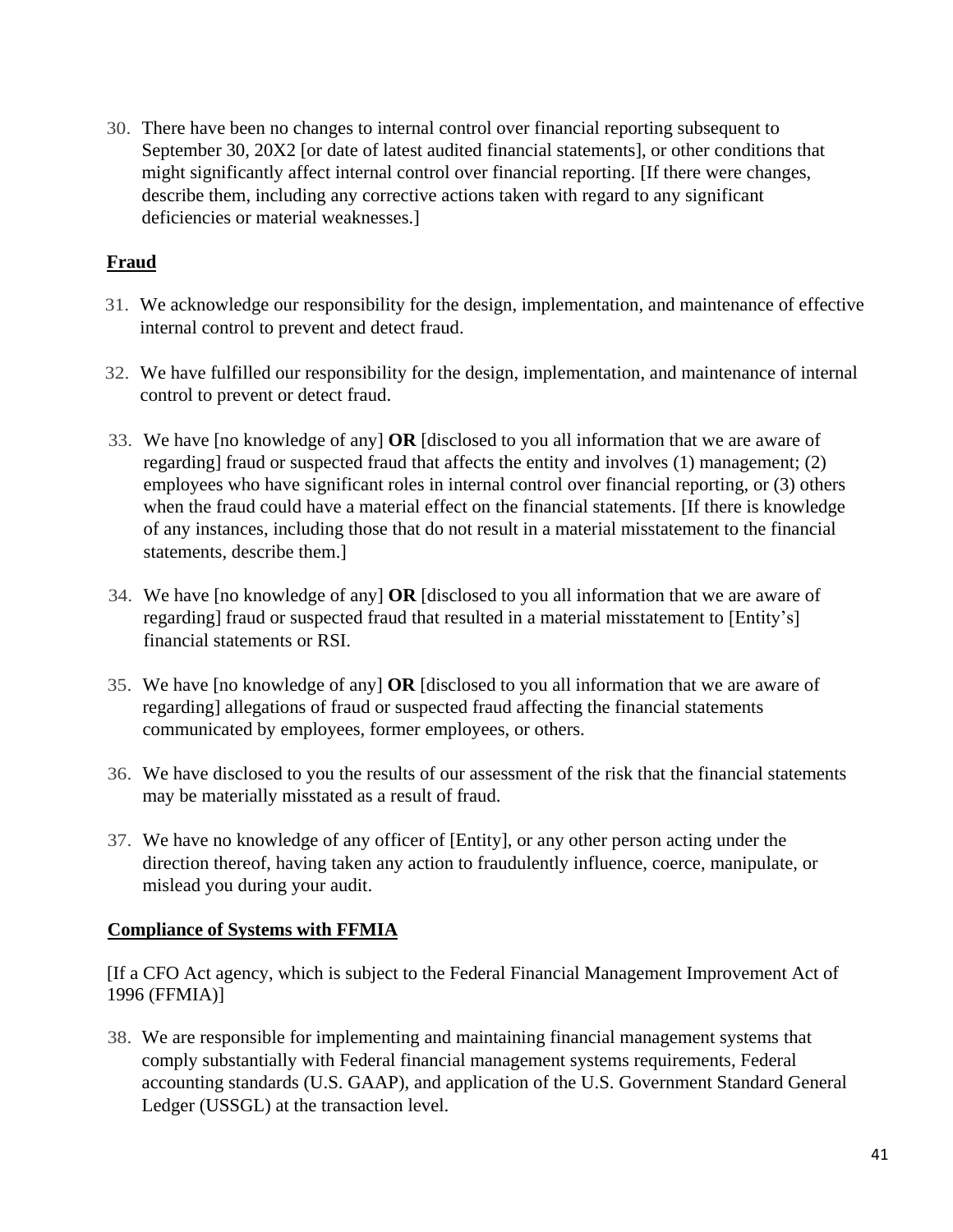30. There have been no changes to internal control over financial reporting subsequent to September 30, 20X2 [or date of latest audited financial statements], or other conditions that might significantly affect internal control over financial reporting. [If there were changes, describe them, including any corrective actions taken with regard to any significant deficiencies or material weaknesses.]

### **Fraud**

- 31. We acknowledge our responsibility for the design, implementation, and maintenance of effective internal control to prevent and detect fraud.
- 32. We have fulfilled our responsibility for the design, implementation, and maintenance of internal control to prevent or detect fraud.
- 33. We have [no knowledge of any] **OR** [disclosed to you all information that we are aware of regarding] fraud or suspected fraud that affects the entity and involves (1) management; (2) employees who have significant roles in internal control over financial reporting, or (3) others when the fraud could have a material effect on the financial statements. [If there is knowledge of any instances, including those that do not result in a material misstatement to the financial statements, describe them.]
- 34. We have [no knowledge of any] **OR** [disclosed to you all information that we are aware of regarding] fraud or suspected fraud that resulted in a material misstatement to [Entity's] financial statements or RSI.
- 35. We have [no knowledge of any] **OR** [disclosed to you all information that we are aware of regarding] allegations of fraud or suspected fraud affecting the financial statements communicated by employees, former employees, or others.
- 36. We have disclosed to you the results of our assessment of the risk that the financial statements may be materially misstated as a result of fraud.
- 37. We have no knowledge of any officer of [Entity], or any other person acting under the direction thereof, having taken any action to fraudulently influence, coerce, manipulate, or mislead you during your audit.

#### **Compliance of Systems with FFMIA**

[If a CFO Act agency, which is subject to the Federal Financial Management Improvement Act of 1996 (FFMIA)]

38. We are responsible for implementing and maintaining financial management systems that comply substantially with Federal financial management systems requirements, Federal accounting standards (U.S. GAAP), and application of the U.S. Government Standard General Ledger (USSGL) at the transaction level.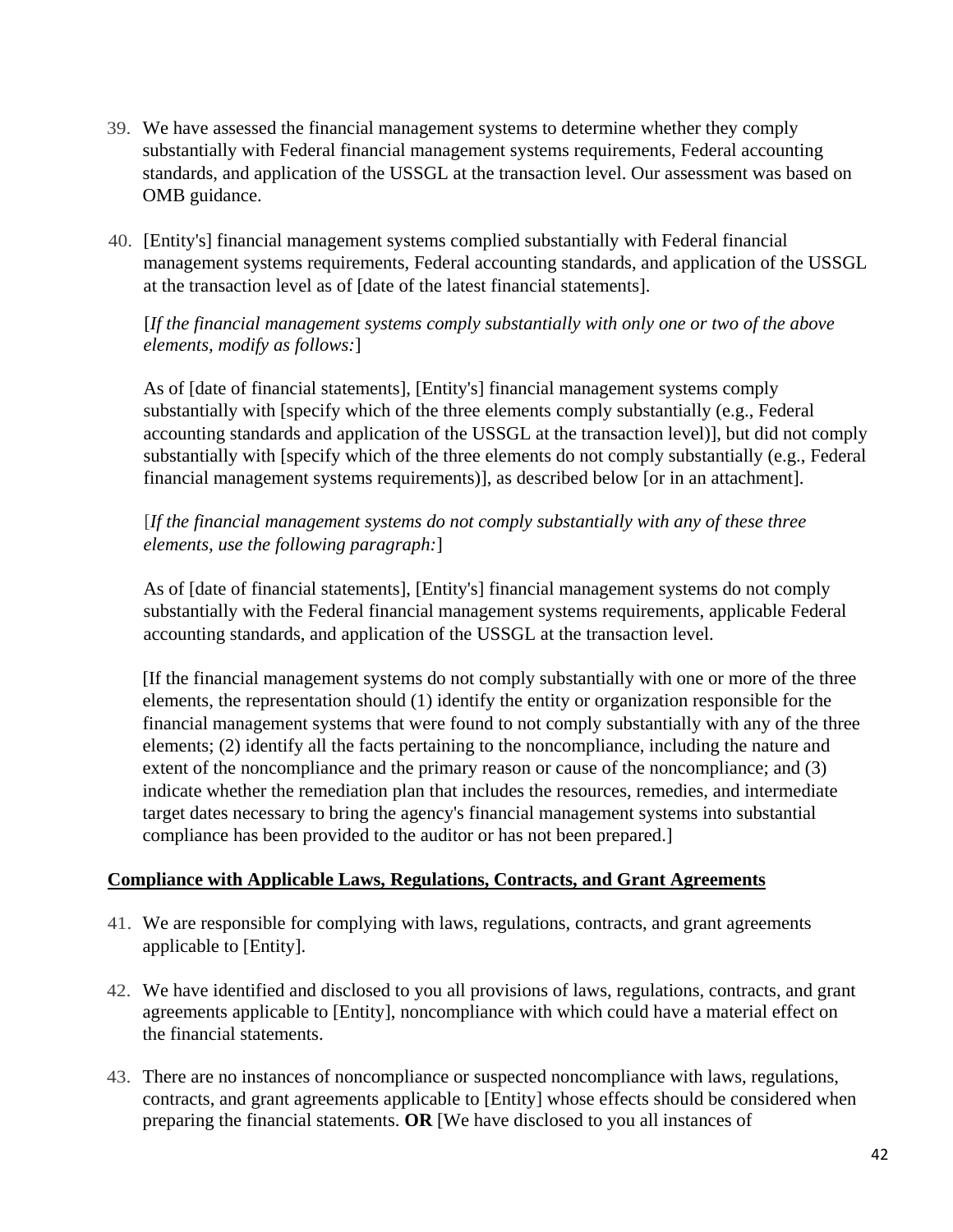- 39. We have assessed the financial management systems to determine whether they comply substantially with Federal financial management systems requirements, Federal accounting standards, and application of the USSGL at the transaction level. Our assessment was based on OMB guidance.
- 40. [Entity's] financial management systems complied substantially with Federal financial management systems requirements, Federal accounting standards, and application of the USSGL at the transaction level as of [date of the latest financial statements].

[*If the financial management systems comply substantially with only one or two of the above elements, modify as follows:*]

As of [date of financial statements], [Entity's] financial management systems comply substantially with [specify which of the three elements comply substantially (e.g., Federal accounting standards and application of the USSGL at the transaction level)], but did not comply substantially with [specify which of the three elements do not comply substantially (e.g., Federal financial management systems requirements)], as described below [or in an attachment].

[*If the financial management systems do not comply substantially with any of these three elements, use the following paragraph:*]

As of [date of financial statements], [Entity's] financial management systems do not comply substantially with the Federal financial management systems requirements, applicable Federal accounting standards, and application of the USSGL at the transaction level.

 extent of the noncompliance and the primary reason or cause of the noncompliance; and (3) [If the financial management systems do not comply substantially with one or more of the three elements, the representation should (1) identify the entity or organization responsible for the financial management systems that were found to not comply substantially with any of the three elements; (2) identify all the facts pertaining to the noncompliance, including the nature and indicate whether the remediation plan that includes the resources, remedies, and intermediate target dates necessary to bring the agency's financial management systems into substantial compliance has been provided to the auditor or has not been prepared.]

#### **Compliance with Applicable Laws, Regulations, Contracts, and Grant Agreements**

- 41. We are responsible for complying with laws, regulations, contracts, and grant agreements applicable to [Entity].
- 42. We have identified and disclosed to you all provisions of laws, regulations, contracts, and grant agreements applicable to [Entity], noncompliance with which could have a material effect on the financial statements.
- 43. There are no instances of noncompliance or suspected noncompliance with laws, regulations, contracts, and grant agreements applicable to [Entity] whose effects should be considered when preparing the financial statements. **OR** [We have disclosed to you all instances of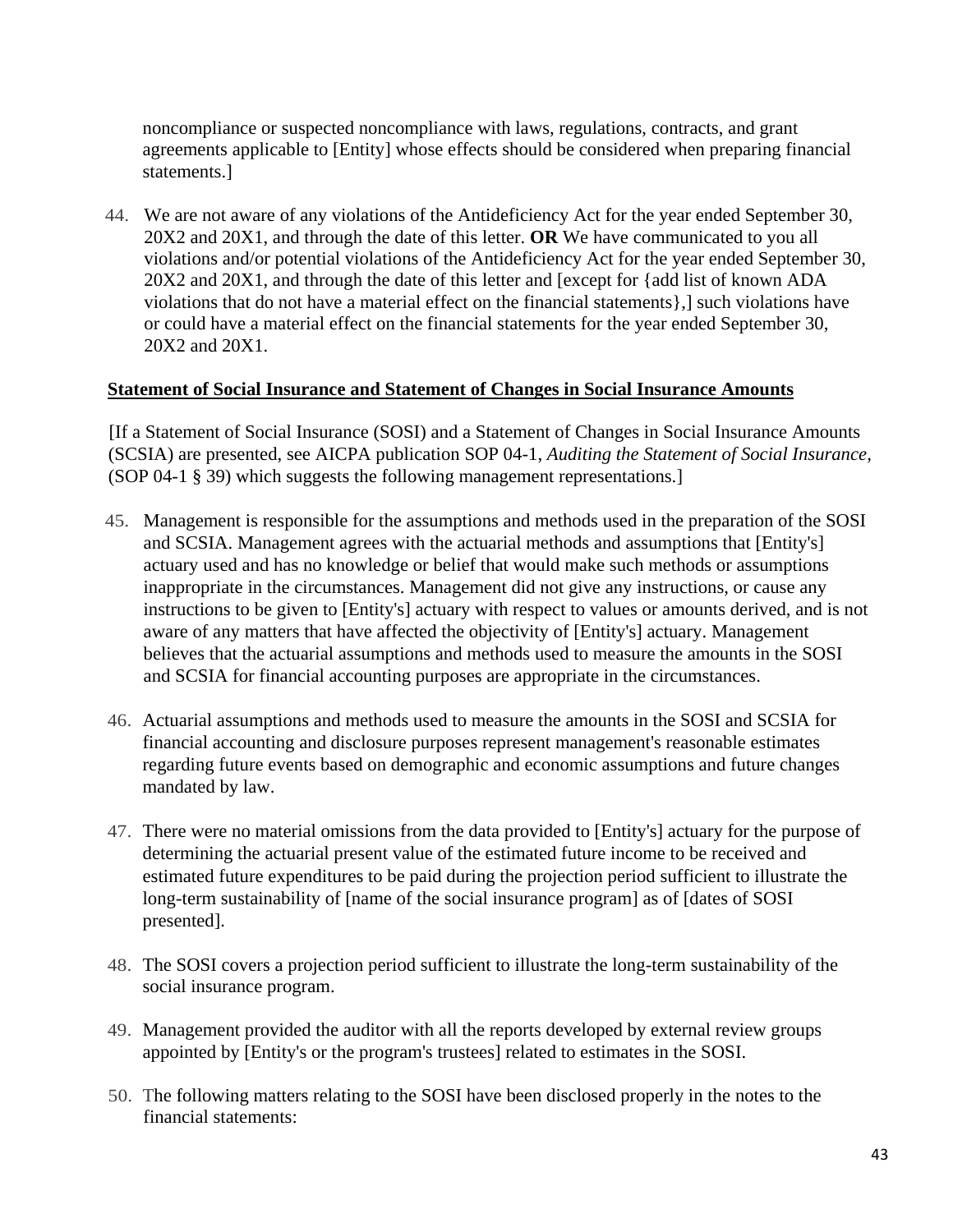noncompliance or suspected noncompliance with laws, regulations, contracts, and grant agreements applicable to [Entity] whose effects should be considered when preparing financial statements.]

44. We are not aware of any violations of the Antideficiency Act for the year ended September 30, 20X2 and 20X1, and through the date of this letter. **OR** We have communicated to you all violations and/or potential violations of the Antideficiency Act for the year ended September 30, 20X2 and 20X1, and through the date of this letter and [except for {add list of known ADA violations that do not have a material effect on the financial statements},] such violations have or could have a material effect on the financial statements for the year ended September 30, 20X2 and 20X1.

#### **Statement of Social Insurance and Statement of Changes in Social Insurance Amounts**

[If a Statement of Social Insurance (SOSI) and a Statement of Changes in Social Insurance Amounts (SCSIA) are presented, see AICPA publication SOP 04-1, *Auditing the Statement of Social Insurance*, (SOP 04-1 § 39) which suggests the following management representations.]

- 45. Management is responsible for the assumptions and methods used in the preparation of the SOSI and SCSIA. Management agrees with the actuarial methods and assumptions that [Entity's] actuary used and has no knowledge or belief that would make such methods or assumptions inappropriate in the circumstances. Management did not give any instructions, or cause any instructions to be given to [Entity's] actuary with respect to values or amounts derived, and is not aware of any matters that have affected the objectivity of [Entity's] actuary. Management believes that the actuarial assumptions and methods used to measure the amounts in the SOSI and SCSIA for financial accounting purposes are appropriate in the circumstances.
- 46. Actuarial assumptions and methods used to measure the amounts in the SOSI and SCSIA for financial accounting and disclosure purposes represent management's reasonable estimates regarding future events based on demographic and economic assumptions and future changes mandated by law.
- 47. There were no material omissions from the data provided to [Entity's] actuary for the purpose of determining the actuarial present value of the estimated future income to be received and estimated future expenditures to be paid during the projection period sufficient to illustrate the long-term sustainability of [name of the social insurance program] as of [dates of SOSI presented].
- 48. The SOSI covers a projection period sufficient to illustrate the long-term sustainability of the social insurance program.
- 49. Management provided the auditor with all the reports developed by external review groups appointed by [Entity's or the program's trustees] related to estimates in the SOSI.
- 50. The following matters relating to the SOSI have been disclosed properly in the notes to the financial statements: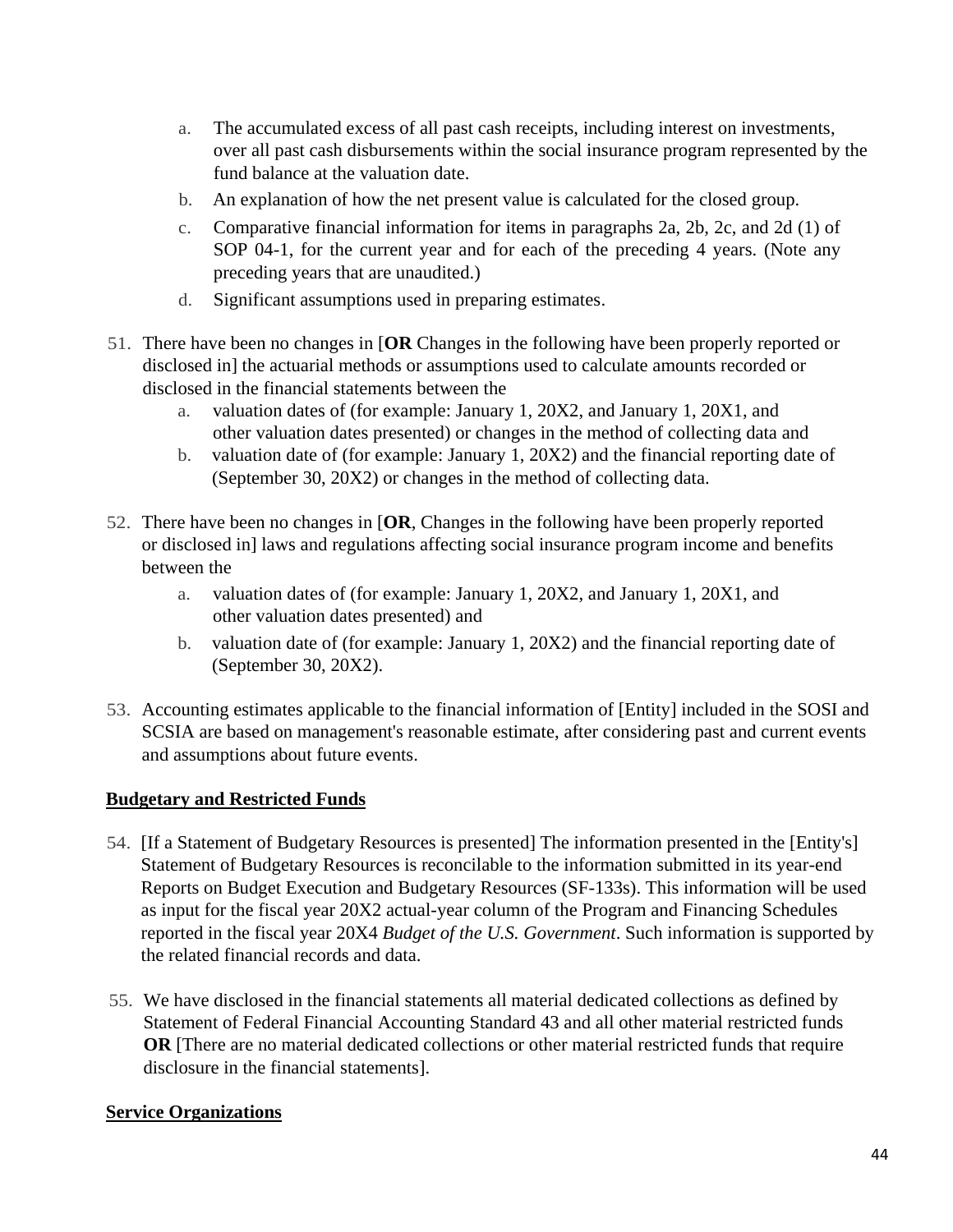- a. The accumulated excess of all past cash receipts, including interest on investments, over all past cash disbursements within the social insurance program represented by the fund balance at the valuation date.
- b. An explanation of how the net present value is calculated for the closed group.
- c. Comparative financial information for items in paragraphs 2a, 2b, 2c, and 2d (1) of SOP 04-1, for the current year and for each of the preceding 4 years. (Note any preceding years that are unaudited.)
- d. Significant assumptions used in preparing estimates.
- 51. There have been no changes in [**OR** Changes in the following have been properly reported or disclosed in] the actuarial methods or assumptions used to calculate amounts recorded or disclosed in the financial statements between the
	- a. valuation dates of (for example: January 1, 20X2, and January 1, 20X1, and other valuation dates presented) or changes in the method of collecting data and
	- b. valuation date of (for example: January 1, 20X2) and the financial reporting date of (September 30, 20X2) or changes in the method of collecting data.
- 52. There have been no changes in [**OR**, Changes in the following have been properly reported or disclosed in] laws and regulations affecting social insurance program income and benefits between the
	- a. valuation dates of (for example: January 1, 20X2, and January 1, 20X1, and other valuation dates presented) and
	- b. valuation date of (for example: January 1, 20X2) and the financial reporting date of (September 30, 20X2).
- 53. Accounting estimates applicable to the financial information of [Entity] included in the SOSI and SCSIA are based on management's reasonable estimate, after considering past and current events and assumptions about future events.

#### **Budgetary and Restricted Funds**

- 54. [If a Statement of Budgetary Resources is presented] The information presented in the [Entity's] Statement of Budgetary Resources is reconcilable to the information submitted in its year-end Reports on Budget Execution and Budgetary Resources (SF-133s). This information will be used as input for the fiscal year 20X2 actual-year column of the Program and Financing Schedules reported in the fiscal year 20X4 *Budget of the U.S. Government*. Such information is supported by the related financial records and data.
- 55. We have disclosed in the financial statements all material dedicated collections as defined by Statement of Federal Financial Accounting Standard 43 and all other material restricted funds **OR** [There are no material dedicated collections or other material restricted funds that require disclosure in the financial statements].

#### **Service Organizations**